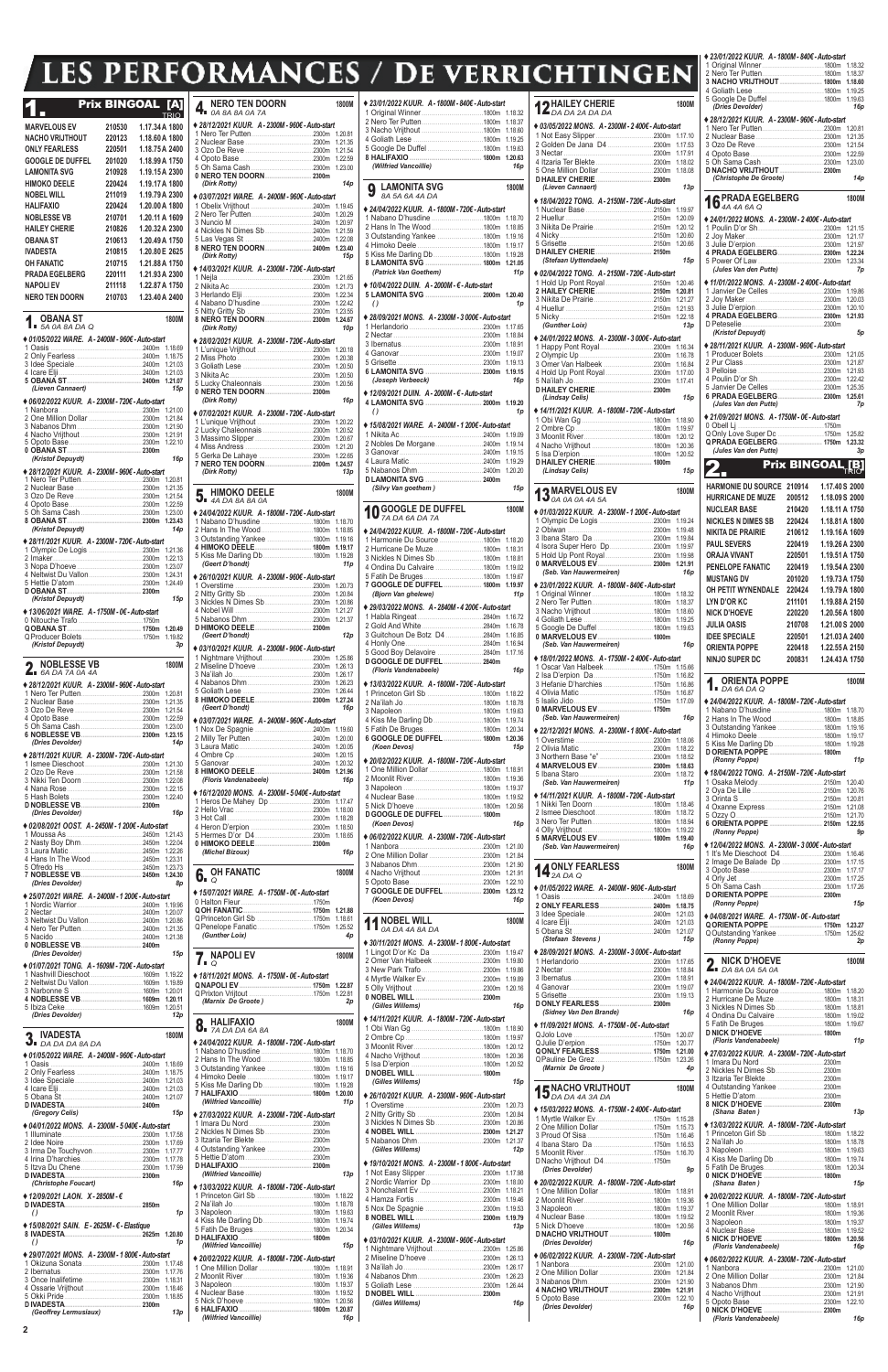**2**

## **LES PERFORMANCES / DE VERRI** T

## **1. Prix BINGOAL [A]**<br>MARVELOUS EV 210530 1.17.34A 180 **MARVELOUS EV 210530 1.17.34A 1800 NACHO VRIJTHOUT 220123 1.18.60A 1800 ONLY FEARLESS 220501 1.18.75A 2400 GOOGLE DE DUFFEL 201020 1.18.99A 1750 LAMONITA SVG 210928 1.19.15A 2300 HIMOKO DEELE 220424 1.19.17A 1800 NOBEL WILL 211019 1.19.79A 2300 HALIFAXIO 220424 1.20.00A 1800 NOBLESSE VB 210701 1.20.11 A 160**<br> **HAILEY CHERIE 210826 1.20.32 A 230 HAILEY CHERIE 210826 1.20.32A 2300 OBANA ST 210613 1.20.49A 1750 IVADESTA 210815** 1.20.80 **E** 2625<br> **210715 1.21.88** A 1750 **OH FANATIC 210715 1.21.88A 1750**

## 1. **OBANA ST 1800M** *5A 0A 8A DA Q* **♦** *01/05/2022 WARE. A - 2400M - 960€ - Auto-start*  ....2400m 1.18.6<br>2400m 1.18.7 2 Only Fearless .................................2400m 1.18.75 3 Idee Speciale..................................2400m 1.21.03 4 Icare Elji..........................................2400m 1.21.03 **5 OBANA ST..................................... 2400m 1.21.07** *(Lieven Cannaert)* **♦** *06/02/2022 KUUR. A - 2300M - 720€ - Auto-start*  1 Nanbora..........................................2300m 1.21.00 2 One Million Dollar ...........................2300m 1.21.84 3 Nabanos Dhm.................................2300m 1.21.90 4 Nacho Vrijthout ...............................2300m 1.21.91 5 Opoto Base.....................................2300m 1.22.10 **0 OBANA ST..................................... 2300m** *(Kristof Depuydt) 16p* **♦** *28/12/2021 KUUR. A - 2300M - 960€ - Auto-start*  1 Nero Ter Putten...............................2300m 1.20.81 2 Nuclear Base ..................................2300m 1.21.35 3 Ozo De Reve ..................................2300m 1.21.54 4 Opoto Base.....................................2300m 1.22.59 5 Oh Sama Cash ...............................2300m 1.23.00 **8 OBANA ST..................................... 2300m 1.23.43** *(Kristof Depuydt)* **♦** *28/11/2021 KUUR. A - 2300M - 720€ - Auto-start*  1 Olympic De Logis. 2 Imaker.............................................2300m 1.22.13 3 Nopa D'hoeve.................................2300m 1.23.07 4 Neltwist Du Vallon...........................2300m 1.24.31 5 Hettie D'atom..................................2300m 1.24.49 **D OBANA ST..................................... 2300m** *(Kristof Depuydt) 15p* **♦** *13/06/2021 WARE. A - 1750M - 0€ - Auto-start*  0 Nitouche Trafo ................................1750m **QOBANA ST..................................... 1750m 1.20.49** Q Producer Bolets .................................1750m 1.19.8<br>(*Kristof Depuydt*) *(Kristof Depuydt) 3p* 2. **NOBLESSE VB 1800M** *6A DA 7A 0A 4A* **♦** *28/12/2021 KUUR. A - 2300M - 960€ - Auto-start*  1 Nero Ter Putten... 2 Nuclear Base ..................................2300m 1.21.35 3 Ozo De Reve ..................................2300m 1.21.54 4 Opoto Base... 5 Oh Sama Cash ...............................2300m 1.23.00 **6 NOBLESSE VB.............................. 2300m 1.23.15** *(Dries Devolder) 14p* **♦** *28/11/2021 KUUR. A - 2300M - 720€ - Auto-start*  1 Ismee Dieschoot.............................2300m 1.21.30 2 Ozo De Reve ..................................2300m 1.21.58 3 Nikki Ten Doorn ..............................2300m 1.22.08 4 Nana Rose...<br>5 Hash Bolets  $-2300m$  1.22.4<br>2300m **D NOBLESSE VB...** *(Dries Devolder) 16p* **♦** *02/08/2021 OOST. A - 2450M - 1 200€ - Auto-start*  1 Moussa As ......................................2450m 1.21.43 2 Nasty Boy Dhm...............................2450m 1.22.04 3 Laura Matic.....................................2450m 1.22.26 4 Hans In The Wood..........................2450m 1.23.31 5 <u>2450m</u><br>2450m 1.23.73<br>2450m 1.24.3 **7 NOBLESSE VB.............................. 2450m 1.24.30** *(Dries Devolder) 8p* **♦** *25/07/2021 WARE. A - 2400M - 1 200€ - Auto-start*  1 Nordic Warrior.................................2400m 1.19.96 2400m 1.20.0.<br>.2400m 1.20.8 3 Neltwist Du Vallon...........................2400m 1.20.86 4 Nero Ter Putten...<br>5 Nacido  $.2400m$  1.21.3<br>**2400m** 0 **NOBLESSE VB.** *(Dries Devolder) 15p* **♦** *01/07/2021 TONG. A - 1609M - 720€ - Auto-start*  1 Nashvill Dieschoot ..........................1609m 1.19.22 2 Neltwist Du Vallon...........................1609m 1.19.89

| LLV                                                | ш,                      |                | <u>LIU VIUILU</u><br>, J.J.                        |              |
|----------------------------------------------------|-------------------------|----------------|----------------------------------------------------|--------------|
|                                                    | <b>Prix BINGOAL [A]</b> | <b>TRIO</b>    | <b>NERO TEN DOORN</b><br>$\frac{1}{4}$ NERU I.     | <b>1800M</b> |
| <b>MARVELOUS EV</b>                                | 210530                  | 1.17.34 A 1800 | ♦ 28/12/2021 KUUR. A - 2300M - 960€ - Auto-start   |              |
| <b>NACHO VRIJTHOUT</b>                             | 220123                  | 1.18.60 A 1800 |                                                    |              |
| <b>ONLY FEARLESS</b>                               | 220501                  | 1.18.75 A 2400 |                                                    |              |
| <b>GOOGLE DE DUFFEL</b>                            | 201020                  | 1.18.99 A 1750 |                                                    |              |
| <b>LAMONITA SVG</b>                                | 210928                  | 1.19.15 A 2300 |                                                    |              |
| <b>HIMOKO DEELE</b>                                | 220424                  | 1.19.17 A 1800 | (Dirk Rotty)                                       | 14p          |
| <b>NOBEL WILL</b>                                  | 211019                  | 1.19.79 A 2300 | ♦ 03/07/2021 WARE. A - 2400M - 960€ - Auto-start   |              |
| <b>HALIFAXIO</b>                                   | 220424                  | 1.20.00 A 1800 |                                                    |              |
| <b>NOBLESSE VB</b>                                 | 210701                  | 1.20.11 A 1609 |                                                    |              |
| <b>HAILEY CHERIE</b>                               | 210826                  | 1.20.32 A 2300 |                                                    |              |
| <b>OBANA ST</b>                                    | 210613                  | 1.20.49 A 1750 |                                                    |              |
| <b>IVADESTA</b>                                    | 210815                  | 1.20.80 E 2625 | 8 NERO TEN DOORN 2400m 1.23.40                     |              |
| <b>OH FANATIC</b>                                  | 210715                  | 1.21.88 A 1750 | (Dirk Rotty)                                       | 15p          |
| <b>PRADA EGELBERG</b>                              | 220111                  | 1.21.93 A 2300 | ◆ 14/03/2021 KUUR. A - 2300M - 720€ - Auto-start   |              |
| <b>NAPOLI EV</b>                                   | 211118                  | 1.22.87 A 1750 |                                                    |              |
| <b>NERO TEN DOORN</b>                              | 210703                  | 1.23.40 A 2400 |                                                    |              |
|                                                    |                         |                |                                                    |              |
| OBANA ST<br>1.5A O A B A D A Q                     |                         | 1800M          | 8 NERO TEN DOORN  2300m 1.24.67<br>(Dirk Rotty)    | 10p          |
| ♦ 01/05/2022 WARE, A-2400M-960€-Auto-start         |                         |                | ◆ 28/02/2021 KUUR. A - 2300M - 720€ - Auto-start   |              |
|                                                    |                         |                |                                                    |              |
|                                                    |                         |                |                                                    |              |
|                                                    |                         |                |                                                    |              |
| 5 OBANA ST. 2400m 1.21.07                          |                         |                | 5 Lucky Chaleonnais 2300m 1.20.56                  |              |
| (Lieven Cannaert)                                  |                         | 15p            |                                                    |              |
| ◆ 06/02/2022 KUUR. A - 2300M - 720€ - Auto-start   |                         |                | (Dirk Rotty)                                       | 16p          |
|                                                    |                         |                | ♦ 07/02/2021 KUUR. A - 2300M - 720€ - Auto-start   |              |
|                                                    |                         |                |                                                    |              |
|                                                    |                         |                |                                                    |              |
|                                                    |                         |                |                                                    |              |
| (Kristof Depuydt)                                  |                         | 16p            | 7 NERO TEN DOORN 2300m 1.24.57                     |              |
| ◆ 28/12/2021 KUUR. A - 2300M - 960€ - Auto-start   |                         |                | (Dirk Rotty)                                       | 13p          |
|                                                    |                         |                |                                                    |              |
|                                                    |                         |                | HIMOKO DEELE                                       | <b>1800M</b> |
|                                                    |                         |                | $\partial$ 34 A DA 8A 8A 0A                        |              |
|                                                    |                         |                | ♦ 24/04/2022 KUUR. A - 1800M - 720€ - Auto-start   |              |
| (Kristof Depuydt)                                  |                         | 14p            |                                                    |              |
| ♦ 28/11/2021 KUUR. A - 2300M - 720€ - Auto-start   |                         |                | 3 Outstanding Yankee 1800m 1.19.16                 |              |
|                                                    |                         |                | 4 HIMOKO DEELE 1800m 1.19.17                       |              |
|                                                    |                         |                |                                                    |              |
|                                                    |                         |                | (Geert D'hondt)                                    | 11p          |
|                                                    |                         | 1.24.49        | ◆ 26/10/2021 KUUR. A - 2300M - 960€ - Auto-start   |              |
|                                                    |                         |                |                                                    |              |
| (Kristof Depuydt)                                  |                         | 15p            |                                                    |              |
| ◆ 13/06/2021 WARE. A - 1750M - 0€ - Auto-start     |                         |                |                                                    |              |
|                                                    |                         |                |                                                    |              |
|                                                    |                         |                | (Geert D'hondt)                                    | 12p          |
| (Kristof Depuydt)                                  |                         | 3p             | ♦ 03/10/2021 KUUR. A - 2300M - 960€ - Auto-start   |              |
|                                                    |                         |                |                                                    |              |
| <b>NOBLESSE VB</b><br>$A$ 6A DA 7A 0A 4A           |                         | 1800M          |                                                    |              |
|                                                    |                         |                |                                                    |              |
| ◆ 28/12/2021 KUUR. A - 2300M - 960€ - Auto-start   |                         |                |                                                    |              |
|                                                    |                         |                | 8 HIMOKO DEELE 2300m 1.27.24                       |              |
|                                                    |                         |                | (Geert D'hondt)                                    | 16p          |
|                                                    |                         |                | ♦ 03/07/2021 WARE. A-2400M-960€-Auto-start         |              |
|                                                    |                         |                |                                                    |              |
| (Dries Devolder)                                   |                         | 14p            |                                                    |              |
| ♦ 28/11/2021 KUUR. A - 2300M - 720€ - Auto-start   |                         |                |                                                    |              |
|                                                    |                         |                | 8 HIMOKO DEELE 2400m 1.21.96                       |              |
|                                                    |                         |                | (Floris Vandenabeele)                              | 16p          |
|                                                    |                         |                | ♦ 16/12/2020 MONS. A - 2300M - 5 040€ - Auto-start |              |
|                                                    |                         |                |                                                    |              |
| (Dries Devolder)                                   |                         | 16p            |                                                    |              |
| ♦ 02/08/2021 OOST. A - 2450M - 1 200€ - Auto-start |                         |                |                                                    |              |
|                                                    |                         |                |                                                    |              |
|                                                    |                         |                | 0 HIMOKO DEELE 2300m                               |              |
|                                                    |                         |                | (Michel Bizoux)                                    | 16p          |
|                                                    |                         |                |                                                    |              |
| 7 NOBLESSE VB 2450m 1.24.30                        |                         |                | <b>OH FANATIC</b><br>6.5                           | 1800M        |
| (Dries Devolder)                                   |                         | 8p             | ◆ 15/07/2021 WARE. A-1750M-0€-Auto-start           |              |
| ♦ 25/07/2021 WARE. A-2400M-1 200€-Auto-start       |                         |                |                                                    |              |
|                                                    |                         |                |                                                    |              |
|                                                    |                         |                |                                                    |              |
|                                                    |                         |                | (Gunther Loix)                                     | 4p           |
|                                                    |                         |                |                                                    |              |
| (Dries Devolder)                                   |                         | 15p            | <b>NAPOLIEV</b>                                    | 1800M        |
| ♦ 01/07/2021 TONG. A - 1609M - 720€ - Auto-start   |                         |                | $\overline{I}$ . $\overline{Q}$                    |              |
|                                                    |                         |                | ♦ 18/11/2021 MONS. A - 1750M - 0€ - Auto-start     |              |
|                                                    |                         |                |                                                    |              |
| 4 NOBLESSE VB 1609m 1.20.11                        |                         |                | (Marnix De Groote)                                 | 2p           |
|                                                    |                         |                |                                                    |              |

| 5 Ibiza Ceke.                                                                                                            |                                                  | (Gilles Willems)                                   | (Sidney Van Den Brande)<br>16p                     | .1800m 1.18.81                                   |
|--------------------------------------------------------------------------------------------------------------------------|--------------------------------------------------|----------------------------------------------------|----------------------------------------------------|--------------------------------------------------|
| (Dries Devolder)<br>12p                                                                                                  | 1800M                                            | ♦ 14/11/2021 KUUR. A - 1800M - 720€ - Auto-start   |                                                    |                                                  |
|                                                                                                                          | $\mathbf{8}$ . HALIFAXIO                         |                                                    | ♦ 11/09/2021 MONS. A - 1750M - 0€ - Auto-start     |                                                  |
| 2 IVADESTA<br>1800M                                                                                                      |                                                  |                                                    |                                                    | (Floris Vandenabeele)<br>11 <sub>p</sub>         |
| $JI$ DA DA DA 8A DA                                                                                                      | ♦ 24/04/2022 KUUR. A - 1800M - 720€ - Auto-start |                                                    |                                                    |                                                  |
| ♦ 01/05/2022 WARE, A-2400M-960€-Auto-start                                                                               | 1 Nabano D'husdine                               |                                                    |                                                    | ♦ 27/03/2022 KUUR. A - 2300M - 720€ - Auto-start |
|                                                                                                                          |                                                  |                                                    |                                                    |                                                  |
|                                                                                                                          |                                                  |                                                    | (Marnix De Groote)<br>4 <sub>D</sub>               | 2 Nickles N Dimes Sb 2300m                       |
|                                                                                                                          |                                                  | (Gilles Willems)<br>15p                            |                                                    |                                                  |
|                                                                                                                          | 5 Kiss Me Darling Db 1800m 1.19.28               |                                                    | 1800M                                              | 4 Outstanding Yankee 2300m                       |
|                                                                                                                          |                                                  | ♦ 26/10/2021 KUUR. A - 2300M - 960€ - Auto-start   | <b>15</b> NACHO VRIJTHOUT                          |                                                  |
|                                                                                                                          | (Wilfried Vancoillie)<br>11p                     |                                                    |                                                    |                                                  |
| (Gregory Celis)<br>15p                                                                                                   | ♦ 27/03/2022 KUUR. A - 2300M - 720€ - Auto-start |                                                    | ♦ 15/03/2022 MONS. A - 1750M - 2 400€ - Auto-start | (Shana Baten)<br>13p                             |
|                                                                                                                          |                                                  | 3 Nickles N Dimes Sb 2300m 1.20.86                 | 1 Myrtle Walker Ev1750m 1.15.28                    |                                                  |
| ♦ 04/01/2022 MONS. A - 2300M - 5 040€ - Auto-start                                                                       |                                                  |                                                    |                                                    | ◆ 13/03/2022 KUUR. A - 1800M - 720€ - Auto-start |
|                                                                                                                          |                                                  |                                                    |                                                    |                                                  |
|                                                                                                                          |                                                  |                                                    |                                                    |                                                  |
|                                                                                                                          |                                                  | 12p<br>(Gilles Willems)                            |                                                    |                                                  |
| 3 Irma De Touchyvon<br>3 Irma De Touchyvon<br>3 2300m 1.17.77<br>4 Irina D'harchies<br>5 Itzva Du Chene<br>2300m 1.17.99 |                                                  | ♦ 19/10/2021 MONS. A - 2300M - 1 800€ - Auto-start |                                                    |                                                  |
|                                                                                                                          |                                                  | 2300m 1.17.98                                      | 9 <sub>D</sub><br>(Dries Devolder)                 |                                                  |
|                                                                                                                          | (Wilfried Vancoillie)<br>13p                     |                                                    |                                                    |                                                  |
| 16p<br>(Christophe Foucart)                                                                                              | ♦ 13/03/2022 KUUR. A - 1800M - 720€ - Auto-start |                                                    | ◆ 20/02/2022 KUUR. A - 1800M - 720€ - Auto-start   | (Shana Baten)<br>15p                             |
| $\triangleq$ 12/09/2021 LAON. X - 2850M - €                                                                              |                                                  |                                                    |                                                    | ◆ 20/02/2022 KUUR. A - 1800M - 720€ - Auto-start |
|                                                                                                                          |                                                  |                                                    |                                                    |                                                  |
|                                                                                                                          | 1 <sub>D</sub>                                   |                                                    |                                                    |                                                  |
|                                                                                                                          |                                                  |                                                    |                                                    |                                                  |
| ◆ 15/08/2021 SAIN. E - 2625M - € - Elastique                                                                             |                                                  | (Gilles Willems)<br>13p                            |                                                    |                                                  |
|                                                                                                                          |                                                  |                                                    | D NACHO VRIJTHOUT  1800m                           |                                                  |
|                                                                                                                          | 1 <sub>p</sub><br>(Wilfried Vancoillie)<br>15p   | ♦ 03/10/2021 KUUR. A - 2300M - 960€ - Auto-start   | (Dries Devolder)<br>16p                            | (Floris Vandenabeele)<br>16p                     |
| ♦ 29/07/2021 MONS. A - 2300M - 1 800€ - Auto-start                                                                       |                                                  | 2300m 1.25.86                                      | ♦ 06/02/2022 KUUR. A - 2300M - 720€ - Auto-start   |                                                  |
|                                                                                                                          | ◆ 20/02/2022 KUUR. A - 1800M - 720€ - Auto-start |                                                    | 1 Nanbora.                                         | ♦ 06/02/2022 KUUR. A - 2300M - 720€ - Auto-start |
|                                                                                                                          |                                                  |                                                    |                                                    |                                                  |
|                                                                                                                          |                                                  |                                                    |                                                    |                                                  |
|                                                                                                                          |                                                  |                                                    |                                                    |                                                  |
|                                                                                                                          |                                                  |                                                    | 4 NACHO VRIJTHOUT  2300m 1.21.91                   |                                                  |
|                                                                                                                          |                                                  | 16p<br>(Gilles Willems)                            | 2300m 1.22.10                                      |                                                  |
| 13p<br>(Geoffrey Lermusiaux)                                                                                             |                                                  |                                                    | (Dries Devolder)<br>16p                            |                                                  |
|                                                                                                                          | (Wilfried Vancoillie)<br><b>16p</b>              |                                                    |                                                    | (Floris Vandenabeele)<br>16p                     |
|                                                                                                                          |                                                  |                                                    |                                                    |                                                  |

| ♦ 23/01/2022 KUUR. A - 1800M - 840€ - Auto-start                      |                    | 12 HAILEY CHE                                 |
|-----------------------------------------------------------------------|--------------------|-----------------------------------------------|
|                                                                       |                    | $\n  DA DA 2A DA$                             |
|                                                                       |                    | ◆ 03/05/2022 MONS.                            |
|                                                                       |                    | 1 Not Easy Slipper                            |
|                                                                       |                    | 2 Golden De Jana D                            |
|                                                                       |                    | 3 Nectar                                      |
| (Wilfried Vancoillie)                                                 | 16p                | 4 Itzaria Ter Blekte                          |
|                                                                       |                    | 5 One Million Dollar<br><b>DHAILEY CHERIE</b> |
| <b>LAMONITA SVG</b>                                                   | 1800M              | (Lieven Cannaert)                             |
| 9<br>8A 5A 6A 4A DA                                                   |                    | ◆ 18/04/2022 TONG. /                          |
| ◆ 24/04/2022 KUUR. A - 1800M - 720€ - Auto-start                      |                    | 1 Nuclear Base                                |
|                                                                       |                    | 2 Huellur                                     |
| 2 Hans In The Wood1800m 1.18.85                                       |                    | 3 Nikita De Prairie                           |
| 3 Outstanding Yankee 1800m 1.19.16                                    |                    |                                               |
|                                                                       |                    | 5 Grisette<br><b>DHAILEY CHERIE</b>           |
| 5 Kiss Me Darling Db 1800m 1.19.28                                    |                    | (Stefaan Uyttendae                            |
| 8 LAMONITA SVG  1800m 1.21.05<br>(Patrick Van Goethem)                | 11 <sub>p</sub>    |                                               |
|                                                                       |                    | ♦ 02/04/2022 TONG. 7<br>1 Hold Up Pont Roya   |
| ◆ 10/04/2022 DUIN. A - 2000M - € - Auto-start                         |                    | 2 HAILEY CHERIE.                              |
| 5 LAMONITA SVG  2000m 1.20.40<br>$\theta$                             | 1p                 | 3 Nikita De Prairie                           |
|                                                                       |                    | 4 Huellur                                     |
| ♦ 28/09/2021 MONS. A - 2300M - 3 000€ - Auto-start                    |                    | 5 Nicky<br>(Gunther Loix)                     |
|                                                                       |                    |                                               |
|                                                                       | 1.18.84            | ♦ 24/01/2022 MONS.                            |
|                                                                       |                    | 1 Happy Pont Royal                            |
|                                                                       |                    | 2 Olympic Up<br>3 Omer Van Halbeel            |
| 6 LAMONITA SVG  2300m 1.19.15                                         |                    | 4 Hold Up Pont Roya                           |
| (Joseph Verbeeck)                                                     | 16p                | 5 Na'ilah Jo                                  |
| ♦ 12/09/2021 DUIN. A - 2000M - € - Auto-start                         |                    | <b>DHAILEY CHERIE</b>                         |
| 4 LAMONITA SVG  2000m 1.19.20                                         |                    | (Lindsay Celis)                               |
| $\theta$                                                              | 1p                 | ◆ 14/11/2021 KUUR. /                          |
| ♦ 15/08/2021 WARE. A-2400M-1 200€-Auto-start                          |                    | 1 Obi Wan Gg                                  |
|                                                                       |                    | 2 Ombre Cp<br>3 Moonlit River                 |
|                                                                       |                    | 4 Nacho Vrijthout                             |
|                                                                       |                    | 5 Isa D'erpion                                |
|                                                                       |                    | <b>DHAILEY CHERIE</b>                         |
|                                                                       |                    | (Lindsay Celis)                               |
| D LAMONITA SVG  2400m<br>(Silvy Van goethem)                          | 15p                |                                               |
|                                                                       |                    | <b>2 MARVELOUS</b><br>$13$ MAIN $-$           |
| 10 GOOGLE DE DUFFEL                                                   | 1800M              |                                               |
| 7A DA 6A DA 7A                                                        |                    | ◆ 01/03/2022 KUUR. /                          |
|                                                                       |                    | 1 Olympic De Logis<br>2 Obiwan                |
| ◆ 24/04/2022 KUUR. A - 1800M - 720€ - Auto-start                      |                    | 3 Ibana Staro Da                              |
| 2 Hurricane De Muze1800m 1.18.31                                      |                    | 4 Isora Super Hero                            |
| 3 Nickles N Dimes Sb 1800m 1.18.81                                    |                    | 5 Hold Up Pont Roya                           |
| 4 Ondina Du Calvaire 1800m 1.19.02                                    |                    | 0 MARVELOUS EV.<br>(Seb. Van Hauwern          |
|                                                                       |                    |                                               |
| 7 GOOGLE DE DUFFEL  1800m 1.19.97                                     |                    | ♦ 23/01/2022 KUUR. 7                          |
| (Bjorn Van ghelewe)                                                   | 11 p               | 1 Original Winner                             |
| ♦ 29/03/2022 MONS. A - 2840M - 4 200€ - Auto-start                    |                    | 2 Nero Ter Putten<br>3 Nacho Vrijthout        |
|                                                                       |                    | 4 Goliath Lese                                |
|                                                                       |                    | 5 Google De Duffel.                           |
| 3 Guitchoun De Botz D4 2840m 1.16.85                                  |                    | 0 MARVELOUS EV.                               |
|                                                                       |                    | (Seb. Van Hauwern                             |
| D GOOGLE DE DUFFEL 2840m                                              |                    | ♦ 18/01/2022 MONS.                            |
| (Floris Vandenabeele)                                                 | 16p                | 1 Oscar Van Halbee                            |
| ♦ 13/03/2022 KUUR. A - 1800M - 720€ - Auto-start                      |                    | 2 Isa D'erpion Da<br>3 Hefanie D'harchies     |
|                                                                       |                    | 4 Olivia Matic                                |
|                                                                       | 1.18.78            | 5 Isalio Jido                                 |
|                                                                       |                    | 0 MARVELOUS EV.                               |
|                                                                       |                    | (Seb. Van Hauwern                             |
|                                                                       |                    | ♦ 22/12/2021 MONS.                            |
| 6 GOOGLE DE DUFFEL  1800m 1.20.36<br>(Koen Devos)                     | 15p                | 1 Overstime                                   |
|                                                                       |                    | 2 Olivia Matic<br>3 Northern Base "e"         |
| ♦ 20/02/2022 KUUR. A - 1800M - 720€ - Auto-start                      |                    | 4 MARVELOUS EV.                               |
|                                                                       |                    | 5 Ibana Staro                                 |
|                                                                       | 1.19.36<br>1.19.37 | (Seb. Van Hauwern                             |
|                                                                       | 1.19.52            | ◆ 14/11/2021 KUUR. /                          |
|                                                                       |                    | 1 Nikki Ten Doorn                             |
|                                                                       | 1.20.56            |                                               |
| D GOOGLE DE DUFFEL 1800m                                              |                    | 2 Ismee Dieschoot                             |
| (Koen Devos)                                                          | 16p                | 3 Nero Ter Putten                             |
| ♦ 06/02/2022 KUUR. A - 2300M - 720€ - Auto-start                      |                    | 4 Olly Vrijthout                              |
|                                                                       |                    | 5 MARVELOUS EV.<br>(Seb. Van Hauwern          |
|                                                                       | 1.21.84            |                                               |
|                                                                       | 1.21.90            |                                               |
|                                                                       |                    | <b>14</b> ONLY FEARI                          |
|                                                                       |                    | ◆ 01/05/2022 WARE.                            |
| 7 GOOGLE DE DUFFEL  2300m 1.23.12<br>(Koen Devos)                     | 16p                | 1 Oasis                                       |
|                                                                       |                    | 2 ONLY FEARLESS                               |
|                                                                       | 1800M              | 3 Idee Speciale                               |
| 11 NOBEL WILL<br>0A DA 4A 8A DA                                       |                    | 4 Icare Elji<br>5 Obana St                    |
|                                                                       |                    | (Stefaan Stevens)                             |
| ♦ 30/11/2021 MONS. A - 2300M - 1 800€ - Auto-start                    |                    |                                               |
| 1 Lingot D'or Kc Da 2300m 1.19.47<br>2 Omer Van Halbeek 2300m 1.19.80 |                    | ◆ 28/09/2021 MONS. 」<br>1 Herlandorio         |
|                                                                       |                    | 2 Nectar                                      |
|                                                                       |                    | 3 Ibernatus                                   |
|                                                                       |                    | 4 Ganovar                                     |
| (Gilles Willems)                                                      | 16p                | 5 Grisette<br><b>DONLY FEARLESS</b>           |

| CHTINGEN                                                                       |                         |  |  |                            |
|--------------------------------------------------------------------------------|-------------------------|--|--|----------------------------|
| <b>12 HAILEY CHERIE</b>                                                        |                         |  |  | 1800M                      |
|                                                                                |                         |  |  |                            |
| ♦ 03/05/2022 MONS. A - 2300M - 2 400€ - Auto-start                             |                         |  |  | 1.17.10                    |
| 2 Golden De Jana D4 2300m                                                      |                         |  |  | 1.17.53<br>1.17.91         |
|                                                                                |                         |  |  | 1.18.02                    |
|                                                                                |                         |  |  | 1.18.08                    |
|                                                                                | (Lieven Cannaert)       |  |  | 13p                        |
| ◆ 18/04/2022 TONG. A - 2150M - 720€ - Auto-start                               |                         |  |  |                            |
|                                                                                |                         |  |  | 1.19.97<br>1.20.09         |
|                                                                                |                         |  |  | 1.20.12                    |
| 4 Nicky 2150m                                                                  |                         |  |  | 1.20.60<br>1.20.66         |
|                                                                                | (Stefaan Uyttendaele)   |  |  | 15p                        |
| ◆ 02/04/2022 TONG. A - 2150M - 720€ - Auto-start                               |                         |  |  |                            |
|                                                                                |                         |  |  | 1.20.46                    |
|                                                                                |                         |  |  | 1.20.81<br>1.21.27         |
|                                                                                |                         |  |  | 1.21.93                    |
| (Gunther Loix)                                                                 |                         |  |  | 1.22.18<br>13p             |
| ◆ 24/01/2022 MONS. A-2300M-3 000€-Auto-start                                   |                         |  |  |                            |
|                                                                                |                         |  |  | 1.16.34                    |
| 3 Omer Van Halbeek 2300m                                                       |                         |  |  | 1.16.78<br>1.16.84         |
| 4 Hold Up Pont Royal 2300m                                                     |                         |  |  | 1.17.00                    |
|                                                                                |                         |  |  | 1.17.41                    |
| (Lindsay Celis)                                                                |                         |  |  | 15p                        |
| ◆ 14/11/2021 KUUR. A - 1800M - 720€ - Auto-start                               |                         |  |  |                            |
|                                                                                |                         |  |  | 1.18.90<br>1.19.97         |
|                                                                                |                         |  |  | 1.20.12                    |
|                                                                                |                         |  |  | 1.20.36<br>1.20.52         |
|                                                                                |                         |  |  |                            |
| (Lindsay Celis)                                                                |                         |  |  | 15p                        |
| <b>15</b> 0A 0A 0A 4A 5A                                                       | <b>R</b> MARVELOUS EV   |  |  | 1800M                      |
|                                                                                |                         |  |  |                            |
| ◆ 01/03/2022 KUUR. A - 2300M - 1 200€ - Auto-start                             |                         |  |  |                            |
|                                                                                |                         |  |  | 1.19.24                    |
|                                                                                |                         |  |  | 1.19.48<br>1.19.84         |
| 4 Isora Super Hero Dp 2300m                                                    |                         |  |  | 1.19.97                    |
| 5 Hold Up Pont Royal 2300m                                                     |                         |  |  | 1.19.98<br>1.21.91         |
| 0 MARVELOUS EV  2300m                                                          | (Seb. Van Hauwermeiren) |  |  | 16p                        |
| ◆ 23/01/2022 KUUR. A - 1800M - 840€ - Auto-start                               |                         |  |  |                            |
|                                                                                |                         |  |  | 1.18.32<br>1.18.37         |
|                                                                                |                         |  |  | 1.18.60                    |
| 5 Google De Duffel 1800m                                                       |                         |  |  | 1.19.25<br>1.19.63         |
| 0 MARVELOUS EV  1800m                                                          |                         |  |  |                            |
|                                                                                | (Seb. Van Hauwermeiren) |  |  | 16p                        |
| ◆ 18/01/2022 MONS. A - 1750M - 2 400€ - Auto-start<br>1 Oscar Van Halbeek1750m |                         |  |  | 1.15.66                    |
|                                                                                |                         |  |  | 1.16.82                    |
| 3 Hefanie D'harchies 1750m                                                     |                         |  |  | 1.16.86<br>1.16.87         |
|                                                                                |                         |  |  | 1.17.09                    |
|                                                                                | (Seb. Van Hauwermeiren) |  |  | 16p                        |
| ◆ 22/12/2021 MONS. A - 2300M - 1 800€ - Auto-start                             |                         |  |  |                            |
|                                                                                |                         |  |  | 1.18.06                    |
|                                                                                |                         |  |  | 1.18.22<br>1.18.52         |
| 4 MARVELOUS EV  2300m                                                          |                         |  |  | 1.18.63                    |
|                                                                                | (Seb. Van Hauwermeiren) |  |  | 1.18.72<br>11 <sub>p</sub> |
| ◆ 14/11/2021 KUUR. A - 1800M - 720€ - Auto-start                               |                         |  |  |                            |
|                                                                                |                         |  |  | 1.18.46                    |
|                                                                                |                         |  |  | 1.18.72<br>1.18.94         |
|                                                                                |                         |  |  | 1.19.22                    |
|                                                                                | (Seb. Van Hauwermeiren) |  |  | 1.19.40<br>16p             |
|                                                                                | ONLY FEARLESS           |  |  | 1800M                      |
| <sup>1</sup> 2A DA Q                                                           |                         |  |  |                            |
| ♦ 01/05/2022 WARE, A - 2400M - 960€ - Auto-start                               |                         |  |  | 1.18.69                    |
|                                                                                |                         |  |  | 1.18.75                    |
|                                                                                |                         |  |  | 1.21.03<br>1.21.03         |
|                                                                                |                         |  |  | 1.21.07                    |
|                                                                                | (Stefaan Stevens)       |  |  | 15p                        |
| ♦ 28/09/2021 MONS. A - 2300M - 3 000€ - Auto-start                             |                         |  |  | 1.17.65                    |
|                                                                                |                         |  |  | 1.18.84                    |
|                                                                                |                         |  |  | 1.18.91<br>1.19.07         |

**♦** *23/01/2022 KUUR. A - 1800M - 840€ - Auto-start* 

|                                                                                |                                            | 1.18.32            |
|--------------------------------------------------------------------------------|--------------------------------------------|--------------------|
| 3 NACHO VRIJTHOUT  1800m                                                       |                                            | 1.18.37<br>1.18.60 |
|                                                                                |                                            | 1.19.25<br>1.19.63 |
| (Dries Devolder)                                                               |                                            | 16p                |
| ♦ 28/12/2021 KUUR. A - 2300M - 960€ - Auto-start                               |                                            |                    |
|                                                                                |                                            | 1.20.81<br>1.21.35 |
|                                                                                |                                            | 1.21.54            |
|                                                                                |                                            | 1.22.59<br>1.23.00 |
|                                                                                |                                            |                    |
| (Christophe De Groote)                                                         |                                            | 14p                |
| <b>16 PRADA EGELBERG</b>                                                       |                                            | 1800M              |
|                                                                                |                                            |                    |
| ♦ 24/01/2022 MONS. A - 2300M - 2400€ - Auto-start                              |                                            | 1.21.15            |
|                                                                                |                                            | 1.21.17            |
|                                                                                |                                            | 1.21.97<br>1.22.24 |
|                                                                                |                                            | 1.23.34            |
| (Jules Van den Putte)                                                          |                                            | 7p                 |
| ♦ 11/01/2022 MONS. A - 2300M - 2400€ - Auto-start<br>1 Janvier De Celles 2300m |                                            | 1.19.86            |
|                                                                                |                                            | 1.20.03            |
| 4 PRADA EGELBERG 2300m                                                         |                                            | 1.20.10<br>1.21.93 |
|                                                                                |                                            |                    |
| (Kristof Depuydt)                                                              |                                            | 5p                 |
| ◆ 28/11/2021 KUUR. A - 2300M - 960€ - Auto-start                               |                                            | 1.21.05            |
|                                                                                |                                            | 1.21.87            |
|                                                                                |                                            | 1.21.93<br>1.22.42 |
|                                                                                |                                            | 1.25.35            |
| 6 PRADA EGELBERG 2300m<br>(Jules Van den Putte)                                |                                            | 1.25.61<br>7p      |
| ◆ 21/09/2021 MONS. A - 1750M - 0€ - Auto-start                                 |                                            |                    |
| Q Only Love Super Dc 1750m                                                     |                                            | 1.25.82            |
| QPRADA EGELBERG 1750m                                                          |                                            | 1.23.32            |
| (Jules Van den Putte)                                                          |                                            | 3p                 |
| $\mathbf{T}$                                                                   | <b>Prix BINGOAI</b>                        | 131<br>TRIO        |
| <b>HARMONIE DU SOURCE</b>                                                      | 210914<br>1.17.40 S 2000                   |                    |
| <b>HURRICANE DE MUZE</b>                                                       | 1.18.09 S 2000<br>200512                   |                    |
| <b>NUCLEAR BASE</b>                                                            | 1.18.11 A 1750<br>210420                   |                    |
| <b>NICKLES N DIMES SB</b>                                                      | 1.18.81 A 1800<br>220424                   |                    |
|                                                                                |                                            |                    |
| <b>NIKITA DE PRAIRIE</b>                                                       | 1.19.16 A 1609<br>210612                   |                    |
| <b>PAUL SEVERS</b>                                                             | 220419<br>1.19.26 A 2300                   |                    |
| <b>ORAJA VIVANT</b>                                                            | 1.19.51 A 1750<br>220501                   |                    |
| PENELOPE FANATIC                                                               | 1.19.54 A 2300<br>220419                   |                    |
| <b>MUSTANG DV</b>                                                              | 1.19.73 A 1750<br>201020<br>220424         |                    |
| OH PETIT WYNENDALE<br>LYN D'OR KC                                              | 1.19.79 A 1800<br>211101<br>1.19.88 A 2150 |                    |
| <b>NICK D'HOEVE</b>                                                            | 220220<br>1.20.56 A 1800                   |                    |
| <b>JULIA OASIS</b>                                                             | 210708<br>1.21.00 S 2000                   |                    |
| <b>IDEE SPECIALE</b>                                                           | 1.21.03 A 2400<br>220501                   |                    |
| <b>ORIENTA POPPE</b>                                                           | 1.22.55 A 2150<br>220418                   |                    |
| <b>NINJO SUPER DC</b>                                                          | 1.24.43 A 1750<br>200831                   |                    |
| <b>ORIENTA POPPE</b>                                                           |                                            |                    |
| $\mathbf{h}$ da 6A da q                                                        |                                            | 1800M              |
| ◆ 24/04/2022 KUUR. A - 1800M - 720€ - Auto-start                               |                                            |                    |
| 2 Hans In The Wood1800m                                                        |                                            | 1.18.70<br>1.18.85 |
|                                                                                |                                            | 1.19.16            |
|                                                                                |                                            | 1.19.17<br>1.19.28 |
| (Ronny Poppe)                                                                  |                                            | 11 <sub>p</sub>    |
| ◆ 18/04/2022 TONG. A - 2150M - 720€ - Auto-start                               |                                            |                    |
|                                                                                |                                            | 1.20.40            |
|                                                                                |                                            | 1.20.76<br>1.20.81 |
|                                                                                |                                            | 1.21.08            |
| 5 Ozzy O 2150m                                                                 |                                            | 1.21.70<br>1.22.55 |
| (Ronny Poppe)                                                                  |                                            | 9p                 |
| ◆ 12/04/2022 MONS. A - 2300M - 3 000€ - Auto-start                             |                                            |                    |
| 2 Image De Balade Dp 2300m                                                     |                                            | 1.16.46<br>1.17.15 |
|                                                                                |                                            | 1.17.17            |
|                                                                                |                                            | 1.17.25<br>1.17.26 |
| (Ronny Poppe)                                                                  |                                            | 15p                |
|                                                                                |                                            |                    |
| ◆ 04/08/2021 WARE. A - 1750M - 0€ - Auto-start                                 |                                            | 1.23.27            |
| Q Outstanding Yankee 1750m<br>(Ronny Poppe)                                    |                                            | 1.25.62<br>2p      |
|                                                                                |                                            |                    |
| <b>NICK D'HOEVE</b>                                                            |                                            | 1800M              |
| $\sum$ DA 8A 0A 5A 0A<br>◆ 24/04/2022 KUUR. A - 1800M - 720€ - Auto-start      |                                            |                    |
| 1 Harmonie Du Source 1800m<br>2 Hurricane De Muze1800m                         |                                            | 1.18.20<br>1.18.31 |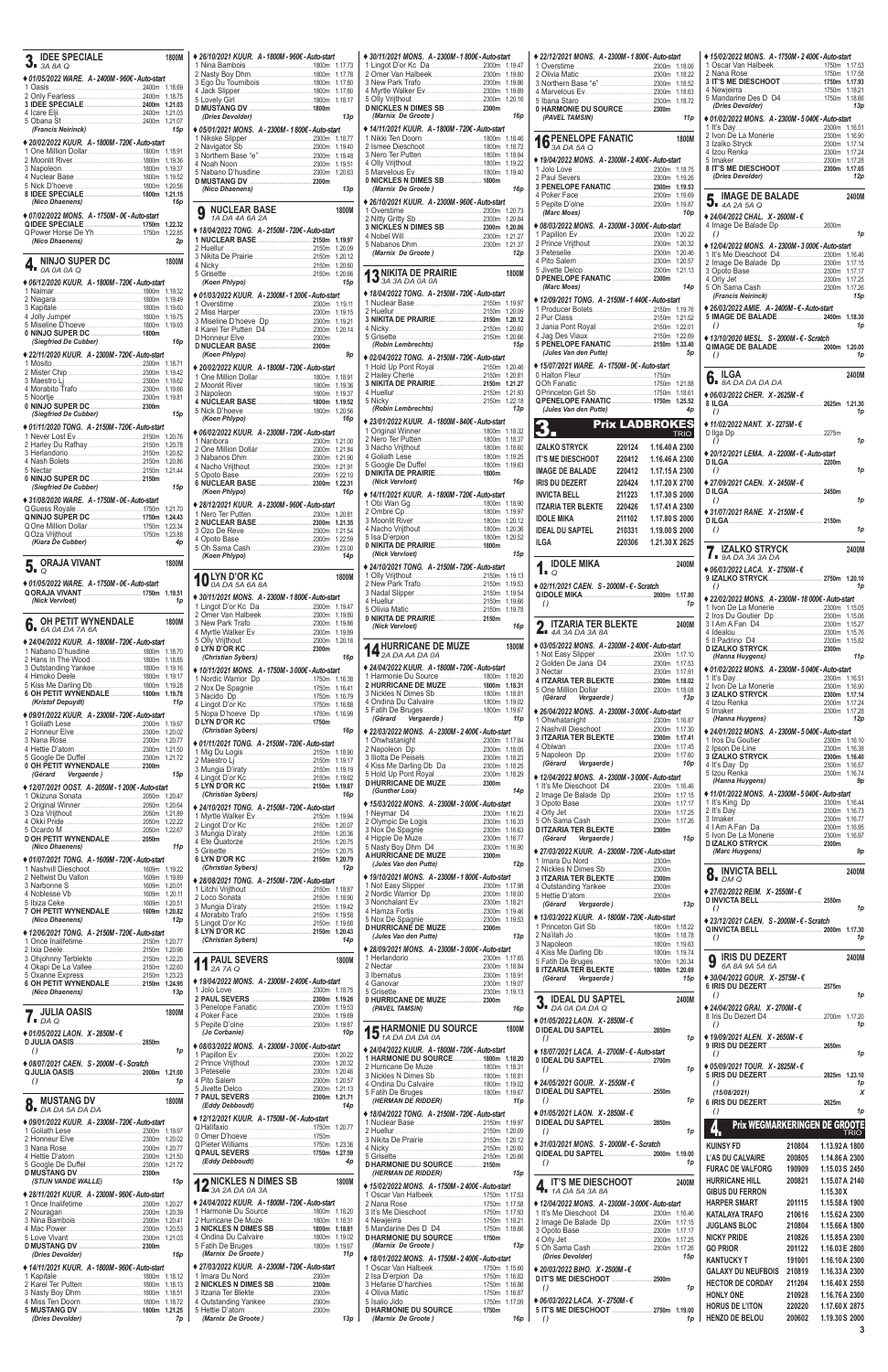**3**

| <b>IDEE SPECIALE</b>                                 | <b>1800M</b>       |
|------------------------------------------------------|--------------------|
| $\mathbf{3}_{\bullet}$ BA 8A Q                       |                    |
| ◆ 01/05/2022 WARE. A - 2400M - 960€ - Auto-start     | 1.18.69            |
|                                                      | 1.18.75            |
|                                                      | 1.21.03            |
|                                                      | 1.21.03<br>1.21.07 |
| (Francis Neirinck)                                   | 15p                |
| ◆ 20/02/2022 KUUR. A - 1800M - 720€ - Auto-start     |                    |
|                                                      | 1.18.91            |
|                                                      | 1.19.36            |
|                                                      | 1.19.37<br>1.19.52 |
|                                                      | 1.20.56            |
| (Nico Dhaenens)                                      | 1.21.15<br>16p     |
| ♦ 07/02/2022 MONS. A - 1750M - 0€ - Auto-start       |                    |
|                                                      | 1.22.32            |
|                                                      | 1.22.85            |
| (Nico Dhaenens)                                      | 2p                 |
| <b>NINJO SUPER DC</b>                                | <b>1800M</b>       |
| 0A 0A 0A Q<br>ю                                      |                    |
| ♦ 06/12/2020 KUUR. A - 1800M - 720€ - Auto-start     |                    |
|                                                      | 1.19.32<br>1.19.49 |
|                                                      | 1.19.60            |
|                                                      | 1.19.75            |
| 0 NINJO SUPER DC  1800m                              | 1.19.93            |
| (Siegfried De Cubber)                                | 16p                |
| ◆ 22/11/2020 KUUR. A - 2300M - 720€ - Auto-start     |                    |
|                                                      | 1.18.71<br>1.19.42 |
|                                                      | 1.19.62            |
|                                                      | 1.19.66            |
|                                                      | 1.19.81            |
| (Siegfried De Cubber)                                | 15p                |
| ♦ 01/11/2020 TONG. A - 2150M - 720€ - Auto-start     |                    |
|                                                      | 1.20.76            |
| 2 Harley Du Rafhay 2150m                             | 1.20.78            |
|                                                      | 1.20.82<br>1.20.86 |
|                                                      | 1.21.44            |
| 0 NINJO SUPER DC  2150m                              |                    |
| (Siegfried De Cubber)                                | 15p                |
| ◆ 31/08/2020 WARE. A - 1750M - 0€ - Auto-start       |                    |
| Q NINJO SUPER DC  1750m                              | 1.21.70<br>1.24.43 |
| Q One Million Dollar 1750m                           | 1.23.34            |
|                                                      |                    |
|                                                      | 1.23.88            |
| (Kiara De Cubber)                                    | 4p                 |
| <b>ORAJA VIVANT</b>                                  | <b>1800M</b>       |
| $\circ$                                              |                    |
| ◆ 01/05/2022 WARE. A - 1750M - 0€ - Auto-start       | 1.19.51            |
| (Nick Vervloet)                                      | 1p                 |
| <b>OH PETIT WYNENDALE</b>                            | <b>1800M</b>       |
| 6.<br>6A 0A DA 7A 6A                                 |                    |
| ◆ 24/04/2022 KUUR. A - 1800M - 720€ - Auto-start     |                    |
| 1 Nabano D'husdine 1800m                             | 1.18.70            |
|                                                      | 1.18.85<br>1.19.16 |
|                                                      | 1.19.17            |
|                                                      | 1.19.28            |
| 6 OH PETIT WYNENDALE  1800m<br>(Kristof Depuydt)     | 1.19.78<br>11 p    |
| ◆ 09/01/2022 KUUR. A - 2300M - 720€ - Auto-start     |                    |
|                                                      | 1.19.97            |
|                                                      | 1.20.02            |
|                                                      | 1.20.77<br>1.21.50 |
|                                                      | 1.21.72            |
| 0 OH PETIT WYNENDALE  2300m<br>Vergaerde)<br>(Gérard | 15p                |
|                                                      |                    |
| ♦ 12/07/2021 OOST. A - 2050M - 1 200€ - Auto-start   | 1.20.47            |
|                                                      | 1.20.64            |
|                                                      | 1.21.89            |
|                                                      | 1.22.22<br>1.22.67 |
| D OH PETIT WYNENDALE  2050m                          |                    |
| (Nico Dhaenens)                                      | 11p                |
| ♦ 01/07/2021 TONG. A - 1609M - 720€ - Auto-start     | 1.19.22            |
|                                                      | 1.19.89            |
|                                                      | 1.20.01            |
|                                                      | 1.20.11<br>1.20.51 |
|                                                      | 1.20.82            |
| (Nico Dhaenens)                                      | 12p                |
| ♦ 12/06/2021 TONG. A - 2150M - 720€ - Auto-start     |                    |
|                                                      | 1.20.77<br>1.20.96 |
|                                                      | 1.22.23            |
| 4 Okapi De La Vallee 2150m                           | 1.22.60<br>1.23.23 |
| 6 OH PETIT WYNENDALE  2150m                          | 1.24.95            |
| (Nico Dhaenens)                                      | 13p                |

| ◆ 26/10/2021 KUUR. A - 1800M - 960€ - Auto-start   |                    |
|----------------------------------------------------|--------------------|
|                                                    | 1.17.73<br>1.17.78 |
| 3 Eqo Du Tournibois 1800m                          | 1.17.80            |
|                                                    | 1.17.80            |
|                                                    | 1.18.17            |
| (Dries Devolder)                                   | 13p                |
| ◆ 05/01/2021 MONS. A - 2300M - 1 800€ - Auto-start |                    |
|                                                    | 1.18.77            |
|                                                    | 1.19.40<br>1.19.48 |
|                                                    | 1.19.51            |
|                                                    | 1.20.63            |
| (Nico Dhaenens)                                    | 13p                |
|                                                    |                    |
| NUCLEAR BASE<br>9<br>1A DA 4A 6A 2A                | 1800M              |
| ◆ 18/04/2022 TONG. A - 2150M - 720€ - Auto-start   |                    |
| 1 NUCLEAR BASE  2150m                              | 1.19.97            |
|                                                    | 1.20.09            |
| 4 Nicky 2150m                                      | 1.20.12<br>1.20.60 |
|                                                    | 1.20.66            |
| (Koen Phlypo)                                      | 15p                |
| ♦ 01/03/2022 KUUR. A - 2300M - 1 200€ - Auto-start |                    |
|                                                    | 1.19.11<br>1.19.15 |
|                                                    | 1.19.21            |
| 4 Karel Ter Putten D4 2300m                        | 1.20.14            |
|                                                    |                    |
| (Koen Phlypo)                                      | 9p                 |
| ♦ 20/02/2022 KUUR. A - 1800M - 720€ - Auto-start   |                    |
|                                                    | 1.18.91<br>1.19.36 |
|                                                    | 1.19.37            |
|                                                    | 1.19.52            |
| (Koen Phlypo)                                      | 1.20.56<br>16p     |
| ♦ 06/02/2022 KUUR. A - 2300M - 720€ - Auto-start   |                    |
|                                                    | 1.21.00            |
|                                                    | 1.21.84            |
|                                                    | 1.21.90<br>1.21.91 |
|                                                    | 1.22.10            |
|                                                    | 1.22.31            |
| (Koen Phlypo)                                      | 16p                |
| ◆ 28/12/2021 KUUR. A - 2300M - 960€ - Auto-start   | 1.20.81            |
|                                                    | 1.21.35            |
|                                                    |                    |
|                                                    | 1.21.54            |
|                                                    | 1.22.59            |
| (Koen Phlypo)                                      | 1.23.00<br>14p     |
|                                                    |                    |
| <b>DEYN D'OR KC</b><br>0A DA 5A 6A 8A              | 1800M              |
| ◆ 30/11/2021 MONS. A - 2300M - 1 800€ - Auto-start |                    |
|                                                    | 1.19.47            |
|                                                    | 1.19.80<br>1.19.86 |
|                                                    | 1.19.89            |
|                                                    | 1.20.16            |
| (Christian Sybers)                                 | 16p                |
| ♦ 10/11/2021 MONS. A - 1750M - 3 000€ - Auto-start |                    |
| 1 Nordic Warrior Dp 1750m                          | 1.16.38            |
|                                                    | 1.16.41            |
|                                                    | 1.16.79<br>1.16.88 |
| 5 Nopa D'hoeve Dp 1750m                            | 1.16.99            |
| (Christian Sybers)                                 | 16p                |
| ◆ 01/11/2021 TONG. A - 2150M - 720€ - Auto-start   |                    |
|                                                    | 1.18.90            |
|                                                    | 1.19.17            |
|                                                    | 1.19.19<br>1.19.62 |
|                                                    | 1.19.87            |
| (Christian Sybers)                                 | 16p                |
| ◆ 24/10/2021 TONG. A - 2150M - 720€ - Auto-start   | 1.19.94            |
|                                                    | 1.20.07            |
|                                                    | 1.20.36            |
|                                                    | 1.20.75<br>1.20.75 |
|                                                    | 1.20.79            |
| (Christian Sybers)                                 | 12p                |
| ♦ 28/08/2021 TONG. A - 2150M - 720€ - Auto-start   |                    |
| 2150m 2150m                                        | 1.18.87<br>1.18.90 |
|                                                    | 1.19.42            |
|                                                    | 1.19.58<br>1.19.68 |
|                                                    | 1.20.43            |
| (Christian Sybers)                                 | 14p                |
|                                                    | 1800M              |
| <b>PAUL SEVERS</b><br>2A 7A Q                      |                    |
| ◆ 19/04/2022 MONS. A - 2300M - 2 400€ - Auto-start |                    |
| 2 PAUL SEVERS  2300m                               | 1.18.75<br>1.19.26 |

| ◆ 30/11/2021 MONS. A - 2300M - 1 800€ - Auto-start       | 1.19.47            |                               |
|----------------------------------------------------------|--------------------|-------------------------------|
|                                                          | 1.19.80            | ź                             |
|                                                          | 1.19.86<br>1.19.89 | ć                             |
|                                                          | 1.20.16            | $\overline{\phantom{a}}$<br>E |
| D NICKLES N DIMES SB  2300m                              |                    |                               |
| (Marnix De Groote)                                       | 16p                |                               |
| ◆ 14/11/2021 KUUR. A - 1800M - 720€ - Auto-start         | 1.18.46            | d                             |
|                                                          | 1.18.72            |                               |
|                                                          | 1.18.94            |                               |
|                                                          | 1.19.22<br>1.19.40 |                               |
| 0 NICKLES N DIMES SB  1800m                              |                    | $\tilde{ }$                   |
| (Marnix De Groote)                                       | 16p                | î<br>Z                        |
| ◆ 26/10/2021 KUUR. A - 2300M - 960€ - Auto-start         |                    | E                             |
|                                                          | 1.20.73<br>1.20.84 |                               |
| 3 NICKLES N DIMES SB  2300m                              | 1.20.86            |                               |
|                                                          | 1.21.27            |                               |
| (Marnix De Groote)                                       | 1.21.37<br>12p     | $\sim$ b $\sim$               |
|                                                          |                    | $\overline{\phantom{a}}$      |
| 2 NIKITA DE PRAIRIE                                      | 1800M              | I                             |
| $13^{\text{NIMIA}}_{3A\,3A\,DA\,0A\,0A}$                 |                    |                               |
| ♦ 18/04/2022 TONG. A - 2150M - 720€ - Auto-start         | 1.19.97            |                               |
|                                                          | 1.20.09            |                               |
| 3 NIKITA DE PRAIRIE 2150m                                | 1.20.12            | $\ddot{\phantom{0}}$          |
| 4 Nicky 2150m                                            | 1.20.60<br>1.20.66 | Ź                             |
| (Robin Lembrechts)                                       | 15p                | ξ                             |
| ♦ 02/04/2022 TONG. A - 2150M - 720€ - Auto-start         |                    |                               |
| 1 Hold Up Pont Royal 2150m                               | 1.20.46            |                               |
|                                                          | 1.20.81<br>1.21.27 | (                             |
|                                                          | 1.21.93            | (<br>(                        |
|                                                          | 1.22.18            | (                             |
| (Robin Lembrechts)                                       | 13p                |                               |
| ◆ 23/01/2022 KUUR. A - 1800M - 840€ - Auto-start         |                    |                               |
|                                                          | 1.18.32<br>1.18.37 | K                             |
|                                                          | 1.18.60            | ı                             |
|                                                          | 1.19.25<br>1.19.63 | ı                             |
|                                                          |                    | ı                             |
| (Nick Vervloet)                                          | 16p                | ı                             |
| ◆ 14/11/2021 KUUR. A - 1800M - 720€ - Auto-start         |                    | ı                             |
|                                                          | 1.18.90<br>1.19.97 | ı                             |
|                                                          | 1.20.12            |                               |
|                                                          |                    | ı                             |
|                                                          | 1.20.36            | ı                             |
|                                                          | 1.20.52            | ı                             |
| (Nick Vervloet)                                          | 15p                |                               |
| ◆ 24/10/2021 TONG. A - 2150M - 720€ - Auto-start         |                    | I                             |
|                                                          | 1.19.13            |                               |
|                                                          | 1.19.53            |                               |
|                                                          | 1.19.54<br>1.19.66 | (                             |
|                                                          | 1.19.78            |                               |
| 0 NIKITA DE PRAIRIE 2150m<br>(Nick Vervloet)             | 16p                | l                             |
|                                                          |                    |                               |
| A HURRICANE DE MUZE                                      | 1800M              |                               |
| 2A DA AA DA 0A                                           |                    | ź                             |
| ◆ 24/04/2022 KUUR. A - 1800M - 720€ - Auto-start         |                    | í                             |
| 1 Harmonie Du Source 1800m<br>2 HURRICANE DE MUZE  1800m | 1.18.20<br>1.18.31 |                               |
|                                                          | 1.18.81            |                               |
|                                                          | 1.19.02<br>1.19.67 |                               |
| Vergaerde)<br>(Gérard                                    | 11 <sub>p</sub>    |                               |
| ♦ 22/03/2022 MONS. A - 2300M - 2400€ - Auto-start        |                    | 2                             |
|                                                          | 1.17.84            |                               |
|                                                          | 1.18.05            | E                             |
| 4 Kiss Me Darling Db Da 2300m                            | 1.18.23<br>1.18.25 |                               |
|                                                          | 1.18.29            |                               |
| D HURRICANE DE MUZE  2300m                               |                    |                               |
| (Gunther Loix)                                           | 14p                |                               |
| ♦ 15/03/2022 MONS. A - 2300M - 3 000€ - Auto-start       | 1.16.23            | $\sim$ b $\sim$               |
|                                                          | 1.16.33            | ŧ                             |
|                                                          | 1.16.63<br>1.16.77 | I                             |
|                                                          | 1.16.90            |                               |
| A HURRICANE DE MUZE  2300m                               |                    |                               |
| (Jules Van den Putte)                                    | 12p                | ź                             |
| ♦ 19/10/2021 MONS. A - 2300M - 1 800€ - Auto-start       | 1.17.98            | Z                             |
|                                                          | 1.18.00            | ŧ                             |
|                                                          | 1.18.21            |                               |
|                                                          | 1.19.46<br>1.19.53 |                               |
| D HURRICANE DE MUZE  2300m                               |                    |                               |
| (Jules Van den Putte)                                    | 13p                |                               |
| ♦ 28/09/2021 MONS. A - 2300M - 3 000€ - Auto-start       |                    | こくいん                          |
|                                                          | 1.17.65<br>1.18.84 | ŧ                             |
|                                                          | 1.18.91            | ٤                             |
|                                                          | 1.19.07<br>1.19.13 |                               |
| 0 HURRICANE DE MUZE  2300m                               |                    |                               |
| (PAVEL TAMSIN)                                           | 16p                |                               |

| <b>JULIA OASIS</b><br>1800M<br>$\blacksquare$ $\blacksquare$ $\Box$ $\Box$ $\Box$ | 0 L CIICIÓ DE 1 GIIGNO COMO CONSTITUITO DE 1930<br>4 Poker Face         | (PAVEL IAMSIN)<br>70D                              | ▼▪ <i>DA 0A DA DA</i> Q<br>♦ 01/05/2022 LAON, X - 2850M - €               | V 44/04/2022 URAI, A " 4/00M "C<br>8 Iris Du Dezert D4 |        | .2700m 1.17.20 |
|-----------------------------------------------------------------------------------|-------------------------------------------------------------------------|----------------------------------------------------|---------------------------------------------------------------------------|--------------------------------------------------------|--------|----------------|
|                                                                                   |                                                                         | 1800M                                              |                                                                           | $\left( \right)$                                       |        | 1p             |
| ◆ 01/05/2022 LAON. X - 2850M - $\epsilon$                                         | 10p<br>(Jo Corbanie)                                                    | <b>15 HARMONIE DU SOURCE</b>                       | 1n<br>$\theta$                                                            | ♦ 19/09/2021 ALEN. X - 2650M - €                       |        |                |
| 1 <sub>D</sub>                                                                    | ♦ 08/03/2022 MONS. A-2300M-3 000€-Auto-start                            | ◆ 24/04/2022 KUUR. A - 1800M - 720€ - Auto-start   | ◆ 18/07/2021 LACA. A - 2700M - € - Auto-start                             |                                                        |        | 2650m          |
|                                                                                   |                                                                         | 1 HARMONIE DU SOURCE 1800m 1.18.20                 |                                                                           | $\left( \right)$                                       |        |                |
| ♦ 08/07/2021 CAEN. S - 2000M - € - Scratch                                        |                                                                         |                                                    | 1n<br>$\left( \right)$                                                    | ♦ 05/09/2021 TOUR. $X - 2825M - \epsilon$              |        |                |
| 1 <sub>D</sub><br>$\left( \right)$                                                |                                                                         | 3 Nickles N Dimes Sb 1800m 1.18.81                 |                                                                           |                                                        |        | .2825m 1.23.10 |
|                                                                                   |                                                                         |                                                    | ♦ 24/05/2021 GOUR. $X - 2550M - \epsilon$                                 |                                                        |        |                |
| 1800M                                                                             |                                                                         | (HERMAN DE RIDDER)<br>11p                          | 1p                                                                        | (15/08/2021)                                           |        |                |
| <b>MUSTANG DV</b><br>$O$ DA DA 5A DA DA                                           | (Eddy Debboudt)<br>14 <sub>D</sub>                                      |                                                    |                                                                           | 6 IRIS DU DEZERT  2625m                                |        |                |
|                                                                                   | ◆ 12/12/2021 KUUR. A - 1750M - 0€ - Auto-start                          | ♦ 18/04/2022 TONG. A - 2150M - 720€ - Auto-start   | $\triangle$ 01/05/2021 LAON. X - 2850M - €                                |                                                        |        |                |
| ♦ 09/01/2022 KUUR. A - 2300M - 720€ - Auto-start<br>1 Goliath Lese                |                                                                         |                                                    |                                                                           | <b>Prix WEGMARKERINGEN DE GROOTE</b>                   |        |                |
|                                                                                   |                                                                         | 2 Huellur                                          | $\left( \right)$<br>1p                                                    |                                                        |        | <b>TRIO</b>    |
|                                                                                   |                                                                         |                                                    | ♦ 31/03/2021 MONS. S - 2000M - € - Scratch                                | <b>KUINSY FD</b>                                       | 210804 | 1.13.92 A 1800 |
|                                                                                   |                                                                         | 2150m 1.20.66                                      |                                                                           | L'AS DU CALVAIRE                                       | 200805 | 1.14.86 A 2300 |
|                                                                                   | (Eddy Debboudt)<br>4p                                                   | D HARMONIE DU SOURCE 2150m                         | 1 <sub>D</sub><br>$\left( \right)$                                        | <b>FURAC DE VALFORG</b>                                | 190909 | 1.15.03 S 2450 |
|                                                                                   |                                                                         | (HERMAN DE RIDDER)<br>15p                          |                                                                           |                                                        |        |                |
| (STIJN VANDE WALLE)<br>15 <sub>D</sub>                                            | <b>49 NICKLES N DIMES SB</b><br>1800M<br>$\mathbf{14}$ 3A 2A DA 0A 3A   | ♦ 15/02/2022 MONS. A - 1750M - 2 400€ - Auto-start | $\sum_{i}$ IT'S ME DIESCHOOT<br>2400M                                     | <b>HURRICANE HILL</b>                                  | 200821 | 1.15.07 A 2140 |
| ◆ 28/11/2021 KUUR. A - 2300M - 960€ - Auto-start                                  |                                                                         |                                                    |                                                                           | <b>GIBUS DU FERRON</b>                                 |        | 1.15.30 X      |
|                                                                                   | ◆ 24/04/2022 KUUR. A - 1800M - 720€ - Auto-start                        | 2 Nana Rose                                        | ♦ 12/04/2022 MONS. A - 2300M - 3 000€ - Auto-start                        | <b>HARPER SMART</b>                                    | 201115 | 1.15.58 A 1900 |
|                                                                                   | 1 Harmonie Du Source.                                                   |                                                    | 1 It's Me Dieschoot D4<br>.2300m 1.16.46<br>.                             | <b>KATALAYA TRAFO</b>                                  | 210616 | 1.15.62 A 2300 |
|                                                                                   | 2 Hurricane De Muze1800m 1.18.31<br>3 NICKLES N DIMES SB  1800m 1.18.81 | 4 Newieirra<br>5 Mandarine Des D D4 1750m 1.18.66  |                                                                           | <b>JUGLANS BLOC</b>                                    | 210804 | 1.15.66 A 1800 |
| 4 Mac Power 2300m 1.20.53                                                         | 4 Ondina Du Calvaire 1800m 1.19.02                                      | D HARMONIE DU SOURCE 1750m                         | 2300m 1.17.17                                                             | <b>NICKY PRIDE</b>                                     | 210826 | 1.15.85 A 2300 |
|                                                                                   |                                                                         | (Marnix De Groote)<br>13р                          | 2300m 1.17.25<br>5 Oh Sama Cash<br>2300m 1.17.26                          | <b>GO PRIOR</b>                                        |        | 1.16.03 E 2800 |
| (Dries Devolder)<br>16 <sub>D</sub>                                               | (Marnix De Groote)<br>11 <sub>D</sub>                                   |                                                    | (Dries Devolder)<br>15 <sub>D</sub>                                       |                                                        | 201122 |                |
| ♦ 14/11/2021 KUUR. A - 1800M - 960€ - Auto-start                                  | ♦ 27/03/2022 KUUR. A - 2300M - 720€ - Auto-start                        | ♦ 18/01/2022 MONS. A - 1750M - 2400€ - Auto-start  |                                                                           | <b>KANTUCKY T</b>                                      | 191001 | 1.16.10 A 2300 |
| 1 Kapitale.<br>$\frac{1}{2}$                                                      | 1 Imara Du Nord<br>2300m<br>.                                           |                                                    | ♦ 20/03/2022 BIHO. X - 2500M - €                                          | <b>GALAXY DU NEUFBOIS</b>                              | 210819 | 1.16.33 A 2300 |
|                                                                                   |                                                                         |                                                    | <b>DIT'S ME DIESCHOOT </b><br>2500m<br>$\left( \right)$<br>1 <sub>D</sub> | <b>HECTOR DE CORDAY</b>                                | 211204 | 1.16.40 X 2550 |
| 3 Nasty Boy Dhm1800m 1.18.51<br>4 Miss Ten Doorn1800m 1.18.72                     | 3 Itzaria Ter Blekte                                                    |                                                    |                                                                           | <b>HONLY ONE</b>                                       | 210928 | 1.16.76 A 2300 |
|                                                                                   |                                                                         | 5 Isalio Jido                                      | ♦ 06/03/2022 LACA, X-2750M-€                                              | <b>HORUS DE L'ITON</b>                                 | 220220 | 1.17.60 X 2875 |
| 5 MUSTANG DV  1800m 1.21.25                                                       | 5 Hettie D'atom.                                                        | D HARMONIE DU SOURCE 1750m                         | 5 IT'S ME DIESCHOOT  2750m 1.19.00                                        |                                                        |        |                |
| 7p<br>(Dries Devolder)                                                            | (Marnix De Groote)<br>13p                                               | (Marnix De Groote)<br>16р                          | 1p<br>$\bigcirc$                                                          | <b>HENZO DE BELOU</b>                                  | 200602 | 1.19.30 S 2000 |

| ♦ 22/12/2021 MONS. A - 2300M - 1 800€ - Auto-start                            |        |                | 1.18.06                    |
|-------------------------------------------------------------------------------|--------|----------------|----------------------------|
|                                                                               |        |                | 1.18.22<br>1.18.52         |
|                                                                               |        |                | 1.18.63                    |
|                                                                               |        |                | 1.18.72                    |
| (PAVEL TAMSIN)                                                                |        |                | 11p                        |
|                                                                               |        |                |                            |
| <b>16 PENELOPE FANATIC</b>                                                    |        |                | 1800M                      |
| ◆ 19/04/2022 MONS. A - 2300M - 2 400€ - Auto-start                            |        |                |                            |
|                                                                               |        |                | 1.18.75                    |
| 3 PENELOPE FANATIC  2300m                                                     |        |                | 1.19.26<br>1.19.53         |
|                                                                               |        |                |                            |
| (Marc Moes)                                                                   |        |                |                            |
|                                                                               |        |                | 10 <sub>p</sub>            |
| ◆ 08/03/2022 MONS. A - 2300M - 3 000€ - Auto-start                            |        |                | 1.20.22                    |
|                                                                               |        |                | 1.20.32                    |
|                                                                               |        |                | 1.20.46<br>1.20.57         |
|                                                                               |        |                |                            |
| D PENELOPE FANATIC  2300m<br>(Marc Moes)                                      |        |                |                            |
|                                                                               |        |                | 14p                        |
| ♦ 12/09/2021 TONG. A - 2150M - 1440€ - Auto-start                             |        |                | 1.19.76                    |
|                                                                               |        |                | 1.21.52                    |
|                                                                               |        |                | 1.22.01<br>1.22.69         |
| 5 PENELOPE FANATIC  2150m                                                     |        |                | 1.33.40                    |
| (Jules Van den Putte)                                                         |        |                | 5p                         |
| ◆ 15/07/2021 WARE. A-1750M-0€-Auto-start                                      |        |                |                            |
|                                                                               |        |                |                            |
|                                                                               |        |                | 1.18.61                    |
| QPENELOPE FANATIC  1750m 1.25.52<br>(Jules Van den Putte)                     |        |                | 4p                         |
| <b>Prix LADBROKES</b><br>3.                                                   |        |                |                            |
| 石                                                                             |        |                | <b>TRIO</b>                |
| <b>IZALKO STRYCK</b>                                                          | 220124 | 1.16.40 A 2300 |                            |
| <b>IT'S ME DIESCHOOT</b>                                                      | 220412 | 1.16.46 A 2300 |                            |
| <b>IMAGE DE BALADE</b>                                                        | 220412 | 1.17.15 A 2300 |                            |
| <b>IRIS DU DEZERT</b>                                                         | 220424 | 1.17.20 X 2700 |                            |
| <b>INVICTA BELL</b>                                                           | 211223 | 1.17.30 S 2000 |                            |
| <b>ITZARIA TER BLEKTE</b>                                                     | 220426 | 1.17.41 A 2300 |                            |
| <b>IDOLE MIKA</b>                                                             | 211102 | 1.17.80 S 2000 |                            |
| <b>IDEAL DU SAPTEL</b>                                                        | 210331 | 1.19.00 S 2000 |                            |
|                                                                               |        |                |                            |
| ILGA                                                                          | 220306 | 1.21.30 X 2625 |                            |
|                                                                               |        |                | 2400M                      |
| $\sum_{Q}$ IDOLE MIKA                                                         |        |                |                            |
| ♦ 02/11/2021 CAEN. S - 2000M - € - Scratch                                    |        |                | 1.17.80                    |
| $\theta$                                                                      |        |                | 1p                         |
| ITZARIA TER BLEKTE                                                            |        |                | 2400M                      |
| $\sum$ 4A 3A DA 3A 8A                                                         |        |                |                            |
| ♦ 03/05/2022 MONS. A - 2300M - 2 400€ - Auto-start                            |        |                | 1.17.10                    |
|                                                                               |        |                | 1.17.53                    |
|                                                                               |        |                | 1.17.91                    |
| 4 ITZARIA TER BLEKTE  2300m                                                   |        |                | 1.18.02<br>1.18.08         |
| (Gérard Vergaerde)                                                            |        |                | 13p                        |
| ◆ 26/04/2022 MONS. A - 2300M - 3 000€ - Auto-start                            |        |                |                            |
|                                                                               |        |                | 1.16.87                    |
| 3 ITZARIA TER BLEKTE  2300m                                                   |        |                | 1.17.30<br>1.17.41         |
|                                                                               |        |                | 1.17.45                    |
| (Gérard Vergaerde)                                                            |        |                | 1.17.60<br>10 <sub>p</sub> |
|                                                                               |        |                |                            |
| ◆ 12/04/2022 MONS. A - 2300M - 3 000€ - Auto-start                            |        |                |                            |
|                                                                               |        |                |                            |
|                                                                               |        |                |                            |
|                                                                               |        |                |                            |
| D ITZARIA TER BLEKTE  2300m<br>(Gérard Vergaerde)                             |        |                | 15p                        |
| ♦ 27/03/2022 KUUR. A - 2300M - 720€ - Auto-start                              |        |                |                            |
|                                                                               |        |                |                            |
| 3 ITZARIA TER BLEKTE  2300m                                                   |        |                |                            |
|                                                                               |        |                |                            |
|                                                                               |        |                |                            |
| (Gérard Vergaerde)                                                            |        |                | 13p                        |
| ◆ 13/03/2022 KUUR. A - 1800M - 720€ - Auto-start<br>1 Princeton Girl Sb 1800m |        |                | 1.18.22                    |
|                                                                               |        |                | 1.18.78                    |
|                                                                               |        |                | 1.19.63                    |
|                                                                               |        |                | 1.19.74<br>1.20.34         |
| 8 ITZARIA TER BLEKTE  1800m                                                   |        |                | 1.20.69                    |
| (Gérard Vergaerde)                                                            |        |                | 15p                        |
| <b>IDEAL DU SAPTEL</b><br>U DA 0A DA DA Q                                     |        |                | 2400M                      |

| ◆ 15/02/2022 MONS. A - 1750M - 2 400€ - Auto-start<br>1 Oscar Van Halbeek1750m                                                                                       | 1.17.53            |
|----------------------------------------------------------------------------------------------------------------------------------------------------------------------|--------------------|
|                                                                                                                                                                      | 1.17.58            |
|                                                                                                                                                                      | 1.17.93<br>1.18.21 |
|                                                                                                                                                                      | 1.18.66            |
| (Dries Devolder)                                                                                                                                                     | 13p                |
| ◆ 01/02/2022 MONS. A - 2300M - 5 040€ - Auto-start                                                                                                                   | 1.16.51            |
|                                                                                                                                                                      | 1.16.90            |
|                                                                                                                                                                      | 1.17.14<br>1.17.24 |
|                                                                                                                                                                      | 1.17.28            |
| 8 IT'S ME DIESCHOOT  2300m<br>(Dries Devolder)                                                                                                                       | 1.17.65<br>12p     |
| <b>IMAGE DE BALADE</b>                                                                                                                                               | 2400M              |
| $\overline{3}$ $\overline{4}$ $\overline{2}$ $\overline{4}$ $\overline{2}$ $\overline{5}$ $\overline{4}$ $\overline{2}$ $\overline{5}$ $\overline{4}$ $\overline{2}$ |                    |
| ♦ 24/04/2022 CHAL. X - 2600M - €<br>4 Image De Balade Dp 2600m                                                                                                       |                    |
| $\theta$                                                                                                                                                             | 1p                 |
| ◆ 12/04/2022 MONS. A - 2300M - 3 000€ - Auto-start                                                                                                                   |                    |
| 1 It's Me Dieschoot D42300m 1.16.46<br>2 Image De Balade Dp 2300m                                                                                                    | 1.17.15            |
|                                                                                                                                                                      |                    |
|                                                                                                                                                                      | 1.17.26            |
| (Francis Neirinck)                                                                                                                                                   | 15p                |
| ◆ 26/03/2022 AMIE. A - 2400M - € - Auto-start<br>5 IMAGE DE BALADE  2400m                                                                                            | 1.18.30            |
| $\theta$                                                                                                                                                             | 1p                 |
| ♦ 13/10/2020 MESL. S - 2000M - € - Scratch                                                                                                                           | 1.20.00            |
| $\theta$                                                                                                                                                             | 1p                 |
| <b>ILGA</b>                                                                                                                                                          | 2400M              |
| $\overline{\mathbf{0}}$ <b>BADADADA</b>                                                                                                                              |                    |
| ♦ 06/03/2022 CHER. X - 2625M - €                                                                                                                                     |                    |
| 8 ILGA<br>2625m 1.21.30<br>$\theta$                                                                                                                                  | 1p                 |
| ◆ 11/02/2022 NANT. X-2275M-€                                                                                                                                         |                    |
| D liga Dp                                                                                                                                                            |                    |
| $\theta$<br>◆ 20/12/2021 LEMA. A - 2200M - € - Auto-start                                                                                                            | 1p                 |
|                                                                                                                                                                      |                    |
| $\theta$                                                                                                                                                             | 1p                 |
| ♦ 27/09/2021 CAEN, X-2450M-€<br><b>DILGA</b><br>2450m                                                                                                                |                    |
| $\theta$                                                                                                                                                             | 1p                 |
| ♦ 31/07/2021 RANE. X - 2150M - €                                                                                                                                     |                    |
| <b>DILGA</b><br>$\left( \right)$                                                                                                                                     | 1p                 |
|                                                                                                                                                                      |                    |
|                                                                                                                                                                      |                    |
| <b>IZALKO STRYCK</b><br>7<br>■ 9A DA 3A 3A DA                                                                                                                        | 2400M              |
| ♦ 06/03/2022 LACA. X - 2750M - €                                                                                                                                     |                    |
| 9 IZALKO STRYCK 2750m 1.20.10                                                                                                                                        |                    |
| $\theta$                                                                                                                                                             | 1p                 |
| ◆ 22/02/2022 MONS. A - 2300M - 18 000€ - Auto-start                                                                                                                  | 1.15.05            |
| 2 Iros Du Goutier Dp2300m                                                                                                                                            | 1.15.06            |
|                                                                                                                                                                      | 1.15.27<br>1.15.76 |
|                                                                                                                                                                      | 1.15.82            |
| (Hanna Huygens)                                                                                                                                                      | 11p                |
| ♦ 01/02/2022 MONS. A - 2300M - 5 040€ - Auto-start                                                                                                                   |                    |
|                                                                                                                                                                      | 1.16.51            |
|                                                                                                                                                                      | 1.16.90<br>1.17.14 |
|                                                                                                                                                                      | 1.17.24            |
| (Hanna Huygens)                                                                                                                                                      | 1.17.28<br>12p     |
| ♦ 24/01/2022 MONS. A - 2300M - 5 040€ - Auto-start                                                                                                                   |                    |
|                                                                                                                                                                      | 1.16.10<br>1.16.38 |
|                                                                                                                                                                      | 1.16.40            |
|                                                                                                                                                                      | 1.16.57            |
| (Hanna Huygens)                                                                                                                                                      | 1.16.74<br>9p      |
| ♦ 11/01/2022 MONS. A - 2300M - 5 040€ - Auto-start                                                                                                                   |                    |
|                                                                                                                                                                      | 1.16.44<br>1.16.73 |
|                                                                                                                                                                      | 1.16.77            |
|                                                                                                                                                                      | 1.16.95<br>1.16.97 |
| D IZALKO STRYCK 2300m                                                                                                                                                |                    |
| (Marc Huygens)                                                                                                                                                       | 9p                 |
| <b>INVICTA BELL</b>                                                                                                                                                  | 2400M              |
| $O_{\blacksquare}$ DM Q<br>♦ 27/02/2022 REIM. X - 2550M - €                                                                                                          |                    |
|                                                                                                                                                                      |                    |
| $\theta$                                                                                                                                                             | 1p                 |
| ♦ 23/12/2021 CAEN. S-2000M- €-Scratch                                                                                                                                |                    |
| $\theta$                                                                                                                                                             | 1p                 |
| IRIS DU DEZERT                                                                                                                                                       | 2400M              |
| 6A 8A 9A 5A 6A                                                                                                                                                       |                    |
| +30/04/2022 GOUR. X-2575M-€<br>6 IRIS DU DEZERT  2575m                                                                                                               |                    |
| $\theta$                                                                                                                                                             | 1p                 |
| ♦ 24/04/2022 GRAI.  X - 2700M - €<br>$\theta$                                                                                                                        | 1.17.20<br>1p      |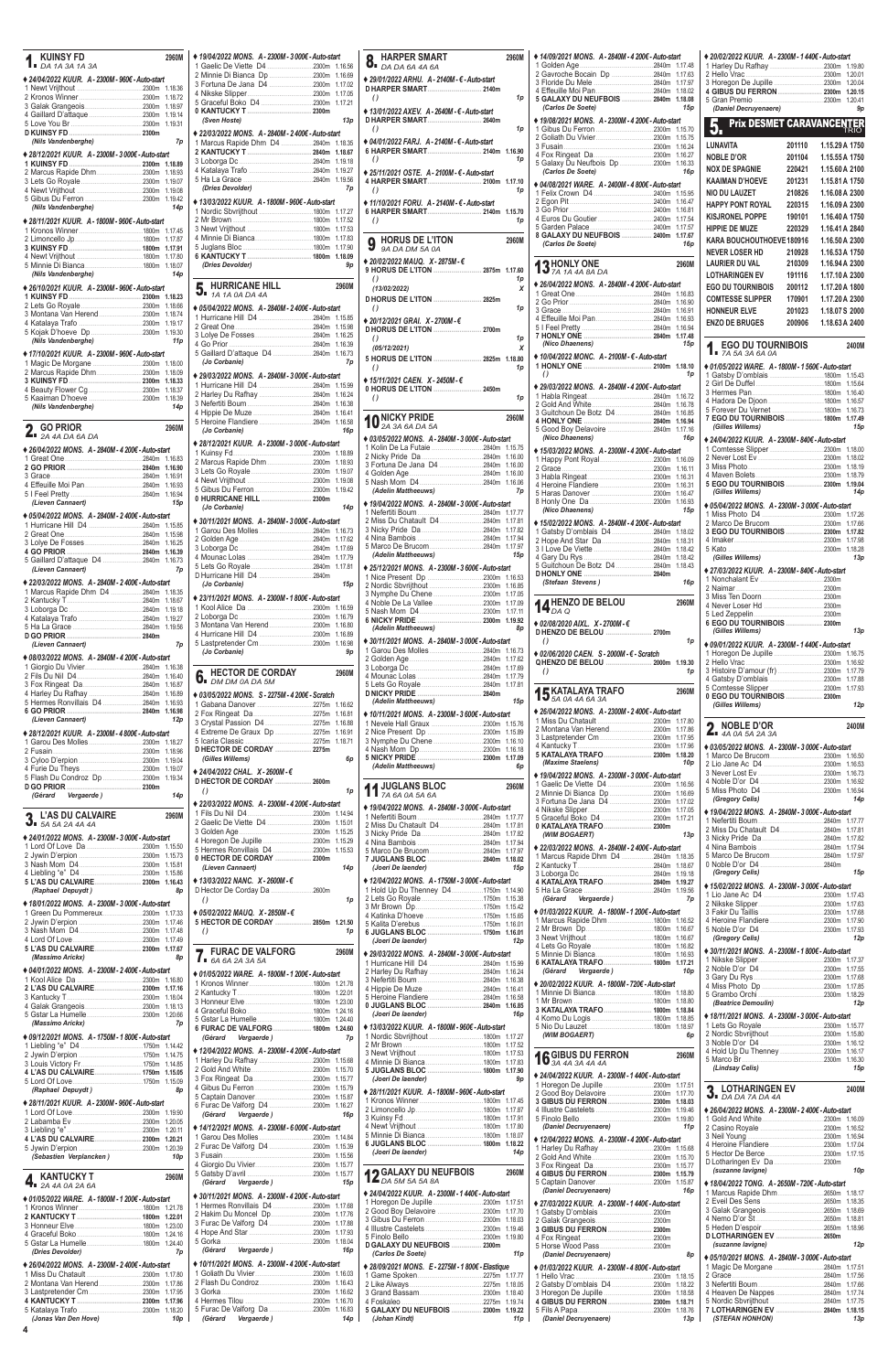| <b>KUINSY FD</b><br>DA 1A 3A 1A 3A                                              | 2960M              |
|---------------------------------------------------------------------------------|--------------------|
| ♦ 24/04/2022 KUUR. A - 2300M - 960€ - Auto-start                                |                    |
|                                                                                 | 1.18.36            |
|                                                                                 | 1.18.72            |
|                                                                                 | 1.18.97            |
|                                                                                 | 1.19.14            |
|                                                                                 | 1.19.31            |
| (Nils Vandenberghe)                                                             | 7p                 |
| ◆ 28/12/2021 KUUR. A - 2300M - 3 000€ - Auto-start                              |                    |
|                                                                                 | 1.18.89            |
| 2 Marcus Rapide Dhm 2300m                                                       | 1.18.93            |
|                                                                                 | 1.19.07<br>1.19.08 |
|                                                                                 | 1.19.42            |
| (Nils Vandenberghe)                                                             | 14 <sub>p</sub>    |
| ◆ 28/11/2021 KUUR. A - 1800M - 960€ - Auto-start                                |                    |
|                                                                                 | 1.17.45            |
|                                                                                 | 1.17.87            |
|                                                                                 | 1.17.91<br>1.17.80 |
|                                                                                 | 1.18.07            |
| (Nils Vandenberghe)                                                             | 14p                |
| ◆ 26/10/2021 KUUR. A - 2300M - 960€ - Auto-start                                |                    |
|                                                                                 | 1.18.23            |
|                                                                                 | 1.18.66            |
|                                                                                 | 1.18.74<br>1.19.17 |
|                                                                                 | 1.19.30            |
| (Nils Vandenberghe)                                                             | 11 <sub>p</sub>    |
| ♦ 17/10/2021 KUUR. A - 2300M - 960€ - Auto-start                                |                    |
|                                                                                 | 1.18.00            |
| 2 Marcus Rapide Dhm 2300m                                                       | 1.18.09            |
|                                                                                 | 1.18.33<br>1.18.37 |
|                                                                                 | 1.18.39            |
| (Nils Vandenberghe)                                                             | 14 <sub>p</sub>    |
|                                                                                 |                    |
| <b>GO PRIOR</b><br>$2A$ 4A DA 6A DA                                             | 2960M              |
| ◆ 26/04/2022 MONS. A - 2840M - 4 200€ - Auto-start                              |                    |
|                                                                                 | 1.16.83            |
|                                                                                 | 1.16.90            |
|                                                                                 | 1.16.91            |
|                                                                                 | 1.16.93            |
| (Lieven Cannaert)                                                               | 1.16.94<br>15p     |
|                                                                                 |                    |
| ♦ 05/04/2022 MONS. A - 2840M - 2400€ - Auto-start<br>1 Hurricane Hill D4 2840m  | 1.15.85            |
|                                                                                 | 1.15.98            |
|                                                                                 | 1.16.25            |
| 2840m<br>4 GO PRIOR                                                             | 1.16.39            |
| 5 Gaillard D'attaque D4 2840m<br>(Lieven Cannaert)                              | 1.16.73<br>7p      |
| ♦ 22/03/2022 MONS. A - 2840M - 2400€ - Auto-start                               |                    |
| 1 Marcus Rapide Dhm D4 2840m                                                    | 1.18.35            |
|                                                                                 | 1.18.67            |
|                                                                                 | 1.19.18            |
|                                                                                 | 1.19.27<br>1.19.56 |
|                                                                                 |                    |
| (Lieven Cannaert)                                                               | 7p                 |
| ♦ 08/03/2022 MONS. A - 2840M - 4 200€ - Auto-start                              |                    |
|                                                                                 | 1.16.38            |
|                                                                                 | 1.16.40            |
| 4 Harley Du Rafhay 2840m                                                        | 1.16.87<br>1.16.89 |
| 5 Hermes Ronvillais D4 2840m                                                    | 1.16.93            |
|                                                                                 | 1.16.98            |
| (Lieven Cannaert)                                                               | 12p                |
| ◆ 28/12/2021 KUUR. A - 2300M - 4 800€ - Auto-start                              |                    |
|                                                                                 |                    |
|                                                                                 | 1.18.27            |
|                                                                                 | 1.18.96            |
|                                                                                 | 1.19.04<br>1.19.07 |
| 5 Flash Du Condroz Dp 2300m                                                     | 1.19.34            |
|                                                                                 |                    |
| (Gérard Vergaerde)                                                              | 14p                |
| <b>L'AS DU CALVAIRE</b>                                                         | 2960M              |
| 3.5A5A2A4A4A                                                                    |                    |
| ♦ 24/01/2022 MONS. A - 2300M - 3 000€ - Auto-start                              | 1.15.50            |
|                                                                                 | 1.15.73            |
|                                                                                 | 1.15.81            |
|                                                                                 | 1.15.86            |
| (Raphael Depuydt)                                                               | 1.16.43<br>8p      |
|                                                                                 |                    |
| ◆ 18/01/2022 MONS. A - 2300M - 3 000€ - Auto-start<br>1 Green Du Pommereux2300m | 1.17.33            |
|                                                                                 | 1.17.46            |
|                                                                                 | 1.17.48            |
|                                                                                 | 1.17.49            |
| (Massimo Arickx)                                                                | 1.17.67<br>8p      |
| ♦ 04/01/2022 MONS. A - 2300M - 2400€ - Auto-start                               |                    |

| ♦ 19/04/2022 MONS. A - 2300M - 3 000€ - Auto-start<br>1 Gaelic De Viette D4 2300m 1.16.56                                                                                                                                                                                                                                                                                                                                                                                                                                                                                        |         |
|----------------------------------------------------------------------------------------------------------------------------------------------------------------------------------------------------------------------------------------------------------------------------------------------------------------------------------------------------------------------------------------------------------------------------------------------------------------------------------------------------------------------------------------------------------------------------------|---------|
|                                                                                                                                                                                                                                                                                                                                                                                                                                                                                                                                                                                  |         |
| 2 Minnie Di Bianca Dp 2300m                                                                                                                                                                                                                                                                                                                                                                                                                                                                                                                                                      |         |
| 3 Fortuna De Jana D4 2300m 1.17.02                                                                                                                                                                                                                                                                                                                                                                                                                                                                                                                                               | 1.16.69 |
|                                                                                                                                                                                                                                                                                                                                                                                                                                                                                                                                                                                  |         |
| 5 Graceful Boko D4 2300m                                                                                                                                                                                                                                                                                                                                                                                                                                                                                                                                                         | 1.17.21 |
|                                                                                                                                                                                                                                                                                                                                                                                                                                                                                                                                                                                  |         |
| (Sven Hoste)                                                                                                                                                                                                                                                                                                                                                                                                                                                                                                                                                                     | 13p     |
| ◆ 22/03/2022 MONS. A - 2840M - 2 400€ - Auto-start                                                                                                                                                                                                                                                                                                                                                                                                                                                                                                                               |         |
| 1 Marcus Rapide Dhm D4 2840m                                                                                                                                                                                                                                                                                                                                                                                                                                                                                                                                                     | 1.18.35 |
|                                                                                                                                                                                                                                                                                                                                                                                                                                                                                                                                                                                  | 1.18.67 |
|                                                                                                                                                                                                                                                                                                                                                                                                                                                                                                                                                                                  | 1.19.18 |
|                                                                                                                                                                                                                                                                                                                                                                                                                                                                                                                                                                                  | 1.19.27 |
|                                                                                                                                                                                                                                                                                                                                                                                                                                                                                                                                                                                  |         |
| (Dries Devolder)                                                                                                                                                                                                                                                                                                                                                                                                                                                                                                                                                                 | 7p      |
| ◆ 13/03/2022 KUUR. A - 1800M - 960€ - Auto-start                                                                                                                                                                                                                                                                                                                                                                                                                                                                                                                                 |         |
|                                                                                                                                                                                                                                                                                                                                                                                                                                                                                                                                                                                  | 1.17.27 |
|                                                                                                                                                                                                                                                                                                                                                                                                                                                                                                                                                                                  | 1.17.52 |
|                                                                                                                                                                                                                                                                                                                                                                                                                                                                                                                                                                                  | 1.17.53 |
|                                                                                                                                                                                                                                                                                                                                                                                                                                                                                                                                                                                  | 1.17.83 |
|                                                                                                                                                                                                                                                                                                                                                                                                                                                                                                                                                                                  | 1.17.90 |
|                                                                                                                                                                                                                                                                                                                                                                                                                                                                                                                                                                                  | 1.18.09 |
| (Dries Devolder)                                                                                                                                                                                                                                                                                                                                                                                                                                                                                                                                                                 | 9p      |
|                                                                                                                                                                                                                                                                                                                                                                                                                                                                                                                                                                                  |         |
| <b>HURRICANE HILL</b>                                                                                                                                                                                                                                                                                                                                                                                                                                                                                                                                                            | 2960M   |
| $\mathbf{5}_{\bullet}$ HURRICANE <b>n</b><br>$\mathbf{7}_{A}$ $\mathbf{7}_{A}$ $\mathbf{0}_{A}$ $\mathbf{0}_{A}$ $\mathbf{0}_{A}$ $\mathbf{4}_{A}$                                                                                                                                                                                                                                                                                                                                                                                                                               |         |
| ♦ 05/04/2022 MONS. A - 2840M - 2 400€ - Auto-start                                                                                                                                                                                                                                                                                                                                                                                                                                                                                                                               |         |
|                                                                                                                                                                                                                                                                                                                                                                                                                                                                                                                                                                                  | 1.15.85 |
|                                                                                                                                                                                                                                                                                                                                                                                                                                                                                                                                                                                  | 1.15.98 |
|                                                                                                                                                                                                                                                                                                                                                                                                                                                                                                                                                                                  | 1.16.25 |
|                                                                                                                                                                                                                                                                                                                                                                                                                                                                                                                                                                                  | 1.16.39 |
|                                                                                                                                                                                                                                                                                                                                                                                                                                                                                                                                                                                  | 1.16.73 |
| (Jo Corbanie)                                                                                                                                                                                                                                                                                                                                                                                                                                                                                                                                                                    | 7p      |
| ◆ 29/03/2022 MONS. A - 2840M - 3 000€ - Auto-start                                                                                                                                                                                                                                                                                                                                                                                                                                                                                                                               |         |
|                                                                                                                                                                                                                                                                                                                                                                                                                                                                                                                                                                                  | 1.15.99 |
|                                                                                                                                                                                                                                                                                                                                                                                                                                                                                                                                                                                  | 1.16.24 |
|                                                                                                                                                                                                                                                                                                                                                                                                                                                                                                                                                                                  | 1.16.38 |
|                                                                                                                                                                                                                                                                                                                                                                                                                                                                                                                                                                                  | 1.16.41 |
|                                                                                                                                                                                                                                                                                                                                                                                                                                                                                                                                                                                  | 1.16.58 |
| (Jo Corbanie)                                                                                                                                                                                                                                                                                                                                                                                                                                                                                                                                                                    | 16p     |
| ◆ 28/12/2021 KUUR. A - 2300M - 3 000€ - Auto-start                                                                                                                                                                                                                                                                                                                                                                                                                                                                                                                               |         |
|                                                                                                                                                                                                                                                                                                                                                                                                                                                                                                                                                                                  | 1.18.89 |
|                                                                                                                                                                                                                                                                                                                                                                                                                                                                                                                                                                                  | 1.18.93 |
|                                                                                                                                                                                                                                                                                                                                                                                                                                                                                                                                                                                  | 1.19.07 |
|                                                                                                                                                                                                                                                                                                                                                                                                                                                                                                                                                                                  | 1.19.08 |
|                                                                                                                                                                                                                                                                                                                                                                                                                                                                                                                                                                                  | 1.19.42 |
| 0 HURRICANE HILL  2300m                                                                                                                                                                                                                                                                                                                                                                                                                                                                                                                                                          |         |
| (Jo Corbanie)                                                                                                                                                                                                                                                                                                                                                                                                                                                                                                                                                                    | 14p     |
| ♦ 30/11/2021 MONS. A - 2840M - 3 000€ - Auto-start                                                                                                                                                                                                                                                                                                                                                                                                                                                                                                                               |         |
|                                                                                                                                                                                                                                                                                                                                                                                                                                                                                                                                                                                  |         |
|                                                                                                                                                                                                                                                                                                                                                                                                                                                                                                                                                                                  | 1.17.62 |
|                                                                                                                                                                                                                                                                                                                                                                                                                                                                                                                                                                                  |         |
|                                                                                                                                                                                                                                                                                                                                                                                                                                                                                                                                                                                  | 1.17.79 |
|                                                                                                                                                                                                                                                                                                                                                                                                                                                                                                                                                                                  | 1.17.81 |
| D Hurricane Hill D4 2840m                                                                                                                                                                                                                                                                                                                                                                                                                                                                                                                                                        |         |
| (Jo Corbanie)                                                                                                                                                                                                                                                                                                                                                                                                                                                                                                                                                                    | 15p     |
| ♦ 23/11/2021 MONS. A - 2300M - 1 800€ - Auto-start                                                                                                                                                                                                                                                                                                                                                                                                                                                                                                                               |         |
|                                                                                                                                                                                                                                                                                                                                                                                                                                                                                                                                                                                  | 1.16.59 |
|                                                                                                                                                                                                                                                                                                                                                                                                                                                                                                                                                                                  |         |
|                                                                                                                                                                                                                                                                                                                                                                                                                                                                                                                                                                                  |         |
|                                                                                                                                                                                                                                                                                                                                                                                                                                                                                                                                                                                  |         |
|                                                                                                                                                                                                                                                                                                                                                                                                                                                                                                                                                                                  | 1.16.89 |
|                                                                                                                                                                                                                                                                                                                                                                                                                                                                                                                                                                                  |         |
| (Jo Corbanie)                                                                                                                                                                                                                                                                                                                                                                                                                                                                                                                                                                    | 9p      |
|                                                                                                                                                                                                                                                                                                                                                                                                                                                                                                                                                                                  |         |
| <b>HECTOR DE CORDAY</b>                                                                                                                                                                                                                                                                                                                                                                                                                                                                                                                                                          | 2960M   |
|                                                                                                                                                                                                                                                                                                                                                                                                                                                                                                                                                                                  |         |
|                                                                                                                                                                                                                                                                                                                                                                                                                                                                                                                                                                                  |         |
|                                                                                                                                                                                                                                                                                                                                                                                                                                                                                                                                                                                  |         |
|                                                                                                                                                                                                                                                                                                                                                                                                                                                                                                                                                                                  |         |
|                                                                                                                                                                                                                                                                                                                                                                                                                                                                                                                                                                                  |         |
|                                                                                                                                                                                                                                                                                                                                                                                                                                                                                                                                                                                  |         |
|                                                                                                                                                                                                                                                                                                                                                                                                                                                                                                                                                                                  |         |
|                                                                                                                                                                                                                                                                                                                                                                                                                                                                                                                                                                                  |         |
| (Gilles Willems)                                                                                                                                                                                                                                                                                                                                                                                                                                                                                                                                                                 | 6p      |
|                                                                                                                                                                                                                                                                                                                                                                                                                                                                                                                                                                                  |         |
|                                                                                                                                                                                                                                                                                                                                                                                                                                                                                                                                                                                  |         |
| $\theta$                                                                                                                                                                                                                                                                                                                                                                                                                                                                                                                                                                         | 1p      |
|                                                                                                                                                                                                                                                                                                                                                                                                                                                                                                                                                                                  |         |
|                                                                                                                                                                                                                                                                                                                                                                                                                                                                                                                                                                                  |         |
|                                                                                                                                                                                                                                                                                                                                                                                                                                                                                                                                                                                  |         |
|                                                                                                                                                                                                                                                                                                                                                                                                                                                                                                                                                                                  |         |
|                                                                                                                                                                                                                                                                                                                                                                                                                                                                                                                                                                                  |         |
|                                                                                                                                                                                                                                                                                                                                                                                                                                                                                                                                                                                  |         |
|                                                                                                                                                                                                                                                                                                                                                                                                                                                                                                                                                                                  |         |
| (Lieven Cannaert)                                                                                                                                                                                                                                                                                                                                                                                                                                                                                                                                                                | 14p     |
|                                                                                                                                                                                                                                                                                                                                                                                                                                                                                                                                                                                  |         |
|                                                                                                                                                                                                                                                                                                                                                                                                                                                                                                                                                                                  |         |
|                                                                                                                                                                                                                                                                                                                                                                                                                                                                                                                                                                                  |         |
| $\theta$                                                                                                                                                                                                                                                                                                                                                                                                                                                                                                                                                                         | 1p      |
|                                                                                                                                                                                                                                                                                                                                                                                                                                                                                                                                                                                  |         |
|                                                                                                                                                                                                                                                                                                                                                                                                                                                                                                                                                                                  |         |
| $\theta$                                                                                                                                                                                                                                                                                                                                                                                                                                                                                                                                                                         | 1p      |
| $\mathbf{6}_{\blacksquare}$ DM DM 0A DA 5M                                                                                                                                                                                                                                                                                                                                                                                                                                                                                                                                       |         |
| <b>FURAC DE VALFORG</b>                                                                                                                                                                                                                                                                                                                                                                                                                                                                                                                                                          | 2960M   |
|                                                                                                                                                                                                                                                                                                                                                                                                                                                                                                                                                                                  |         |
|                                                                                                                                                                                                                                                                                                                                                                                                                                                                                                                                                                                  |         |
|                                                                                                                                                                                                                                                                                                                                                                                                                                                                                                                                                                                  |         |
| 3 Montana Van Herend2300m 1.16.80<br>♦ 03/05/2022 MONS. S - 2275M - 4 200€ - Scratch<br>4 Extreme De Graux Dp 2275m 1.16.91<br>D HECTOR DE CORDAY  2275m<br>+ 24/04/2022 CHAL. X-2600M-€<br>D HECTOR DE CORDAY  2600m<br>◆ 22/03/2022 MONS. A - 2300M - 4 200€ - Auto-start<br>2 Gaelic De Viette D4 2300m 1.15.01<br>5 Hermes Ronvillais D4 2300m 1.15.53<br>0 HECTOR DE CORDAY  2300m<br>♦ 13/03/2022 NANC. X - 2600M - €<br>♦ 05/02/2022 MAUQ. X - 2850M - €<br>5 HECTOR DE CORDAY  2850m 1.21.50<br>$1.6A$ 6A 2A 3A 5A<br>◆ 01/05/2022 WARE. A - 1800M - 1 200€ - Auto-start |         |

| <b>HARPER SMART</b><br>$\sum_{\text{D}}$ HARPLIN -                                        | 2960M              |
|-------------------------------------------------------------------------------------------|--------------------|
| ◆ 29/01/2022 ARHU. A-2140M- €-Auto-start<br>D HARPER SMART 2140m                          |                    |
| $\theta$                                                                                  | 1p                 |
| ♦ 13/01/2022 AXEV. A - 2640M - € - Auto-start<br>D HARPER SMART 2640m<br>$\theta$         | 1p                 |
| ♦ 04/01/2022 FARJ. A-2140M- €- Auto-start<br>6 HARPER SMART 2140m 1.16.90<br>$\theta$     | 1p                 |
| ♦ 25/11/2021 OSTE, A-2100M- €-Auto-start<br>4 HARPER SMART 2100m 1.17.10<br>$\theta$      | 1p                 |
| ◆ 11/10/2021 FORU. A - 2140M - € - Auto-start<br>6 HARPER SMART 2140m 1.15.70<br>$\theta$ | 1p                 |
| <b>HORUS DE L'ITON</b><br>9A DA DM 5A 0A                                                  | 2960M              |
| ♦ 20/02/2022 MAUQ. X - 2875M - €<br>9 HORUS DE L'ITON  2875m 1.17.60<br>$\theta$          | 1p                 |
| (13/02/2022)<br>D HORUS DE L'ITON  2825m                                                  | X                  |
| $\theta$<br>♦ 20/12/2021 GRAI.  X - 2700M - €                                             | 1p                 |
| $\theta$                                                                                  | 1p                 |
| (05/12/2021)<br>5 HORUS DE L'ITON  2825m 1.18.80<br>$\theta$                              | x<br>1p            |
| ♦ 15/11/2021 CAEN. X - 2450M - €<br>0 HORUS DE L'ITON  2450m                              |                    |
| $\left( \right)$                                                                          | 1p                 |
| O NICKY PRIDE<br>2A 3A 6A DA 5A                                                           | 2960M              |
| ♦ 03/05/2022 MONS. A - 2840M - 3 000€ - Auto-start<br>1 Kolin De La Futaie 2840m 1.15.75  |                    |
|                                                                                           |                    |
| 3 Fortuna De Jana D4 2840m 1.16.00                                                        |                    |
| (Adelin Mattheeuws)                                                                       | 7p                 |
| ♦ 19/04/2022 MONS. A-2840M-3 000€-Auto-start                                              |                    |
| 2 Miss Du Chatault D42840m 1.17.81                                                        |                    |
|                                                                                           |                    |
|                                                                                           |                    |
| (Adelin Mattheeuws)                                                                       | 15p                |
|                                                                                           |                    |
| ♦ 25/12/2021 MONS. A - 2300M - 3 600€ - Auto-start                                        |                    |
|                                                                                           | 1.16.53<br>1.16.85 |
| 3 Nymphe Du Chene 2300m                                                                   | 1.17.05            |
| 4 Noble De La Vallee 2300m                                                                | 1.17.09<br>1.17.11 |
|                                                                                           | 1.19.92            |
| (Adelin Mattheeuws)<br>♦ 30/11/2021 MONS. A - 2840M - 3 000€ - Auto-start                 | 8p                 |
|                                                                                           | 1.16.73            |
|                                                                                           | 1.17.62            |
|                                                                                           | 1.17.69<br>1.17.79 |
|                                                                                           | 1.17.81            |
| (Adelin Mattheeuws)                                                                       | 15p                |
| ♦ 10/11/2021 MONS. A - 2300M - 3 600€ - Auto-start                                        |                    |
|                                                                                           | 1.15.76<br>1.15.89 |
|                                                                                           | 1.16.10            |
|                                                                                           | 1.16.18<br>1.17.09 |
| (Adelin Mattheeuws)                                                                       | 6p                 |
| JUGLANS BLOC<br>7A 6A 0A 5A 6A                                                            | 2960M              |
| ♦ 19/04/2022 MONS. A - 2840M - 3 000€ - Auto-start                                        |                    |
| 2 Miss Du Chatault D42840m                                                                | 1.17.77<br>1.17.81 |
|                                                                                           | 1.17.82            |
|                                                                                           | 1.17.94<br>1.17.97 |
| 7 JUGLANS BLOC  2840m<br>(Joeri De laender)                                               | 1.18.02<br>15p     |
| ◆ 12/04/2022 MONS. A - 1750M - 3 000€ - Auto-start                                        |                    |
| 1 Hold Up Du Thenney D41750m                                                              | 1.14.90<br>1.15.38 |
|                                                                                           | 1.15.42            |
|                                                                                           | 1.15.65            |
| 6 JUGLANS BLOC  1750m                                                                     | 1.16.01<br>1.16.01 |
| (Joeri De laender)                                                                        | 12p                |
| ◆ 29/03/2022 MONS. A-2840M-3 000€-Auto-start<br>1 Hurricane Hill D4 2840m                 | 1.15.99            |
|                                                                                           | 1.16.24            |
|                                                                                           | 1.16.38<br>1.16.41 |
|                                                                                           | 1.16.58            |
| 0 JUGLANS BLOC  2840m<br>(Joeri De laender)                                               | 1.16.85<br>16p     |

|                                                    | .<br>.                                             |                                                                          | v zviezizozz noon. A - Toomi - Tzoc - Auto-stan    |                                                    |
|----------------------------------------------------|----------------------------------------------------|--------------------------------------------------------------------------|----------------------------------------------------|----------------------------------------------------|
|                                                    |                                                    | 5 Heroine Flandiere                                                      |                                                    | .2300m 1.18.29                                     |
|                                                    |                                                    | 0 JUGLANS BLOC  2840m 1.16.85                                            | 3 KATALAYA TRAFO  1800m 1.18.84                    | <i>(Beatrice Demoulin)</i><br>12p                  |
|                                                    |                                                    | (Joeri De laender)<br>16p                                                |                                                    | ♦ 18/11/2021 MONS. A - 2300M - 3 000€ - Auto-start |
| (Massimo Arickx)<br>7p                             |                                                    | ♦ 13/03/2022 KUUR. A - 1800M - 960€ - Auto-start                         |                                                    |                                                    |
|                                                    | 6 FURAC DE VALFORG  1800m 1.24.60                  |                                                                          | (WIM BOGAERT)<br>6p                                | 2300m 1.15.80                                      |
| ♦ 09/12/2021 MONS. A - 1750M - 1 800€ - Auto-start | 7p<br>(Gérard Vergaerde)                           |                                                                          |                                                    |                                                    |
|                                                    | ♦ 12/04/2022 MONS. A - 2300M - 4 200€ - Auto-start |                                                                          |                                                    |                                                    |
|                                                    |                                                    |                                                                          | 2960M<br><b>16</b> GIBUS DU FERRON                 | .2300m 1.16.30                                     |
|                                                    |                                                    | 5 JUGLANS BLOC  1800m 1.17.90                                            |                                                    | (Lindsay Celis)<br>15p                             |
|                                                    |                                                    | (Joeri De laender)<br>9 <sub>D</sub>                                     | ◆ 24/04/2022 KUUR. A - 2300M - 1 440€ - Auto-start |                                                    |
|                                                    |                                                    |                                                                          | 1 Horegon De Jupille<br>2300m 1.17.51              | 2400M                                              |
| <b>8p</b><br>(Raphael Depuydt)                     |                                                    | ◆ 28/11/2021 KUUR. A - 1800M - 960€ - Auto-start                         | 2 Good Boy Delavoire<br>2300m 1.17.70              | <b>3.</b> LOTHARINGEN EV                           |
| ◆ 28/11/2021 KUUR. A - 2300M - 960€ - Auto-start   |                                                    |                                                                          |                                                    |                                                    |
|                                                    | (Gérard Vergaerde)<br>16 <sub>D</sub>              |                                                                          |                                                    | ♦ 26/04/2022 MONS, A - 2300M - 2400€ - Auto-start  |
|                                                    |                                                    |                                                                          |                                                    | .2300m 1.16.09                                     |
|                                                    | ♦ 14/12/2021 MONS. A - 2300M - 6 000€ - Auto-start |                                                                          | (Daniel Decruyenaere)<br>11 <sub>D</sub>           |                                                    |
|                                                    |                                                    |                                                                          | ♦ 12/04/2022 MONS. A - 2300M - 4 200€ - Auto-start |                                                    |
| 5 Jywin D'erpion                                   |                                                    |                                                                          |                                                    |                                                    |
| (Sebastien Verplancken)<br>10 <sub>D</sub>         | 3 Fusain.                                          | (Joeri De laender)<br>14 <sub>p</sub>                                    | 2300m 1.15.70                                      |                                                    |
|                                                    |                                                    |                                                                          | 2300m 1.15.77                                      |                                                    |
|                                                    |                                                    | <b>49 GALAXY DU NEUFBOIS</b><br>2960M                                    |                                                    | (suzanne lavigne)<br>10 <sub>p</sub>               |
| 2960M<br><b>KANTUCKY T</b>                         | (Gérard Vergaerde)<br>15p                          | $L_{DA,5M,5A,5A,8A}$                                                     |                                                    | ♦ 18/04/2022 TONG. A - 2650M - 720€ - Auto-start   |
| <b>TI</b> 2A 4A 0A 2A 6A                           |                                                    |                                                                          | 16p<br>(Daniel Decruyenaere)                       |                                                    |
| ♦ 01/05/2022 WARE, A-1800M-1 200€-Auto-start       | ♦ 30/11/2021 MONS. A - 2300M - 4 200€ - Auto-start | ♦ 24/04/2022 KUUR, A - 2300M - 1 440€ - Auto-start                       |                                                    |                                                    |
| 1 Kronos Winner                                    | 1 Hermes Ronvillais D4 2300m 1.17.68               | 1 Horegon De Jupille 2300m 1.17.51<br>2 Good Boy Delavoire 2300m 1.17.70 | ♦ 27/03/2022 KUUR. A - 2300M - 1 440€ - Auto-start |                                                    |
|                                                    | 2 Hakim Du Moncel Dp2300m 1.17.76                  |                                                                          |                                                    |                                                    |
|                                                    | 3 Furac De Valforg D4 2300m 1.17.88                |                                                                          | 2300m                                              | 2650m 1.18.96                                      |
|                                                    |                                                    |                                                                          |                                                    | <b>DLOTHARINGEN EV  2650m</b>                      |
| 5 Gstar La Humelle<br>.1800m 1.24.40               | 2300m 1.18.04                                      | D GALAXY DU NEUFBOIS  2300m                                              |                                                    | (suzanne lavigne)<br>12p                           |
| (Dries Devolder)<br>7p                             | (Gérard Vergaerde)<br>16p                          | (Carlos De Soete)<br>11p                                                 | (Daniel Decruyenaere)<br><b>8p</b>                 |                                                    |
|                                                    |                                                    |                                                                          |                                                    | ♦ 05/10/2021 MONS. A - 2840M - 3 000€ - Auto-start |
| ♦ 26/04/2022 MONS. A - 2300M - 2400€ - Auto-start  | ♦ 10/11/2021 MONS. A - 2300M - 4 200€ - Auto-start | ♦ 28/09/2021 MONS. E - 2275M - 1 800€ - Elastique                        | ♦ 01/03/2022 KUUR. A - 2300M - 4 800€ - Auto-start |                                                    |
| 1 Miss Du Chatault                                 |                                                    |                                                                          |                                                    |                                                    |
| 2 Montana Van Herend2300m 1.17.86                  |                                                    |                                                                          | 2 Gatsby D'omblais D4<br>2300m 1.18.22             |                                                    |
|                                                    | $2300m$ 1.16.62<br>3 Gorka                         |                                                                          |                                                    | 4 Heaven De Nappes 2840m 1.17.74                   |
|                                                    |                                                    | 4 Foskaleo.<br>$2275m$ 1.19.74                                           |                                                    |                                                    |
|                                                    | 5 Furac De Valforg Da<br>.2300m 1.16.83            | 5 GALAXY DU NEUFBOIS  2300m 1.19.22                                      |                                                    | 7 LOTHARINGEN EV  2840m 1.18.15                    |
| (Jonas Van Den Hove)<br>10p                        | (Gérard Vergaerde)<br>14p                          | (Johan Kindt)<br>11 p                                                    | (Daniel Decruyenaere)<br>13p                       | (STEFAN HONHON)<br>13p                             |
|                                                    |                                                    |                                                                          |                                                    |                                                    |

| ◆ 14/09/2021 MONS. A-2840M-4 200€-Auto-start       |                    |
|----------------------------------------------------|--------------------|
|                                                    | 1.17.48            |
|                                                    | 1.17.63<br>1.17.97 |
|                                                    | 1.18.02            |
| 5 GALAXY DU NEUFBOIS  2840m                        | 1.18.08            |
| (Carlos De Soete)                                  | 15p                |
|                                                    |                    |
| ♦ 19/08/2021 MONS. A - 2300M - 4 200€ - Auto-start |                    |
|                                                    | 1.15.70            |
|                                                    | 1.15.75<br>1.16.24 |
|                                                    | 1.16.27            |
| 5 Galaxy Du Neufbois Dp 2300m                      | 1.16.33            |
| (Carlos De Soete)                                  | 16p                |
| ♦ 04/08/2021 WARE, A - 2400M - 4 800€ - Auto-start |                    |
|                                                    | 1.15.95            |
|                                                    | 1.16.47            |
|                                                    | 1.16.81            |
|                                                    | 1.17.54            |
|                                                    | 1.17.57            |
| 8 GALAXY DU NEUFBOIS  2400m                        | 1.17.67            |
| (Carlos De Soete)                                  | 16p                |
|                                                    |                    |
| 13 HONLY ONE 74 14 44 84 DA                        | 2960M              |
|                                                    |                    |
| ♦ 26/04/2022 MONS. A - 2840M - 4 200€ - Auto-start |                    |
|                                                    | 1.16.83            |
|                                                    | 1.16.90            |
|                                                    | 1.16.91<br>1.16.93 |
|                                                    | 1.16.94            |
|                                                    | 1.17.48            |
| (Nico Dhaenens)                                    | 15p                |
| ◆ 10/04/2022 MONC. A - 2100M - € - Auto-start      |                    |
|                                                    | 1.18.10            |
| $\theta$                                           | 1p                 |
|                                                    |                    |
| ♦ 29/03/2022 MONS. A - 2840M - 4 200€ - Auto-start |                    |
|                                                    | 1.16.72<br>1.16.78 |
| 3 Guitchoun De Botz D4 2840m                       | 1.16.85            |
|                                                    | 1.16.94            |
|                                                    | 1.17.16            |
| (Nico Dhaenens)                                    | 16p                |
| ♦ 15/03/2022 MONS. A - 2300M - 4 200€ - Auto-start |                    |
|                                                    | 1.16.09            |
| 2300m                                              | 1.16.11            |
|                                                    | 1.16.31            |
|                                                    | 1.16.31            |
|                                                    | 1.16.47            |
|                                                    | 1.16.93            |
| (Nico Dhaenens)                                    | 15p                |
| ♦ 15/02/2022 MONS. A - 2840M - 4 200€ - Auto-start |                    |
| 1 Gatsby D'omblais D42840m                         |                    |
|                                                    | 1.18.02            |
|                                                    | 1.18.31            |
|                                                    | 1.18.42            |
|                                                    | 1.18.42            |
| 5 Guitchoun De Botz D4 2840m                       | 1.18.43            |
| (Stefaan Stevens)                                  | 16p                |
|                                                    |                    |
|                                                    | 2960M              |
| A HENZO DE BELOU<br>"DA Q                          |                    |
| ♦ 02/08/2020 AIXL. X - 2700M - €                   |                    |
|                                                    |                    |
| D HENZO DE BELOU  2700m<br>$\theta$                | 1p                 |
|                                                    |                    |
| ♦ 02/06/2020 CAEN. S - 2000M - € - Scratch         |                    |
| QHENZO DE BELOU  2000m 1.19.30<br>$\theta$         | 1p                 |
|                                                    |                    |
| <b>E KATALAYA TRAFO</b>                            | 2960M              |
|                                                    |                    |
| $15_{\text{5A OA 4A 6A 3A}}$                       |                    |
| ♦ 26/04/2022 MONS. A - 2300M - 2400€ - Auto-start  |                    |
| 2 Montana Van Herend2300m                          | 1.17.86            |
|                                                    | 1.17.95            |
|                                                    | 1.17.96            |
|                                                    | 1.18.20            |
| (Maxime Staelens)                                  | 10 <sub>p</sub>    |
| ♦ 19/04/2022 MONS. A - 2300M - 3 000€ - Auto-start |                    |
| 1 Gaelic De Viette D4 2300m                        | 1.16.56            |
|                                                    | 1.16.69            |
|                                                    | 1.17.02            |
|                                                    | 1.17.05<br>1.17.21 |
| 0 KATALAYA TRAFO  2300m                            |                    |
| (WIM BOGAERT)                                      | 13p                |
|                                                    |                    |
| ♦ 22/03/2022 MONS. A - 2840M - 2 400€ - Auto-start |                    |
| 1 Marcus Rapide Dhm D4 2840m 1.18.35               | 1.18.67            |
|                                                    | 1.19.18            |
|                                                    | 1.19.27            |
|                                                    | 1.19.56            |
| (Gérard Vergaerde)                                 | 7p                 |
| ♦ 01/03/2022 KUUR. A - 1800M - 1 200€ - Auto-start |                    |
|                                                    | 1.16.52            |
|                                                    | 1.16.67            |
|                                                    | 1.16.67            |
|                                                    | 1.16.82            |
|                                                    | 1.16.93            |
| 6 KATALAYA TRAFO  1800m<br>(Gérard Vergaerde)      | 1.17.21<br>10p     |
|                                                    |                    |
| ◆ 20/02/2022 KUUR. A - 1800M - 720€ - Auto-start   |                    |
|                                                    | 1.18.80            |
|                                                    | 1.18.84            |

| ♦ 20/02/2022 KUUR. A - 2300M - 1 440€ - Auto-start                        |                  |                                  | 1.19.80                    |
|---------------------------------------------------------------------------|------------------|----------------------------------|----------------------------|
| 3 Horegon De Jupille 2300m                                                |                  |                                  | 1.20.01<br>1.20.04         |
|                                                                           |                  |                                  | 1.20.15<br>1.20.41         |
| (Daniel Decruyenaere)                                                     |                  |                                  | 9p                         |
| <b>Prix DESMET CARAVANCENTER</b>                                          |                  |                                  | <b>TRIO</b>                |
| LUNAVITA                                                                  | 201110           | 1.15.29 A 1750                   |                            |
| <b>NOBLE D'OR</b>                                                         | 201104           | 1.15.55 A 1750                   |                            |
| NOX DE SPAGNIE<br>KAAIMAN D'HOEVE                                         | 220421<br>201231 | 1.15.60 A 2100<br>1.15.81 A 1750 |                            |
| NIO DU LAUZET                                                             | 210826           | 1.16.08 A 2300                   |                            |
| <b>HAPPY PONT ROYAL</b>                                                   | 220315           | 1.16.09 A 2300                   |                            |
| <b>KISJRONEL POPPE</b><br><b>HIPPIE DE MUZE</b>                           | 190101<br>220329 | 1.16.40 A 1750<br>1.16.41 A 2840 |                            |
| KARA BOUCHOUTHOEVE 180916                                                 |                  | 1.16.50 A 2300                   |                            |
| <b>NEVER LOSER HD</b>                                                     | 210928           | 1.16.53 A 1750                   |                            |
| <b>LAURIER DU VAL</b>                                                     | 210309           | 1.16.94 A 2300                   |                            |
| <b>LOTHARINGEN EV</b><br><b>EGO DU TOURNIBOIS</b>                         | 191116<br>200112 | 1.17.10 A 2300<br>1.17.20 A 1800 |                            |
| <b>COMTESSE SLIPPER</b>                                                   | 170901           | 1.17.20 A 2300                   |                            |
| <b>HONNEUR ELVE</b>                                                       | 201023           | 1.18.07 S 2000                   |                            |
| <b>ENZO DE BRUGES</b>                                                     | 200906           | 1.18.63 A 2400                   |                            |
| <b>EGO DU TOURNIBOIS</b>                                                  |                  |                                  | 2400M                      |
| ■ 7A 5A 3A 6A 0A<br>◆ 01/05/2022 WARE. A - 1800M - 1 560€ - Auto-start    |                  |                                  |                            |
| 1 Gatsby D'omblais 1800m                                                  |                  |                                  | 1.15.43                    |
|                                                                           |                  |                                  | 1.15.64<br>1.16.40         |
| 5 Forever Du Vernet 1800m                                                 |                  |                                  | 1.16.57<br>1.16.73         |
| 7 EGO DU TOURNIBOIS  1800m<br>(Gilles Willems)                            |                  |                                  | 1.17.49<br>15p             |
| ◆ 24/04/2022 KUUR. A - 2300M - 840€ - Auto-start                          |                  |                                  |                            |
|                                                                           |                  |                                  | 1.18.00                    |
|                                                                           |                  |                                  | 1.18.02<br>1.18.19         |
| 5 EGO DU TOURNIBOIS  2300m                                                |                  |                                  | 1.18.79<br>1.19.04         |
| (Gilles Willems)                                                          |                  |                                  | 14 <sub>p</sub>            |
| ♦ 05/04/2022 MONS. A - 2300M - 3 000€ - Auto-start                        |                  |                                  | 1.17.26                    |
| 3 EGO DU TOURNIBOIS  2300m                                                |                  |                                  | 1.17.66                    |
|                                                                           |                  |                                  | 1.17.82<br>1.17.98         |
| (Gilles Willems)                                                          |                  |                                  | 1.18.28<br>13p             |
| ◆ 27/03/2022 KUUR. A - 2300M - 840€ - Auto-start                          |                  |                                  |                            |
|                                                                           |                  |                                  |                            |
|                                                                           |                  |                                  |                            |
|                                                                           |                  |                                  |                            |
| 6 EGO DU TOURNIBOIS  2300m<br>(Gilles Willems)                            |                  |                                  | 13p                        |
| ♦ 09/01/2022 KUUR. A - 2300M - 1 440€ - Auto-start                        |                  |                                  |                            |
|                                                                           |                  |                                  | 1.16.75<br>1.16.92         |
|                                                                           |                  |                                  | 1.17.79<br>1.17.88         |
|                                                                           |                  |                                  | 1.17.93                    |
| 0 EGO DU TOURNIBOIS  2300m<br>(Gilles Willems)                            |                  |                                  | 12p                        |
| <b>NOBLE D'OR</b>                                                         |                  |                                  | 2400M                      |
| $4A$ 0A 5A 2A 3A                                                          |                  |                                  |                            |
| ♦ 03/05/2022 MONS. A - 2300M - 3 000€ - Auto-start                        |                  |                                  | 1.16.50                    |
|                                                                           |                  |                                  | 1.16.53<br>1.16.73         |
|                                                                           |                  |                                  | 1.16.92                    |
| (Gregory Celis)                                                           |                  |                                  | 1.16.94<br>14 <sub>p</sub> |
| ◆ 19/04/2022 MONS. A - 2840M - 3 000€ - Auto-start                        |                  |                                  |                            |
|                                                                           |                  |                                  | 1.17.77<br>1.17.81         |
|                                                                           |                  |                                  | 1.17.82<br>1.17.94         |
|                                                                           |                  |                                  | 1.17.97                    |
| (Gregory Celis)                                                           |                  |                                  | 15p                        |
| ♦ 15/02/2022 MONS. A - 2300M - 3 000€ - Auto-start                        |                  |                                  |                            |
|                                                                           |                  |                                  | 1.17.43                    |
|                                                                           |                  |                                  | 1.17.63                    |
|                                                                           |                  |                                  | 1.17.68                    |
|                                                                           |                  |                                  | 1.17.90<br>1.17.93         |
| (Gregory Celis)                                                           |                  |                                  | 12p                        |
| ♦ 30/11/2021 MONS. A - 2300M - 1 800€ - Auto-start                        |                  |                                  | 1.17.37                    |
|                                                                           |                  |                                  | 1.17.55<br>1.17.68         |
|                                                                           |                  |                                  | 1.17.85                    |
| (Beatrice Demoulin)<br>♦ 18/11/2021 MONS. A - 2300M - 3 000€ - Auto-start |                  |                                  | 1.18.29<br>12p             |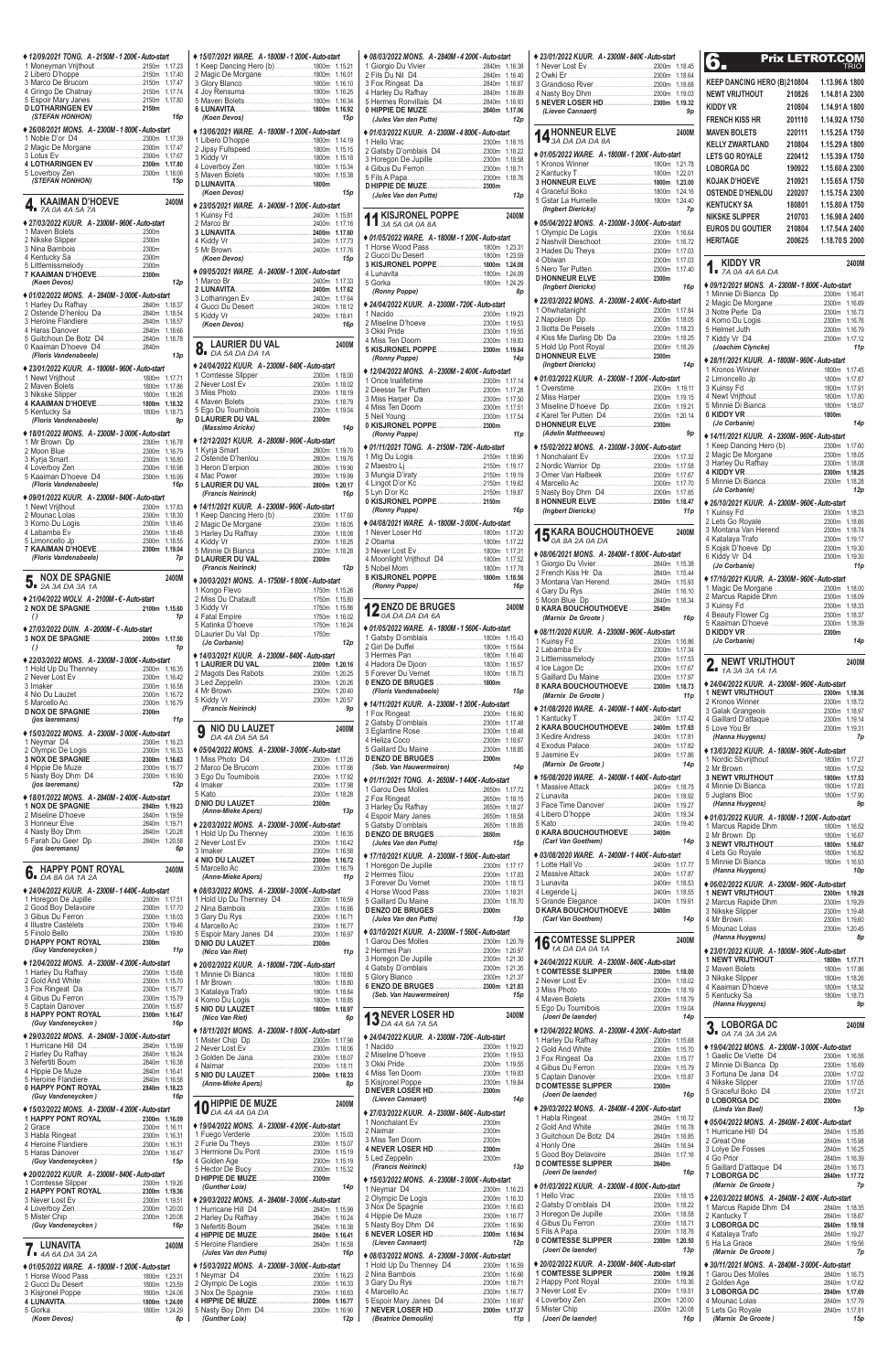| ◆ 12/09/2021 TONG. A - 2150M - 1 200€ - Auto-start |                    |
|----------------------------------------------------|--------------------|
| 1 Moneyman Vrijthout2150m                          | 1.17.23<br>1.17.40 |
|                                                    | 1.17.47            |
| 4 Gringo De Chatnay2150m                           | 1.17.74            |
| 5 Espoir Mary Janes2150m                           | 1.17.80            |
| (STEFAN HONHON)                                    | 16p                |
| ◆ 26/08/2021 MONS. A - 2300M - 1 800€ - Auto-start |                    |
|                                                    | 1.17.39            |
|                                                    | 1.17.47            |
|                                                    | 1.17.67            |
| 4 LOTHARINGEN EV  2300m                            | 1.17.80<br>1.18.06 |
| (STEFAN HONHON)                                    | 15p                |
|                                                    |                    |
| KAAIMAN D'HOEVE<br>4,                              | 2400M              |
| 7A 0A 4A 5A 7A                                     |                    |
| ◆ 27/03/2022 KUUR. A - 2300M - 960€ - Auto-start   |                    |
|                                                    |                    |
|                                                    |                    |
|                                                    |                    |
|                                                    |                    |
| 7 KAAIMAN D'HOEVE 2300m<br>(Koen Devos)            | 12p                |
| ♦ 01/02/2022 MONS. A - 2840M - 3 000€ - Auto-start |                    |
| 1 Harley Du Rafhay 2840m                           | 1.18.37            |
|                                                    | 1.18.54            |
|                                                    | 1.18.57            |
| 5 Guitchoun De Botz D4 2840m                       | 1.18.66            |
| 0 Kaaiman D'hoeve D42840m                          | 1.18.78            |
| (Floris Vandenabeele)                              | 13p                |
| ◆ 23/01/2022 KUUR. A - 1800M - 960€ - Auto-start   |                    |
|                                                    | 1.17.71            |
|                                                    | 1.17.86            |
| 4 KAAIMAN D'HOEVE 1800m                            | 1.18.26<br>1.18.32 |
|                                                    | 1.18.73            |
| (Floris Vandenabeele)                              | 9p                 |
| ♦ 18/01/2022 MONS. A - 2300M - 3 000€ - Auto-start |                    |
|                                                    | 1.16.78            |
|                                                    | 1.16.79            |
|                                                    | 1.16.80<br>1.16.98 |
| 5 Kaaiman D'hoeve D4 2300m                         | 1.16.99            |
| (Floris Vandenabeele)                              | 16p                |
| ♦ 09/01/2022 KUUR. A - 2300M - 840€ - Auto-start   |                    |
|                                                    | 1.17.83            |
|                                                    | 1.18.30<br>1.18.46 |
|                                                    |                    |
|                                                    |                    |
|                                                    | 1.18.48<br>1.18.55 |
|                                                    | 1.19.04            |
| (Floris Vandenabeele)                              | 7p                 |
|                                                    | 2400M              |
| <b>NOX DE SPAGNIE</b>                              |                    |
| ♦ 21/04/2022 WOLV. A - 2100M - € - Auto-start      |                    |
|                                                    | 1.15.60            |
| $\theta$                                           | 1p                 |
| ◆ 27/03/2022 DUIN. A - 2000M - € - Auto-start      |                    |
| 3 NOX DE SPAGNIE  2000m                            | 1.17.50<br>1p      |
| $\theta$                                           |                    |
| ♦ 22/03/2022 MONS. A - 2300M - 3 000€ - Auto-start | 1.16.35            |
|                                                    | 1.16.42            |
|                                                    | 1.16.58            |
|                                                    | 1.16.72<br>1.16.79 |
|                                                    |                    |
| (jos laeremans)                                    | 11 <sub>p</sub>    |
| ♦ 15/03/2022 MONS. A - 2300M - 3 000€ - Auto-start |                    |
|                                                    | 1.16.23            |
|                                                    | 1.16.33            |
|                                                    | 1.16.63<br>1.16.77 |
|                                                    | 1.16.90            |
| (jos laeremans)                                    | 12p                |
| ◆ 18/01/2022 MONS. A - 2840M - 2 400€ - Auto-start |                    |
| 1 NOX DE SPAGNIE  2840m                            | 1.19.23<br>1.19.59 |
|                                                    | 1.19.71            |
|                                                    | 1.20.28            |
| 5 Farah Du Geer Dp 2840m<br>(jos laeremans)        | 1.20.58<br>6p      |
|                                                    |                    |
| <b>HAPPY PONT ROYAL</b>                            | 2400M              |
| $\overline{6}$ . Fig. 1.1.1.1.2A                   |                    |
| ◆ 24/04/2022 KUUR. A - 2300M - 1 440€ - Auto-start |                    |
|                                                    | 1.17.51            |
| 2 Good Boy Delavoire 2300m                         | 1.17.70<br>1.18.03 |
|                                                    | 1.19.46            |
|                                                    | 1.19.80            |
| D HAPPY PONT ROYAL  2300m                          | 11p                |
| (Guy Vandeneycken)                                 |                    |
| ◆ 12/04/2022 MONS. A - 2300M - 4 200€ - Auto-start | 1.15.68            |
|                                                    | 1.15.70            |
|                                                    | 1.15.77            |
|                                                    | 1.15.79<br>1.15.87 |

|   | ◆ 15/07/2021 WARE. A-1800M-1 200€-Auto-start<br>1 Keep Dancing Hero (b) 1800m 1.15.21 |                    | 1                   |
|---|---------------------------------------------------------------------------------------|--------------------|---------------------|
|   | 2 Magic De Morgane 1800m 1.16.01                                                      |                    | 2                   |
|   |                                                                                       | 1.16.10            | 3<br>4              |
|   |                                                                                       | 1.16.25<br>1.16.34 | 5                   |
|   |                                                                                       | 1.16.92            | 0                   |
|   | (Koen Devos)                                                                          | 15p                |                     |
|   | ♦ 13/06/2021 WARE, A - 1800M - 1 200€ - Auto-start                                    |                    |                     |
|   |                                                                                       | 1.14.19<br>1.15.15 | 1<br>$\overline{2}$ |
|   |                                                                                       | 1.15.18            | 3                   |
|   |                                                                                       | 1.15.34            | 4                   |
|   |                                                                                       | 1.15.38            | 5                   |
|   | (Koen Devos)                                                                          | 15p                | D                   |
|   | ♦ 23/05/2021 WARE. A - 2400M - 1 200€ - Auto-start                                    |                    |                     |
|   |                                                                                       | 1.15.81            | 1                   |
|   |                                                                                       | 1.17.16            |                     |
|   |                                                                                       | 1.17.60<br>1.17.73 | ٠                   |
|   |                                                                                       | 1.17.76            | 1                   |
|   | (Koen Devos)                                                                          | 15p                | 2<br>3              |
|   | ♦ 09/05/2021 WARE. A - 2400M - 1 200€ - Auto-start                                    |                    | 4                   |
|   |                                                                                       | 1.17.33<br>1.17.62 | 5                   |
|   |                                                                                       | 1.17.64            |                     |
|   |                                                                                       | 1.18.12            | ٠.<br>1             |
|   | (Koen Devos)                                                                          | 1.18.41<br>16p     | 2                   |
|   |                                                                                       |                    | 3                   |
|   | LAURIER DU VAL                                                                        | 2400M              | 4<br>5              |
|   | $\overline{O}$ DA 5A DA DA 1A                                                         |                    |                     |
|   | ♦ 24/04/2022 KUUR. A - 2300M - 840€ - Auto-start                                      |                    | ٠                   |
|   |                                                                                       | 1.18.00<br>1.18.02 | 1                   |
|   |                                                                                       | 1.18.19            | 2                   |
|   |                                                                                       | 1.18.79            | 3<br>4              |
|   |                                                                                       | 1.19.04            | 5                   |
|   | (Massimo Arickx)                                                                      | 14p                | 0                   |
|   | ◆ 12/12/2021 KUUR. A - 2800M - 960€ - Auto-start                                      |                    |                     |
|   |                                                                                       | 1.19.70            | ٠                   |
|   |                                                                                       | 1.19.76<br>1.19.90 | 1<br>$\overline{2}$ |
|   |                                                                                       | 1.19.99            | 3                   |
|   | 5 LAURIER DU VAL 2800m                                                                | 1.20.17            | 4                   |
|   | (Francis Neirinck)                                                                    | 16p                | 5<br>0              |
|   | ◆ 14/11/2021 KUUR. A - 2300M - 960€ - Auto-start                                      | 1.17.60            |                     |
|   |                                                                                       | 1.18.05            | ٠                   |
|   |                                                                                       | 1.18.08            | 1                   |
|   |                                                                                       | 1.18.25<br>1.18.28 | $\overline{c}$<br>3 |
|   | D LAURIER DU VAL 2300m                                                                |                    | 4                   |
|   | (Francis Neirinck)                                                                    | 12p                | 5                   |
|   | ♦ 30/03/2021 MONS. A - 1750M - 1 800€ - Auto-start                                    |                    | 8                   |
|   | 2 Miss Du Chatault 1750m                                                              | 1.15.26            |                     |
|   |                                                                                       | 1.15.80<br>1.15.86 | 1                   |
|   |                                                                                       | 1.16.02            |                     |
|   | 5 Katinka D'hoeve 1750m<br>D Laurier Du Val Dp 1750m                                  | 1.16.24            | þ.                  |
|   | (Jo Corbanie)                                                                         | 12p                | 1                   |
|   | ◆ 14/03/2021 KUUR. A - 2300M - 840€ - Auto-start                                      |                    | $\overline{2}$<br>3 |
|   | 1 LAURIER DU VAL 2300m                                                                | 1.20.16            | 4                   |
|   | 2 Magots Des Rabots 2300m                                                             | 1.20.25            |                     |
|   |                                                                                       |                    | 5                   |
|   |                                                                                       | 1.20.26            | 0                   |
|   |                                                                                       | 1.20.40<br>1.20.57 |                     |
|   | (Francis Neirinck)                                                                    | 9p                 | 1                   |
|   |                                                                                       |                    | $\overline{c}$      |
|   | <b>NIO DU LAUZET</b><br>g<br>DA 4A DA 5A 5A                                           | 2400M              | 3                   |
|   |                                                                                       |                    | 4<br>5              |
|   | ♦ 05/04/2022 MONS. A - 2300M - 3 000€ - Auto-start                                    |                    | D                   |
|   |                                                                                       | 1.17.66            |                     |
|   |                                                                                       | 1.17.82            | ٠                   |
|   |                                                                                       | 1.18.28            | 1<br>$\overline{2}$ |
|   |                                                                                       |                    | 3                   |
|   | (Anne-Mieke Apers)                                                                    | 13p                | 4                   |
|   | ♦ 22/03/2022 MONS. A - 2300M - 3 000€ - Auto-start                                    | 1.16.35            | 5<br>D              |
|   | 1 Hold Up Du Thenney 2300m                                                            | 1.16.42            |                     |
|   |                                                                                       | 1.16.58<br>1.16.72 | ٠                   |
|   |                                                                                       | 1.16.79            | 1                   |
|   | (Anne-Mieke Apers)                                                                    | 11p                | $\overline{2}$<br>3 |
|   | ◆ 08/03/2022 MONS. A - 2300M - 3 000€ - Auto-start                                    |                    | 4                   |
|   | 1 Hold Up Du Thenney D42300m 1.16.59                                                  |                    | 5<br>D              |
|   |                                                                                       | 1.16.71            |                     |
|   |                                                                                       | 1.16.77<br>1.16.97 |                     |
|   | 5 Espoir Mary Janes D4 2300m                                                          |                    | 1                   |
|   | (Nico Van Riet)                                                                       | 11p                | $\overline{2}$<br>3 |
|   | ◆ 20/02/2022 KUUR. A - 1800M - 720€ - Auto-start                                      |                    | 4                   |
|   |                                                                                       | 1.18.80<br>1.18.80 | 5                   |
|   |                                                                                       | 1.18.84            | 6                   |
|   |                                                                                       | 1.18.85            |                     |
|   | 5 NIO DU LAUZET 1800m 1.18.97<br>(Nico Van Riet)                                      | 6p                 |                     |
|   | ◆ 18/11/2021 MONS. A - 2300M - 1 800€ - Auto-start                                    |                    |                     |
|   |                                                                                       |                    |                     |
|   |                                                                                       |                    | 1<br>2              |
|   |                                                                                       | 1.18.07<br>1.18.11 | 3                   |
|   |                                                                                       | 1.18.33            | 4                   |
|   | (Anne-Mieke Apers)                                                                    | 8p                 | 5<br>D              |
|   | <b>HIPPIE DE MUZE</b>                                                                 | 2400M              |                     |
| 1 | DA 4A 4A 0A DA                                                                        |                    | ♦.                  |
|   | ♦ 19/04/2022 MONS. A - 2300M - 4 200€ - Auto-start                                    |                    | 1                   |
|   |                                                                                       | 1.15.03            | 1<br>2<br>3         |
|   |                                                                                       | 1.15.07<br>1.15.19 | 4                   |
|   |                                                                                       | 1.15.19            | 5                   |
|   |                                                                                       | 1.15.32            |                     |
|   | (Gunther Loix)                                                                        | 14p                |                     |
|   |                                                                                       |                    | 1<br>2              |
|   | ♦ 29/03/2022 MONS. A - 2840M - 3 000€ - Auto-start                                    | 1.15.99            | 3                   |
|   | 2 Harley Du Rafhay 2840m                                                              | 1.16.24            | 4                   |
|   | 4 HIPPIE DE MUZE 2840m                                                                | 1.16.38<br>1.16.41 | 5<br>6              |
|   | 5 Heroine Flandiere 2840m                                                             | 1.16.58            |                     |
|   | (Jules Van den Putte)                                                                 | 16p                | ٠                   |
|   | ♦ 15/03/2022 MONS. A - 2300M - 3 000€ - Auto-start                                    |                    | 1                   |
|   |                                                                                       | 1.16.23<br>1.16.33 | 2<br>3              |
|   |                                                                                       | 1.16.63            | 4                   |
|   | 5 Nasty Boy Dhm D4 2300m                                                              | 1.16.77<br>1.16.90 | 5<br>7              |

| 8 HAPPY PONT ROYAL  2300m 1.16.47<br>(Guy Vandeneycken) | 16 p            | (Nico Van Riet)                                    | 6p        | <b>13 NEVER LOSER HD</b><br><b>13</b> DA 4A 6A 7A 5A | 2400M |
|---------------------------------------------------------|-----------------|----------------------------------------------------|-----------|------------------------------------------------------|-------|
| ♦ 29/03/2022 MONS, A-2840M-3000€-Auto-start             |                 | ♦ 18/11/2021 MONS. A - 2300M - 1 800€ - Auto-start |           | ♦ 24/04/2022 KUUR. A - 2300M - 720€ - Auto-start     |       |
|                                                         |                 |                                                    |           |                                                      |       |
|                                                         |                 |                                                    |           |                                                      |       |
|                                                         |                 |                                                    |           |                                                      |       |
|                                                         |                 | 5 NIO DU LAUZET 2300m 1.18.33                      |           |                                                      |       |
|                                                         |                 | (Anne-Mieke Apers)                                 | <b>8p</b> | 5 Kisjronel Poppe 2300m 1.19.84                      |       |
| 0 HAPPY PONT ROYAL  2840m 1.18.23                       |                 |                                                    |           |                                                      |       |
| (Guy Vandeneycken)                                      | 16p             |                                                    | 2400M     | (Lieven Cannaert)                                    | 14p   |
| ♦ 15/03/2022 MONS, A-2300M-4 200€-Auto-start            |                 | <b>10</b> HIPPIE DE MUZE                           |           | ♦ 27/03/2022 KUUR. A - 2300M - 840€ - Auto-start     |       |
| 1 HAPPY PONT ROYAL  2300m 1.16.09                       |                 |                                                    |           |                                                      |       |
|                                                         |                 | ♦ 19/04/2022 MONS. A - 2300M - 4 200€ - Auto-start |           |                                                      |       |
|                                                         |                 |                                                    |           |                                                      |       |
|                                                         |                 |                                                    |           | 4 NEVER LOSER HD 2300m                               |       |
|                                                         |                 |                                                    |           |                                                      |       |
| (Guy Vandeneycken)                                      | 15 <sub>p</sub> |                                                    |           | (Francis Neirinck)                                   | 13p   |
| ♦ 20/02/2022 KUUR. A - 2300M - 840€ - Auto-start        |                 |                                                    |           |                                                      |       |
|                                                         |                 |                                                    |           | ♦ 15/03/2022 MONS. A - 2300M - 3 000€ - Auto-start   |       |
| 2 HAPPY PONT ROYAL  2300m 1.19.36                       |                 | (Gunther Loix)                                     | 14p       |                                                      |       |
|                                                         |                 | ♦ 29/03/2022 MONS. A - 2840M - 3 000€ - Auto-start |           |                                                      |       |
|                                                         |                 |                                                    |           |                                                      |       |
|                                                         |                 | 2 Harley Du Rafhay 2840m 1.16.24                   |           |                                                      |       |
| (Guy Vandeneycken)                                      | 16p             |                                                    |           | 5 Nasty Boy Dhm D4 2300m 1.16.90                     |       |
|                                                         |                 | 4 HIPPIE DE MUZE 2840m 1.16.41                     |           | 6 NEVER LOSER HD 2300m 1.16.94                       |       |
|                                                         | 2400M           |                                                    |           | (Lieven Cannaert)                                    | 12p   |
| <b>7.</b> LUNAVITA <b>4A GA DA 3A 2A</b>                |                 | (Jules Van den Putte)                              | 16p       | ♦ 08/03/2022 MONS. A - 2300M - 3 000€ - Auto-start   |       |
| ♦ 01/05/2022 WARE, A-1800M-1 200€-Auto-start            |                 | ♦ 15/03/2022 MONS. A - 2300M - 3 000€ - Auto-start |           | 1 Hold Up Du Thenney D42300m 1.16.59                 |       |
|                                                         |                 |                                                    |           |                                                      |       |
|                                                         |                 |                                                    |           |                                                      |       |
|                                                         |                 |                                                    |           |                                                      |       |
|                                                         |                 |                                                    |           | 5 Espoir Mary Janes D4 2300m 1.16.97                 |       |
|                                                         |                 | 5 Nasty Boy Dhm D4 2300m 1.16.90                   |           | 7 NEVER LOSER HD 2300m 1.17.37                       |       |
| (Koen Devos)                                            | <b>8p</b>       | (Gunther Loix)                                     | 12p       | (Beatrice Demoulin)                                  | 11p   |

| ◆ 08/03/2022 MONS. A - 2840M - 4 200€ - Auto-start                       |                    |
|--------------------------------------------------------------------------|--------------------|
|                                                                          | 1.16.38<br>1.16.40 |
| 4 Harley Du Rafhay 2840m                                                 | 1.16.87<br>1.16.89 |
| 5 Hermes Ronvillais D4 2840m<br>0 HIPPIE DE MUZE 2840m                   | 1.16.93            |
| (Jules Van den Putte)                                                    | 1.17.06<br>12p     |
| ♦ 01/03/2022 KUUR. A - 2300M - 4 800€ - Auto-start                       |                    |
| 2 Gatsby D'omblais D4 2300m                                              | 1.18.15<br>1.18.22 |
|                                                                          | 1.18.58<br>1.18.71 |
|                                                                          | 1.18.76            |
| (Jules Van den Putte)                                                    | 13p                |
|                                                                          |                    |
| <b>KISJRONEL POPPE</b><br>3A 5A 0A 0A 8A                                 | 2400M              |
| ◆ 01/05/2022 WARE. A-1800M-1 200€-Auto-start                             |                    |
|                                                                          | 1.23.31            |
| 3 KISJRONEL POPPE  1800m 1.24.08                                         | 1.24.09            |
|                                                                          |                    |
| (Ronny Poppe)                                                            | 8p                 |
| ◆ 24/04/2022 KUUR. A - 2300M - 720€ - Auto-start                         | 1.19.23            |
|                                                                          | 1.19.53<br>1.19.55 |
| 5 KISJRONEL POPPE 2300m                                                  | 1.19.83            |
| (Ronny Poppe)                                                            | 1.19.84<br>14p     |
| ◆ 12/04/2022 MONS. A - 2300M - 2 400€ - Auto-start                       |                    |
| 2 Deesse Ter Putten 2300m                                                | 1.17.14<br>1.17.28 |
|                                                                          | 1.17.50<br>1.17.51 |
|                                                                          | 1.17.54            |
| 0 KISJRONEL POPPE 2300m<br>(Ronny Poppe)                                 | 11p                |
| ◆ 01/11/2021 TONG. A - 2150M - 720€ - Auto-start                         |                    |
|                                                                          | 1.18.90<br>1.19.17 |
|                                                                          | 1.19.19            |
|                                                                          | 1.19.62<br>1.19.87 |
| 0 KISJRONEL POPPE  2150m<br>(Ronny Poppe)                                | 16p                |
| ♦ 04/08/2021 WARE. A - 1800M - 3 000€ - Auto-start                       |                    |
| 1 Never Loser Hd 1800m 1.17.20                                           | 1.17.22            |
|                                                                          |                    |
| 4 Moonlight Vrijthout D4 1800m 1.17.52                                   |                    |
| 8 KISJRONEL POPPE  1800m 1.18.56<br>(Ronny Poppe)                        | 16p                |
|                                                                          |                    |
| <b>DENZO DE BRUGES</b><br>$12$ ENZU $\mu$ $\mu$ $\mu$ $\mu$ 6A           | 2400M              |
| ◆ 01/05/2022 WARE. A-1800M-1560€-Auto-start                              |                    |
|                                                                          |                    |
|                                                                          |                    |
| 5 Forever Du Vernet 1800m 1.16.73                                        |                    |
| (Floris Vandenabeele)                                                    | 15p                |
| ◆ 14/11/2021 KUUR. A - 2300M - 1 200€ - Auto-start                       |                    |
|                                                                          | 1.17.48            |
|                                                                          | 1.18.48            |
| 5 Gaillard Du Maine 2300m 1.18.85                                        |                    |
| (Seb. Van Hauwermeiren)                                                  | 14 <sub>p</sub>    |
| ♦ 01/11/2021 TONG. A - 2650M - 1 440€ - Auto-start                       |                    |
|                                                                          | 1.17.72<br>1.18.15 |
| 3 Harley Du Rafhay 2650m 1.18.27                                         |                    |
|                                                                          | 1.18.85            |
| D ENZO DE BRUGES  2650m<br>(Jules Van den Putte)                         | 15p                |
| ◆ 17/10/2021 KUUR. A - 2300M - 1 560€ - Auto-start                       |                    |
|                                                                          |                    |
| 3 Forever Du Vernet 2300m 1.18.13                                        |                    |
|                                                                          | 1.18.31            |
| D ENZO DE BRUGES  2300m<br>(Jules Van den Putte)                         | 13p                |
| ♦ 03/10/2021 KUUR. A - 2300M - 1 560€ - Auto-start                       |                    |
| 1 Garou Des Molles2300m                                                  | 1.20.79<br>1.20.97 |
|                                                                          | 1.21.30            |
|                                                                          | 1.21.35<br>1.21.37 |
| (Seb. Van Hauwermeiren)                                                  | 1.21.83<br>15p     |
|                                                                          |                    |
| <b>13 NEVER LOSER HD</b><br><b>13</b> DA 4A 6A 7A 5A                     | 2400M              |
| ◆ 24/04/2022 KUUR. A - 2300M - 720€ - Auto-start                         |                    |
|                                                                          |                    |
|                                                                          | 1.19.55            |
|                                                                          | 1.19.83<br>1.19.84 |
| (Lieven Cannaert)                                                        | 14 <sub>p</sub>    |
| ◆ 27/03/2022 KUUR. A - 2300M - 840€ - Auto-start                         |                    |
|                                                                          |                    |
|                                                                          |                    |
|                                                                          |                    |
| (Francis Neirinck)<br>◆ 15/03/2022 MONS. A - 2300M - 3 000€ - Auto-start | 13p                |
|                                                                          | 1.16.23            |
|                                                                          | 1.16.33<br>1.16.63 |
|                                                                          | 1.16.77<br>1.16.90 |
| 6 NEVER LOSER HD 2300m                                                   | 1.16.94            |
| (Lieven Cannaert)<br>◆ 08/03/2022 MONS. A - 2300M - 3 000€ - Auto-start  | 12p                |
| 1 Hold Up Du Thenney D42300m                                             | 1.16.59            |
|                                                                          | 1.16.66<br>1.16.71 |
| 5 Espoir Mary Janes D4 2300m 1.16.97                                     | 1.16.77            |
| 7 NEVER LOSER HD 2300m<br>(Beatrice Demoulin)                            | 1.17.37<br>11 p    |
|                                                                          |                    |

| ◆ 23/01/2022 KUUR. A - 2300M - 840€ - Auto-start                                                 |                               |                                                                                                                                                                                                                                                                                                                                                               |
|--------------------------------------------------------------------------------------------------|-------------------------------|---------------------------------------------------------------------------------------------------------------------------------------------------------------------------------------------------------------------------------------------------------------------------------------------------------------------------------------------------------------|
|                                                                                                  | 1.18.45                       | 6.                                                                                                                                                                                                                                                                                                                                                            |
|                                                                                                  | 1.18.68                       | <b>KEEP I</b>                                                                                                                                                                                                                                                                                                                                                 |
|                                                                                                  |                               | <b>NEWT</b>                                                                                                                                                                                                                                                                                                                                                   |
| 5 NEVER LOSER HD 2300m 1.19.32<br>(Lieven Cannaert)                                              | 9p                            | <b>KIDDY</b>                                                                                                                                                                                                                                                                                                                                                  |
| 14 HONNEUR ELVE                                                                                  | 2400M                         | <b>FRENC</b><br><b>MAVEN</b>                                                                                                                                                                                                                                                                                                                                  |
| ' 3A DA DA DA 8A                                                                                 |                               | Kelly                                                                                                                                                                                                                                                                                                                                                         |
| ◆ 01/05/2022 WARE. A - 1800M - 1 200€ - Auto-start                                               | 1.21.78                       | <b>LETS G</b>                                                                                                                                                                                                                                                                                                                                                 |
|                                                                                                  |                               | <b>LOBOF</b><br>KOJAK                                                                                                                                                                                                                                                                                                                                         |
| 3 HONNEUR ELVE  1800m 1.23.00                                                                    | 1.24.16                       | <b>OSTEN</b>                                                                                                                                                                                                                                                                                                                                                  |
| (Ingbert Dierickx)                                                                               | 1.24.40<br>7p                 | <b>KENTU</b>                                                                                                                                                                                                                                                                                                                                                  |
| ♦ 05/04/2022 MONS. A - 2300M - 3 000€ - Auto-start                                               |                               | NIKSKI<br>euros                                                                                                                                                                                                                                                                                                                                               |
|                                                                                                  | 1.16.64<br>1.16.72            | <b>HERITA</b>                                                                                                                                                                                                                                                                                                                                                 |
|                                                                                                  | 1.17.03<br>1.17.03            |                                                                                                                                                                                                                                                                                                                                                               |
|                                                                                                  | 1.17.40                       | Κ<br>I 17                                                                                                                                                                                                                                                                                                                                                     |
| (Ingbert Dierickx)                                                                               | 16p                           | $*09/12$                                                                                                                                                                                                                                                                                                                                                      |
| ♦ 22/03/2022 MONS. A - 2300M - 2400€ - Auto-start                                                |                               | 1 Minn<br>2 Magi                                                                                                                                                                                                                                                                                                                                              |
|                                                                                                  | 1.18.05                       | 3 Notre<br>4 Kom                                                                                                                                                                                                                                                                                                                                              |
| 4 Kiss Me Darling Db Da 2300m 1.18.25                                                            | 1.18.23                       | 5 Helm<br>7 Kiddy                                                                                                                                                                                                                                                                                                                                             |
|                                                                                                  | 1.18.29                       | (Joa                                                                                                                                                                                                                                                                                                                                                          |
| (Ingbert Dierickx)                                                                               | 14p                           | $* 28/11/$<br>1 Kron                                                                                                                                                                                                                                                                                                                                          |
| ♦ 01/03/2022 KUUR. A - 2300M - 1 200€ - Auto-start                                               | 1.19.11                       | 2 Limo<br>3 Kuins                                                                                                                                                                                                                                                                                                                                             |
|                                                                                                  | 1.19.15                       | 4 Newt                                                                                                                                                                                                                                                                                                                                                        |
| 3 Miseline D'hoeve Dp 2300m                                                                      | 1.19.21<br>1.20.14            | 5 Minn<br>0 KIDD                                                                                                                                                                                                                                                                                                                                              |
| D HONNEUR ELVE  2300m<br>(Adelin Mattheeuws)                                                     | 9p                            | (Jo C                                                                                                                                                                                                                                                                                                                                                         |
| ♦ 15/02/2022 MONS. A - 2300M - 3 000€ - Auto-start                                               |                               | $* 14/11/$<br>1 Keep                                                                                                                                                                                                                                                                                                                                          |
|                                                                                                  | 1.17.32<br>1.17.58            | 2 Magi<br>3 Harle                                                                                                                                                                                                                                                                                                                                             |
| 3 Omer Van Halbeek 2300m                                                                         | 1.17.67<br>1.17.70            | 4 KIDD<br>5 Minn                                                                                                                                                                                                                                                                                                                                              |
| 5 Nasty Boy Dhm D4 2300m                                                                         | 1.17.85                       | (Jo C                                                                                                                                                                                                                                                                                                                                                         |
| (Ingbert Dierickx)                                                                               | 1.18.47<br>11p                | $*26/10$<br>1 Kuins                                                                                                                                                                                                                                                                                                                                           |
| <b>4 K KARA BOUCHOUTHOEVE</b>                                                                    | 2400M                         | 2 Lets<br>3 Mont                                                                                                                                                                                                                                                                                                                                              |
| $\bullet$ 0A 8A 2A 0A DA                                                                         |                               | 4 Katal<br>5 Kojal                                                                                                                                                                                                                                                                                                                                            |
| ◆ 08/06/2021 MONS. A - 2840M - 1 800€ - Auto-start                                               |                               | 6 Kiddy                                                                                                                                                                                                                                                                                                                                                       |
| 2 French Kiss Hr Da  2840m 1.15.44                                                               |                               | (Jo C<br>$*17/10$                                                                                                                                                                                                                                                                                                                                             |
|                                                                                                  |                               | 1 Magi                                                                                                                                                                                                                                                                                                                                                        |
| 0 KARA BOUCHOUTHOEVE  2840m                                                                      |                               | 2 Marc<br>3 Kuins                                                                                                                                                                                                                                                                                                                                             |
| (Marnix De Groote)                                                                               | 16p                           | 4 Beau<br>5 Kaair                                                                                                                                                                                                                                                                                                                                             |
| ♦ 08/11/2020 KUUR. A - 2300M - 960€ - Auto-start                                                 | 1.16.86                       | <b>D KIDD</b><br>(Jo C                                                                                                                                                                                                                                                                                                                                        |
|                                                                                                  | 1.17.34<br>1.17.53            |                                                                                                                                                                                                                                                                                                                                                               |
|                                                                                                  | 1.17.67                       | N<br>$\mathbf{L}_{\blacksquare}$                                                                                                                                                                                                                                                                                                                              |
| 8 KARA BOUCHOUTHOEVE  2300m 1.18.73                                                              |                               | $* 24/04$                                                                                                                                                                                                                                                                                                                                                     |
| (Marnix De Groote)                                                                               | 11 <sub>p</sub>               | 1 NEW<br>2 Kron                                                                                                                                                                                                                                                                                                                                               |
| ♦ 31/08/2020 WARE. A - 2400M - 1 440€ - Auto-start                                               |                               | 3 Gala<br>4 Gailla                                                                                                                                                                                                                                                                                                                                            |
|                                                                                                  | 1.17.81                       | 5 Love<br>(Han                                                                                                                                                                                                                                                                                                                                                |
|                                                                                                  |                               | $* 13/03/$                                                                                                                                                                                                                                                                                                                                                    |
| (Marnix De Groote)                                                                               | 14p                           | 1 Nord<br>2 Mr B                                                                                                                                                                                                                                                                                                                                              |
| ♦ 16/08/2020 WARE. A - 2400M - 1 440€ - Auto-start                                               |                               | 3 NEW<br>4 Minn                                                                                                                                                                                                                                                                                                                                               |
|                                                                                                  |                               | 5 Jugla                                                                                                                                                                                                                                                                                                                                                       |
|                                                                                                  |                               | (Han<br>$*01/03/$                                                                                                                                                                                                                                                                                                                                             |
| 0 KARA BOUCHOUTHOEVE  2400m                                                                      |                               | 1 Marc<br>2 Mr B                                                                                                                                                                                                                                                                                                                                              |
| (Carl Van Goethem)                                                                               | 14p                           |                                                                                                                                                                                                                                                                                                                                                               |
| ♦ 03/08/2020 WARE. A - 2400M - 1 440€ - Auto-start                                               |                               |                                                                                                                                                                                                                                                                                                                                                               |
|                                                                                                  | 1.17.77                       |                                                                                                                                                                                                                                                                                                                                                               |
|                                                                                                  | 1.17.87                       |                                                                                                                                                                                                                                                                                                                                                               |
|                                                                                                  | 1.18.53<br>1.18.55            |                                                                                                                                                                                                                                                                                                                                                               |
| D KARA BOUCHOUTHOEVE  2400m                                                                      | 1.19.91                       |                                                                                                                                                                                                                                                                                                                                                               |
| (Carl Van Goethem)                                                                               | 14p                           |                                                                                                                                                                                                                                                                                                                                                               |
|                                                                                                  | 2400M                         |                                                                                                                                                                                                                                                                                                                                                               |
| <b>16 COMTESSE SLIPPER</b><br>14 DA DA 0A 1A<br>♦ 24/04/2022 KUUR. A - 2300M - 840€ - Auto-start |                               |                                                                                                                                                                                                                                                                                                                                                               |
| 1 COMTESSE SLIPPER  2300m                                                                        | 1.18.00                       |                                                                                                                                                                                                                                                                                                                                                               |
|                                                                                                  | 1.18.02                       |                                                                                                                                                                                                                                                                                                                                                               |
|                                                                                                  | 1.18.79                       |                                                                                                                                                                                                                                                                                                                                                               |
| (Joeri De laender)                                                                               | 14p                           |                                                                                                                                                                                                                                                                                                                                                               |
| ♦ 12/04/2022 MONS. A - 2300M - 4 200€ - Auto-start                                               |                               |                                                                                                                                                                                                                                                                                                                                                               |
|                                                                                                  | 1.15.77                       |                                                                                                                                                                                                                                                                                                                                                               |
|                                                                                                  | 1.15.79<br>1.15.87            |                                                                                                                                                                                                                                                                                                                                                               |
| D COMTESSE SLIPPER  2300m                                                                        |                               |                                                                                                                                                                                                                                                                                                                                                               |
| (Joeri De laender)<br>♦ 29/03/2022 MONS. A - 2840M - 4 200€ - Auto-start                         | 16p                           |                                                                                                                                                                                                                                                                                                                                                               |
|                                                                                                  |                               |                                                                                                                                                                                                                                                                                                                                                               |
| 3 Guitchoun De Botz D4 2840m                                                                     | 1.16.78<br>1.16.85            |                                                                                                                                                                                                                                                                                                                                                               |
|                                                                                                  | 1.16.94<br>1.17.16            |                                                                                                                                                                                                                                                                                                                                                               |
| D COMTESSE SLIPPER  2840m<br>(Joeri De laender)                                                  | 16p                           |                                                                                                                                                                                                                                                                                                                                                               |
| ♦ 01/03/2022 KUUR. A - 2300M - 4 800€ - Auto-start                                               |                               | 3 NEW<br>4 Lets<br>5 Minn<br>(Han<br>$*06/02$<br>1 NEW<br>2 Marc<br>3 Niksł<br>4 Mr B<br>5 Mour<br>(Han<br>$*23/01/$<br>1 NEW<br>2 Mave<br>3 Niksł<br>4 Kaair<br>5 Kent<br>(Han<br>U<br>$* 19/04$<br>1 Gaeli<br>2 Minn<br>3 Fortu<br>4 Niksł<br>5 Grac<br>0 LOB<br>(Linc<br>$*05/04/$<br>1 Hurri<br>2 Grea<br>3 Lolye<br>4 Go P<br>5 Gailla<br>7 LOB<br>(Mari |
| 2 Gatsby D'omblais D4 2300m                                                                      | 1.18.15<br>1.18.22            | $* 22/03/$                                                                                                                                                                                                                                                                                                                                                    |
|                                                                                                  | 1.18.58                       | 1 Marc<br>2 Kant                                                                                                                                                                                                                                                                                                                                              |
|                                                                                                  | 1.18.71<br>1.18.76            | 3 LOB<br>4 Katal                                                                                                                                                                                                                                                                                                                                              |
| 0 COMTESSE SLIPPER  2300m<br>(Joeri De laender)                                                  | 1.20.50<br>13p                | $\mathbf{3.5}$<br>5 Ha L<br>(Mari                                                                                                                                                                                                                                                                                                                             |
| ◆ 20/02/2022 KUUR. A - 2300M - 840€ - Auto-start                                                 |                               |                                                                                                                                                                                                                                                                                                                                                               |
| 1 COMTESSE SLIPPER  2300m                                                                        | 1.19.26<br>1.19.36            | $*30/11/$<br>1 Garo<br>2 Gold                                                                                                                                                                                                                                                                                                                                 |
|                                                                                                  | 1.19.51<br>1.20.00<br>1.20.08 | 3 LOB<br>4 Mour<br>5 Lets                                                                                                                                                                                                                                                                                                                                     |

|                                                                          |                    |                  | <b>Prix LETROT.COM</b>           | TRIO               |
|--------------------------------------------------------------------------|--------------------|------------------|----------------------------------|--------------------|
| KEEP DANCING HERO (B)210804                                              |                    |                  | 1.13.96 A 1800                   |                    |
| <b>NEWT VRIJTHOUT</b>                                                    |                    | 210826           | 1.14.81 A 2300                   |                    |
| <b>KIDDY VR</b><br><b>FRENCH KISS HR</b>                                 |                    | 210804<br>201110 | 1.14.91 A 1800<br>1.14.92 A 1750 |                    |
| <b>MAVEN BOLETS</b>                                                      |                    | 220111           | 1.15.25 A 1750                   |                    |
| <b>KELLY ZWARTLAND</b>                                                   |                    | 210804           | 1.15.29 A 1800                   |                    |
| <b>LETS GO ROYALE</b><br><b>LOBORGA DC</b>                               |                    | 220412<br>190922 | 1.15.39 A 1750<br>1.15.60 A 2300 |                    |
| <b>KOJAK D'HOEVE</b>                                                     |                    | 210921           | 1.15.65 A 1750                   |                    |
| <b>OSTENDE D'HENLOU</b><br><b>KENTUCKY SA</b>                            |                    | 220207           | 1.15.75 A 2300                   |                    |
| <b>NIKSKE SLIPPER</b>                                                    |                    | 180801<br>210703 | 1.15.80 A 1750<br>1.16.98 A 2400 |                    |
| <b>EUROS DU GOUTIER</b>                                                  |                    | 210804           | 1.17.54 A 2400                   |                    |
| <b>HERITAGE</b>                                                          |                    | 200625           | 1.18.70 S 2000                   |                    |
| KIDDY VR<br>7A 0A 4A 6A DA                                               |                    |                  |                                  | 2400M              |
| ◆ 09/12/2021 MONS. A-2300M-1800€-Auto-start                              |                    |                  |                                  |                    |
| 1 Minnie Di Bianca Dp 2300m                                              |                    |                  |                                  | 1.16.41<br>1.16.69 |
|                                                                          |                    |                  |                                  | 1.16.73<br>1.16.76 |
|                                                                          |                    |                  |                                  | 1.16.79<br>1.17.12 |
| (Joachim Clyncke)                                                        |                    |                  |                                  | 11p                |
| ♦ 28/11/2021 KUUR. A - 1800M - 960€ - Auto-start                         |                    |                  |                                  | 1.17.45            |
|                                                                          |                    |                  |                                  | 1.17.87<br>1.17.91 |
|                                                                          |                    |                  |                                  | 1.17.80<br>1.18.07 |
| (Jo Corbanie)                                                            |                    |                  |                                  | 14 <sub>p</sub>    |
| ◆ 14/11/2021 KUUR. A - 2300M - 960€ - Auto-start                         |                    |                  |                                  |                    |
| 1 Keep Dancing Hero (b) 2300m                                            |                    |                  |                                  | 1.17.60<br>1.18.05 |
|                                                                          |                    |                  |                                  | 1.18.08<br>1.18.25 |
|                                                                          |                    |                  |                                  | 1.18.28            |
| (Jo Corbanie)<br>◆ 26/10/2021 KUUR. A - 2300M - 960€ - Auto-start        |                    |                  |                                  | 12p                |
|                                                                          |                    |                  |                                  | 1.18.23<br>1.18.66 |
| 3 Montana Van Herend2300m                                                |                    |                  |                                  | 1.18.74            |
| 5 Kojak D'hoeve Dp 2300m                                                 |                    |                  |                                  | 1.19.17<br>1.19.30 |
| 6 Kiddy Vr D4.<br>(Jo Corbanie)                                          |                    |                  |                                  | 1.19.30<br>11 p    |
| ◆ 17/10/2021 KUUR. A - 2300M - 960€ - Auto-start                         |                    |                  |                                  | 1.18.00            |
|                                                                          |                    |                  |                                  | 1.18.09            |
|                                                                          |                    |                  |                                  | 1.18.33<br>1.18.37 |
|                                                                          |                    |                  |                                  | 1.18.39            |
| (Jo Corbanie)                                                            |                    |                  |                                  | 14p                |
| NEWT VRIJTHOUT<br>$A_1$ 1A 3A 3A 1A 1A                                   |                    |                  |                                  | 2400M              |
| ♦ 24/04/2022 KUUR. A - 2300M - 960€ - Auto-start                         |                    |                  |                                  |                    |
| 1 NEWT VRIJTHOUT 2300m                                                   |                    |                  |                                  | 1.18.36<br>1.18.72 |
|                                                                          |                    |                  |                                  | 1.18.97<br>1.19.14 |
|                                                                          |                    |                  |                                  | 1.19.31            |
| (Hanna Huygens)<br>♦ 13/03/2022 KUUR. A - 1800M - 960€ - Auto-start      |                    |                  |                                  | 7p                 |
|                                                                          |                    |                  |                                  | 1.17.27<br>1.17.52 |
| 3 NEWT VRIJTHOUT 1800m                                                   |                    |                  |                                  | 1.17.53<br>1.17.83 |
|                                                                          |                    |                  |                                  | 1.17.90            |
| (Hanna Huygens)<br>♦ 01/03/2022 KUUR. A - 1800M - 1 200€ - Auto-start    |                    |                  |                                  | 9p                 |
| 1 Marcus Rapide Dhm1800m                                                 |                    |                  |                                  | 1.16.52<br>1.16.67 |
| 3 NEWT VRIJTHOUT 1800m                                                   |                    |                  |                                  | 1.16.67            |
|                                                                          |                    |                  |                                  | 1.16.82<br>1.16.93 |
| (Hanna Huygens)<br>◆ 06/02/2022 KUUR. A - 2300M - 960€ - Auto-start      |                    |                  |                                  | 10 <sub>p</sub>    |
| 1 NEWT VRIJTHOUT 2300m<br>2 Marcus Rapide Dhm 2300m                      |                    |                  |                                  | 1.19.28            |
|                                                                          |                    |                  |                                  | 1.19.29<br>1.19.48 |
|                                                                          |                    |                  |                                  | 1.19.60<br>1.20.45 |
| (Hanna Huygens)<br>◆ 23/01/2022 KUUR. A - 1800M - 960€ - Auto-start      |                    |                  |                                  | 8p                 |
| 1 NEWT VRIJTHOUT 1800m                                                   |                    |                  |                                  | 1.17.71            |
|                                                                          |                    |                  |                                  | 1.17.86<br>1.18.26 |
|                                                                          |                    |                  |                                  | 1.18.32<br>1.18.73 |
| (Hanna Huygens)                                                          |                    |                  |                                  | 9p                 |
| <b>LOBORGA DC</b><br>$\overline{OA}$ 7A 3A 3A 2A                         |                    |                  |                                  | 2400M              |
| ♦ 19/04/2022 MONS. A - 2300M - 3 000€ - Auto-start                       |                    |                  |                                  |                    |
| 2 Minnie Di Bianca Dp 2300m                                              |                    |                  |                                  | 1.16.69            |
|                                                                          |                    |                  |                                  | 1.17.02<br>1.17.05 |
|                                                                          |                    |                  |                                  | 1.17.21            |
| (Linda Van Bael)                                                         |                    |                  |                                  | 13p                |
| ◆ 05/04/2022 MONS. A - 2840M - 2 400€ - Auto-start                       |                    |                  |                                  | 1.15.85            |
|                                                                          |                    |                  |                                  | 1.15.98<br>1.16.25 |
|                                                                          |                    |                  |                                  | 1.16.39            |
| 5 Gaillard D'attaque D4 2840m                                            |                    |                  |                                  | 1.16.73<br>1.17.72 |
| (Marnix De Groote)<br>◆ 22/03/2022 MONS. A - 2840M - 2 400€ - Auto-start |                    |                  |                                  | 7p                 |
| 1 Marcus Rapide Dhm D4 2840m                                             |                    |                  |                                  | 1.18.35            |
|                                                                          |                    |                  |                                  | 1.18.67<br>1.19.18 |
|                                                                          |                    |                  |                                  | 1.19.27<br>1.19.56 |
| (Marnix De Groote)                                                       |                    |                  |                                  | 7p                 |
| ♦ 30/11/2021 MONS. A - 2840M - 3 000€ - Auto-start                       |                    |                  |                                  | 1.16.73            |
|                                                                          |                    |                  |                                  | 1.17.62<br>1.17.69 |
|                                                                          |                    |                  |                                  | 1.17.79<br>1.17.81 |
|                                                                          | (Marnix De Groote) |                  |                                  | 15p                |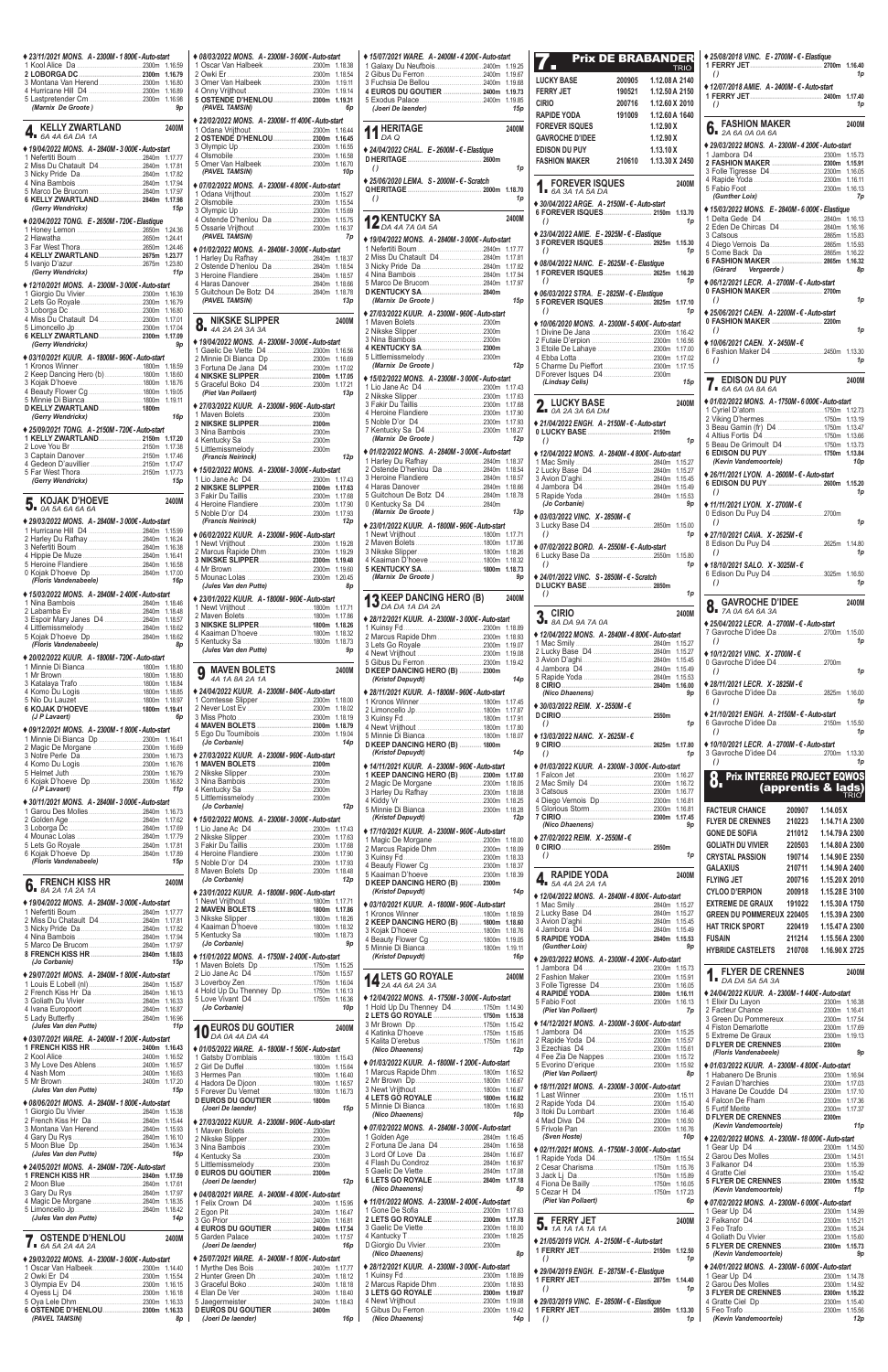| ◆ 23/11/2021 MONS. A - 2300M - 1 800€ - Auto-start                                |                    |
|-----------------------------------------------------------------------------------|--------------------|
|                                                                                   |                    |
| 3 Montana Van Herend2300m                                                         | 1.16.79<br>1.16.80 |
| 4 Hurricane Hill D4 2300m                                                         | 1.16.89            |
| (Marnix De Groote)                                                                |                    |
|                                                                                   | 9p                 |
| KELLY ZWARTLAND<br>6A 4A 6A DA 1A<br>ь                                            | 2400M              |
| ◆ 19/04/2022 MONS. A - 2840M - 3 000€ - Auto-start                                |                    |
|                                                                                   | 1.17.77            |
| 2 Miss Du Chatault D42840m                                                        | 1.17.81            |
|                                                                                   | 1.17.82            |
|                                                                                   | 1.17.94<br>1.17.97 |
| 6 KELLY ZWARTLAND 2840m                                                           | 1.17.98            |
| (Gerry Wendrickx)                                                                 | 15p                |
| ◆ 02/04/2022 TONG. E - 2650M - 720€ - Elastique                                   |                    |
|                                                                                   | 1.24.36            |
|                                                                                   | 1.24.41<br>1.24.46 |
| 4 KELLY ZWARTLAND 2675m                                                           | 1.23.77            |
|                                                                                   | 1.23.80            |
| (Gerry Wendrickx)                                                                 | 11 <sub>p</sub>    |
| ♦ 12/10/2021 MONS. A - 2300M - 3 000€ - Auto-start                                | 1.16.39            |
|                                                                                   | 1.16.79            |
|                                                                                   | 1.16.80            |
| 4 Miss Du Chatault D42300m                                                        | 1.17.01            |
| 6 KELLY ZWARTLAND 2300m                                                           | 1.17.04<br>1.17.09 |
| (Gerry Wendrickx)                                                                 | 9p                 |
| ♦ 03/10/2021 KUUR. A - 1800M - 960€ - Auto-start                                  |                    |
|                                                                                   | 1.18.59            |
| 2 Keep Dancing Hero (b) 1800m                                                     | 1.18.60            |
|                                                                                   | 1.18.76<br>1.19.05 |
|                                                                                   | 1.19.11            |
| D KELLY ZWARTLAND 1800m                                                           |                    |
| (Gerry Wendrickx)                                                                 | 16p                |
| ◆ 25/09/2021 TONG. A - 2150M - 720€ - Auto-start<br>1 KELLY ZWARTLAND 2150m       | 1.17.20            |
|                                                                                   | 1.17.38            |
|                                                                                   | 1.17.46            |
|                                                                                   | 1.17.47            |
| (Gerry Wendrickx)                                                                 | 1.17.73<br>15p     |
|                                                                                   |                    |
| KOJAK D'HOEVE                                                                     | 2400M              |
| $\mathbf{J}_{\blacksquare}$ 0A 5A 6A 6A 6A                                        |                    |
| ◆ 29/03/2022 MONS. A - 2840M - 3 000€ - Auto-start                                |                    |
|                                                                                   |                    |
| 1 Hurricane Hill D4 2840m 1.15.99                                                 |                    |
|                                                                                   | 1.16.24            |
|                                                                                   | 1.16.41            |
|                                                                                   | 1.16.58            |
| (Floris Vandenabeele)                                                             | 1.17.00<br>16p     |
| ♦ 15/03/2022 MONS. A - 2840M - 2400€ - Auto-start                                 |                    |
|                                                                                   | 1.18.46            |
|                                                                                   | 1.18.48            |
| 3 Espoir Mary Janes D4 2840m                                                      | 1.18.57<br>1.18.62 |
|                                                                                   | 1.18.62            |
| (Floris Vandenabeele)                                                             | 8p                 |
| ◆ 20/02/2022 KUUR. A - 1800M - 720€ - Auto-start                                  |                    |
|                                                                                   | 1.18.80            |
|                                                                                   | 1.18.80<br>1.18.84 |
|                                                                                   | 1.18.85            |
|                                                                                   | 1.18.97            |
| 6 KOJAK D'HOEVE 1800m<br>(J P Lavaert)                                            | 1.19.41<br>6p      |
|                                                                                   |                    |
| ◆ 09/12/2021 MONS. A - 2300M - 1 800€ - Auto-start<br>1 Minnie Di Bianca Dp 2300m | 1.16.41            |
|                                                                                   | 1.16.69            |
|                                                                                   | 1.16.73<br>1.16.76 |
|                                                                                   | 1.16.79            |
|                                                                                   | 1.16.82            |
| (J P Lavaert)                                                                     | 11 <sub>p</sub>    |
| ♦ 30/11/2021 MONS. A - 2840M - 3 000€ - Auto-start                                |                    |
|                                                                                   | 1.16.73<br>1.17.62 |
|                                                                                   | 1.17.69            |
|                                                                                   | 1.17.79            |
| 6 Kojak D'hoeve Dp2840m                                                           | 1.17.81<br>1.17.89 |
| (Floris Vandenabeele)                                                             | 15p                |
|                                                                                   |                    |
| <b>FRENCH KISS HR</b><br>6.<br>8A 2A 1A 2A 1A                                     | 2400M              |
| ♦ 19/04/2022 MONS. A - 2840M - 3 000€ - Auto-start                                |                    |
|                                                                                   | 1.17.77            |
| 2 Miss Du Chatault D42840m                                                        | 1.17.81<br>1.17.82 |
|                                                                                   | 1.17.94            |
|                                                                                   | 1.17.97            |
| 8 FRENCH KISS HR  2840m<br>(Jo Corbanie)                                          | 1.18.03<br>15p     |
| ◆ 29/07/2021 MONS. A - 2840M - 1 800€ - Auto-start                                |                    |

|                                                           | 3/2022 MONS. A-2300M-3 600€-Auto-start |                    | $* 15/07/20$                     |
|-----------------------------------------------------------|----------------------------------------|--------------------|----------------------------------|
| car Van Halbeek2300m 1.18.38<br>ki Er……………………………………2300m  |                                        | 1.18.54            | 1 Galaxy<br>2 Gibus              |
| er Van Halbeek 2300m                                      |                                        | 1.19.11            | 3 Fuchsi                         |
|                                                           |                                        | 1.19.14            | 4 EURO                           |
| TENDE D'HENLOU 2300m<br><b>VEL TAMSIN)</b>                |                                        | 1.19.31<br>6p      | 5 Exodu<br>(Joeri                |
| 2/2022 MONS. A-2300M-11 400€-Auto-start                   |                                        |                    |                                  |
|                                                           |                                        |                    | 11 $_{DA}$ HE                    |
| TENDÉ D'HENLOU……………… 2300m                                |                                        | 1.16.45            |                                  |
|                                                           |                                        | 1.16.55<br>1.16.58 | $* 24/04/20$                     |
| er Van Halbeek 2300m                                      |                                        | 1.16.70            | <b>D HERIT</b><br>$\theta$       |
| <b>VEL TAMSIN)</b>                                        |                                        | 10p                | $*25/06/20$                      |
| 2/2022 MONS. A-2300M-4 800€-Auto-start                    |                                        |                    | <b>QHERIT</b>                    |
|                                                           |                                        | 1.15.27<br>1.15.54 | $\theta$                         |
|                                                           |                                        | 1.15.69            |                                  |
| ende D'henlou Da 2300m                                    |                                        | 1.15.75<br>1.16.37 | $12_{\text{DA}}^{\text{KE}}$     |
| <b>VEL TAMSIN)</b>                                        |                                        | 7p                 | $* 19/04/20$                     |
| 2/2022 MONS. A-2840M-3 000€-Auto-start                    |                                        |                    | 1 Neferti                        |
|                                                           |                                        |                    | 2 Miss D<br>3 Nicky I            |
| ende D'henlou Da 2840m<br>oine Flandiere 2840m            |                                        | 1.18.54<br>1.18.57 | 4 Nina B                         |
|                                                           |                                        | 1.18.66            | 5 Marco                          |
| tchoun De Botz D4 2840m<br><b>VEL TAMSIN)</b>             |                                        | 1.18.78<br>13p     | D KENTI<br>(Marni                |
|                                                           |                                        |                    | $* 27/03/20$                     |
| NIKSKE SLIPPER                                            |                                        | 2400M              | 1 Maven                          |
| 4A 2A 2A 3A 3A                                            |                                        |                    | 2 Nikske                         |
| 4/2022 MONS. A - 2300M - 3 000€ - Auto-start              |                                        |                    | 3 Nina B<br><b>4 KENTI</b>       |
| elic De Viette D4 2300m 1.16.56<br>nie Di Bianca Dp 2300m |                                        | 1.16.69            | 5 Littlem                        |
| tuna De Jana D4 2300m                                     |                                        | 1.17.02            | (Marni                           |
|                                                           |                                        | 1.17.05            | $* 15/02/20$                     |
| et Van Pollaert)                                          |                                        | 13p                | 1 Lio Jar<br>2 Nikske            |
| 3/2022 KUUR.  A - 2300M - 960€ - Auto-start               |                                        |                    | 3 Fakir D                        |
|                                                           |                                        |                    | 4 Heroin                         |
|                                                           |                                        |                    | 5 Noble<br>7 Kentud              |
|                                                           |                                        |                    | (Marni                           |
|                                                           |                                        |                    | $* 01/02/20$                     |
| ancis Neirinck)                                           |                                        | 12p                | 1 Harley                         |
| 2/2022 MONS. A-2300M-3 000€-Auto-start                    |                                        |                    | 2 Osteno<br>3 Heroin             |
|                                                           |                                        | 1.17.63            | 4 Haras                          |
|                                                           |                                        | 1.17.68            | 5 Guitch                         |
|                                                           |                                        | 1.17.93            | 0 Kentud<br>(Marni               |
| ancis Neirinck)                                           |                                        | 12p                | $* 23/01/20$                     |
| 2/2022 KUUR. A-2300M-960€-Auto-start                      |                                        |                    | 1 Newt \                         |
| rcus Rapide Dhm 2300m 1.19.29                             |                                        |                    | 2 Maven<br>3 Nikske              |
|                                                           |                                        | 1.19.48            | 4 Kaaim                          |
|                                                           |                                        | 1.19.60            | <b>5 KENTI</b>                   |
| les Van den Putte)                                        |                                        | 1.20.45<br>8p      | (Marni                           |
| 1/2022 KUUR. A - 1800M - 960€ - Auto-start                |                                        |                    |                                  |
|                                                           |                                        | 1.17.71            | 13 $_{DA}$ KE                    |
| SKE SLIPPER 1800m                                         |                                        | 1.17.86<br>1.18.26 | $* 28/12/20$                     |
| aiman D'hoeve 1800m                                       |                                        | 1.18.32            | 1 Kuinsy<br>2 Marcus             |
| les Van den Putte)                                        |                                        | 1.18.73            |                                  |
|                                                           |                                        | 9p                 | 3 Lets G                         |
|                                                           |                                        |                    | 4 Newt \                         |
|                                                           |                                        |                    | 5 Gibus                          |
| MAVEN BOLETS<br>4A 1A 8A 2A 1A                            |                                        | 2400M              | <b>DKEEP</b><br>(Kristo          |
| 4/2022 KUUR. A-2300M-840€-Auto-start                      |                                        |                    | $* 28/11/20$                     |
| ntesse Slipper 2300m                                      |                                        | 1.18.00            | 1 Kronos                         |
|                                                           |                                        | 1.18.02<br>1.18.19 | 2 Limono<br>3 Kuinsy             |
| VEN BOLETS  2300m                                         |                                        | 1.18.79            | 4 Newt \                         |
| Du Tournibois 2300m<br>Corbanie)                          |                                        | 1.19.04<br>14p     | 5 Minnie                         |
|                                                           |                                        |                    | <b>DKEEP</b><br>(Kristo          |
| 3/2022 KUUR. A-2300M-960€-Auto-start                      |                                        |                    | $* 14/11/20$                     |
|                                                           |                                        |                    | 1 KEEP                           |
|                                                           |                                        |                    | 2 Magic                          |
|                                                           |                                        |                    | 3 Harley<br>4 Kiddy              |
| Corbanie)                                                 |                                        | 12p                | 5 Minnie                         |
| 2/2022 MONS. A - 2300M - 3 000€ - Auto-start              |                                        |                    | (Kristo                          |
|                                                           |                                        | 1.17.43<br>1.17.63 | $* 17/10/20$                     |
|                                                           |                                        | 1.17.68            | 1 Magic<br>2 Marcus              |
| oine Flandiere 2300m                                      |                                        | 1.17.90<br>1.17.93 | 3 Kuinsy                         |
| ven Bolets Dp 2300m                                       |                                        | 1.18.48            | 4 Beauty<br>5 Kaaim              |
| Corbanie)                                                 |                                        | 12p                | <b>DKEEP</b>                     |
| 1/2022 KUUR. A - 1800M - 960€ - Auto-start                |                                        |                    | (Kristo                          |
|                                                           |                                        | 1.17.71<br>1.17.86 | ♦ 03/10/2।                       |
|                                                           |                                        | 1.18.26            | 1 Kronos<br>2 KEEP               |
| aiman D'hoeve 1800m                                       |                                        | 1.18.32<br>1.18.73 | 3 Kojak I                        |
| Corbanie)                                                 |                                        | 9p                 | 4 Beauty<br>5 Minnie             |
| 1/2022 MONS. A-1750M-2400€-Auto-start                     |                                        |                    | (Kristo                          |
| ven Bolets Dp 1750m                                       |                                        | 1.15.25            |                                  |
|                                                           |                                        | 1.15.57<br>1.16.04 |                                  |
| d Up Du Thenney Dp1750m                                   |                                        | 1.16.13<br>1.16.36 | 14 <sup>LE</sup><br>$* 12/04/20$ |

| ♦ 23/11/2021 MONS. A - 2300M - 1 800€ - Auto-start                                    | ♦ 08/03/2022 MONS. A - 2300M - 3 600€ - Auto-start                              | ♦ 15/07/2021 WARE, A-2400M-4 200€-Auto-start                                               | <b>Prix DE BRABANDER</b><br>7.                                                                                                                                                                                                                                                                                                                                  | ◆ 25/08/2018 VINC. E - 2700M - € - Elastique                                                               |
|---------------------------------------------------------------------------------------|---------------------------------------------------------------------------------|--------------------------------------------------------------------------------------------|-----------------------------------------------------------------------------------------------------------------------------------------------------------------------------------------------------------------------------------------------------------------------------------------------------------------------------------------------------------------|------------------------------------------------------------------------------------------------------------|
|                                                                                       | 2 Owki Er                                                                       |                                                                                            | <b>TRIO</b><br><b>LUCKY BASE</b><br>1.12.08 A 2140<br>200905                                                                                                                                                                                                                                                                                                    | $\left( \right)$<br>1 <sub>p</sub>                                                                         |
| 3 Montana Van Herend2300m 1.16.80                                                     |                                                                                 | 4 EUROS DU GOUTIER  2400m 1.19.73                                                          | <b>FERRY JET</b><br>190521<br>1.12.50 A 2150                                                                                                                                                                                                                                                                                                                    | ♦ 12/07/2018 AMIE. A - 2400M - € - Auto-start                                                              |
| (Marnix De Groote)<br>9p                                                              | 5 OSTENDE D'HENLOU 2300m 1.19.31<br>(PAVEL TAMSIN)<br>6p                        | (Joeri De laender)<br>15p                                                                  | <b>CIRIO</b><br>1.12.60 X 2010<br>200716                                                                                                                                                                                                                                                                                                                        | 1 <sub>p</sub><br>$\left( \right)$                                                                         |
|                                                                                       | ♦ 22/02/2022 MONS. A - 2300M - 11 400€ - Auto-start                             |                                                                                            | <b>RAPIDE YODA</b><br>191009<br>1.12.60 A 1640<br><b>FOREVER ISQUES</b><br>1.12.90X                                                                                                                                                                                                                                                                             | 2400N                                                                                                      |
| <b>4.</b> KELLY ZWARTLAND<br>2400M                                                    | 2 OSTENDE D'HENLOU 2300m 1.16.45                                                | 11 HERITAGE<br>2400M                                                                       | 1.12.90X<br><b>GAVROCHE D'IDEE</b>                                                                                                                                                                                                                                                                                                                              | <b>6.</b> FASHION MAKER                                                                                    |
| ♦ 19/04/2022 MONS. A - 2840M - 3 000€ - Auto-start                                    |                                                                                 | ◆ 24/04/2022 CHAL. E - 2600M - € - Elastique                                               | <b>EDISON DU PUY</b><br>1.13.10 X                                                                                                                                                                                                                                                                                                                               | ♦ 29/03/2022 MONS. A - 2300M - 4 200€ - Auto-start                                                         |
|                                                                                       |                                                                                 | $\left( \right)$<br>1p                                                                     | <b>FASHION MAKER</b><br>210610<br>1.13.30 X 2450                                                                                                                                                                                                                                                                                                                | 2 FASHION MAKER  2300m 1.15.91                                                                             |
| $2840m$ 1.17.94<br>4 Nina Bambois.                                                    | (PAVEL TAMSIN)<br>10p<br>♦ 07/02/2022 MONS. A - 2300M - 4 800€ - Auto-start     | ♦ 25/06/2020 LEMA. S - 2000M - € - Scratch                                                 | 2400M                                                                                                                                                                                                                                                                                                                                                           |                                                                                                            |
| 6 KELLY ZWARTLAND 2840m 1.17.98                                                       |                                                                                 | 1p<br>$\left( \right)$                                                                     | <b>1.</b> FOREVER ISQUES                                                                                                                                                                                                                                                                                                                                        | (Gunther Loix)<br>7p                                                                                       |
| (Gerry Wendrickx)<br>15р                                                              |                                                                                 |                                                                                            | ♦ 30/04/2022 ARGE. A - 2150M - € - Auto-start                                                                                                                                                                                                                                                                                                                   | ◆ 15/03/2022 MONS. E - 2840M - 6 000€ - Elastique                                                          |
| ♦ 02/04/2022 TONG. E - 2650M - 720€ - Elastique                                       |                                                                                 | <b>12</b> KENTUCKY SA<br>$\overline{AB}$ DA 4A 7A 0A 5A<br>2400M                           | 1p<br>$\left( \right)$                                                                                                                                                                                                                                                                                                                                          |                                                                                                            |
|                                                                                       | (PAVEL TAMSIN)<br>7p                                                            | ◆ 19/04/2022 MONS. A - 2840M - 3 000€ - Auto-start                                         | ◆ 23/04/2022 AMIE. E - 2925M - $\epsilon$ - Elastique<br>3 FOREVER ISQUES 2925m 1.15.30                                                                                                                                                                                                                                                                         | 2865m 1.15.83<br>3 Catsous.                                                                                |
| 4 KELLY ZWARTLAND 2675m 1.23.77                                                       | ♦ 01/02/2022 MONS. A - 2840M - 3 000€ - Auto-start                              |                                                                                            | $\left( \right)$<br>1p                                                                                                                                                                                                                                                                                                                                          |                                                                                                            |
| 5 Ivanjo D'azur.<br>2675m 1.23.80<br>(Gerry Wendrickx)<br>11 p                        | 1 Harley Du Rafhay 2840m 1.18.37                                                |                                                                                            | ♦ 08/04/2022 NANC. E - 2625M - € - Elastique<br>1 FOREVER ISQUES 2625m 1.16.20                                                                                                                                                                                                                                                                                  | 6 FASHION MAKER 2865m 1.16.32<br>(Gérard Vergaerde)<br>8p                                                  |
| ◆ 12/10/2021 MONS. A - 2300M - 3 000€ - Auto-start                                    |                                                                                 |                                                                                            | 1p<br>$\left( \right)$                                                                                                                                                                                                                                                                                                                                          | ♦ 06/12/2021 LECR. A - 2700M - € - Auto-start                                                              |
|                                                                                       | 5 Guitchoun De Botz D4 2840m 1.18.78<br>(PAVEL TAMSIN)<br>13р                   | (Marnix De Groote)<br>15p                                                                  | ◆ 06/03/2022 STRA. E - 2825M - € - Elastique                                                                                                                                                                                                                                                                                                                    | 0 FASHION MAKER  2700m<br>1 <sub>p</sub><br>$\left( \right)$                                               |
|                                                                                       |                                                                                 | ◆ 27/03/2022 KUUR. A - 2300M - 960€ - Auto-start                                           | 5 FOREVER ISQUES 2825m 1.17.10<br>$\left( \right)$<br>1p                                                                                                                                                                                                                                                                                                        | ◆ 25/06/2021 CAEN. A - 2200M - € - Auto-start                                                              |
|                                                                                       | <b>8.</b> NIKSKE SLIPPER<br>2400M                                               |                                                                                            | ◆ 10/06/2020 MONS. A - 2300M - 5 400€ - Auto-start                                                                                                                                                                                                                                                                                                              | 1 <sub>p</sub><br>$\left( \right)$                                                                         |
| 6 KELLY ZWARTLAND 2300m 1.17.09<br>(Gerry Wendrickx)<br><b>9p</b>                     | ♦ 19/04/2022 MONS. A - 2300M - 3 000€ - Auto-start                              |                                                                                            |                                                                                                                                                                                                                                                                                                                                                                 | ♦ 10/06/2021 CAEN. X - 2450M - €                                                                           |
| ◆ 03/10/2021 KUUR. A - 1800M - 960€ - Auto-start                                      |                                                                                 |                                                                                            |                                                                                                                                                                                                                                                                                                                                                                 | $\left( \right)$<br>1 <sub>l</sub>                                                                         |
| 2 Keep Dancing Hero (b) 1800m 1.18.60                                                 |                                                                                 | (Marnix De Groote)<br>12p                                                                  | D Forever Isques D4 2300m                                                                                                                                                                                                                                                                                                                                       |                                                                                                            |
|                                                                                       | 4 NIKSKE SLIPPER 2300m 1.17.05                                                  | ♦ 15/02/2022 MONS. A - 2300M - 3 000€ - Auto-start                                         | (Lindsay Celis)<br>15p                                                                                                                                                                                                                                                                                                                                          | <b>7.</b> EDISON DU PUY<br>2400N                                                                           |
|                                                                                       | (Piet Van Pollaert)<br>13р                                                      |                                                                                            | 2400M                                                                                                                                                                                                                                                                                                                                                           | ♦ 01/02/2022 MONS. A - 1750M - 6 000€ - Auto-start                                                         |
| D KELLY ZWARTLAND 1800m<br>16 <sub>p</sub><br>(Gerry Wendrickx)                       | ◆ 27/03/2022 KUUR. A - 2300M - 960€ - Auto-start                                |                                                                                            | <b>2.</b> LUCKY BASE $_{0A}$ 2A 3A 6A DM                                                                                                                                                                                                                                                                                                                        |                                                                                                            |
| ♦ 25/09/2021 TONG. A - 2150M - 720€ - Auto-start                                      |                                                                                 |                                                                                            | ◆ 21/04/2022 ENGH. A - 2150M - € - Auto-start                                                                                                                                                                                                                                                                                                                   |                                                                                                            |
| 1 KELLY ZWARTLAND 2150m 1.17.20                                                       |                                                                                 | (Marnix De Groote)<br>12p                                                                  | 1p<br>$\left( \right)$                                                                                                                                                                                                                                                                                                                                          |                                                                                                            |
|                                                                                       | (Francis Neirinck)<br>12p                                                       | ♦ 01/02/2022 MONS. A - 2840M - 3 000€ - Auto-start                                         | ♦ 12/04/2022 MONS. A - 2840M - 4 800€ - Auto-start                                                                                                                                                                                                                                                                                                              | 6 EDISON DU PUY  1750m 1.13.84<br>(Kevin Vandemoortele)<br>10p                                             |
|                                                                                       | ◆ 15/02/2022 MONS. A - 2300M - 3 000€ - Auto-start                              |                                                                                            | 2 Lucky Base D4 2840m 1.15.27                                                                                                                                                                                                                                                                                                                                   | ♦ 26/11/2021 LYON. A - 2600M - € - Auto-start                                                              |
| (Gerry Wendrickx)<br>15 p                                                             |                                                                                 |                                                                                            |                                                                                                                                                                                                                                                                                                                                                                 | 6 EDISON DU PUY  2600m 1.15.20<br>$\left( \right)$                                                         |
| 5. KOJAK D'HOEVE<br>2400M                                                             |                                                                                 | 0 Kentucky Sa D42840m                                                                      | 2840m 1.15.53<br>(Jo Corbanie)<br>9p                                                                                                                                                                                                                                                                                                                            | 1p<br>$\triangleq$ 11/11/2021 LYON. X - 2700M - €                                                          |
|                                                                                       | (Francis Neirinck)                                                              | (Marnix De Groote)<br>13p                                                                  | ♦ 03/03/2022 VINC. X - 2850M - €                                                                                                                                                                                                                                                                                                                                |                                                                                                            |
| ♦ 29/03/2022 MONS. A - 2840M - 3 000€ - Auto-start                                    | 12p<br>♦ 06/02/2022 KUUR. A - 2300M - 960€ - Auto-start                         | ◆ 23/01/2022 KUUR. A - 1800M - 960€ - Auto-start                                           | .2850m 1.15.00<br>$\left( \right)$<br>1p                                                                                                                                                                                                                                                                                                                        | 1 <sub>p</sub><br>$\left( \right)$<br>♦ 27/10/2021 CAVA, X - 2625M - €                                     |
|                                                                                       |                                                                                 |                                                                                            | ◆ 07/02/2022 BORD. A - 2550M - € - Auto-start                                                                                                                                                                                                                                                                                                                   |                                                                                                            |
|                                                                                       |                                                                                 |                                                                                            | .2550m 1.15.80<br>6 Lucky Base Da<br>$\left( \right)$<br>1p                                                                                                                                                                                                                                                                                                     | $\left( \right)$<br>1p                                                                                     |
|                                                                                       |                                                                                 | 5 KENTUCKY SA 1800m 1.18.73<br>(Marnix De Groote)<br>9p                                    | ♦ 24/01/2022 VINC. S - 2850M - € - Scratch                                                                                                                                                                                                                                                                                                                      | ♦ 18/10/2021 SALO. X - 3025M - $€$<br>6 Edison Du Puy D4 3025m 1.16.50                                     |
| (Floris Vandenabeele)<br>16 <sub>p</sub>                                              | (Jules Van den Putte)<br>8р                                                     |                                                                                            | 1p                                                                                                                                                                                                                                                                                                                                                              | 1 <sub>p</sub><br>$\left( \right)$                                                                         |
| ♦ 15/03/2022 MONS. A - 2840M - 2400€ - Auto-start                                     | ◆ 23/01/2022 KUUR. A - 1800M - 960€ - Auto-start                                | <b>13 KEEP DANCING HERO (B)</b><br><b>13</b> DA DA 1A DA 2A<br>2400M                       | $\left( \right)$                                                                                                                                                                                                                                                                                                                                                | <b>Q</b> GAVROCHE D'IDEE<br>2400N                                                                          |
| 3 Espoir Mary Janes D4 2840m 1.18.57                                                  |                                                                                 | ◆ 28/12/2021 KUUR. A - 2300M - 3 000€ - Auto-start                                         | $\sum_{\text{BA DA 9A 7A 0A}}$<br>2400M                                                                                                                                                                                                                                                                                                                         | $0.7A$ 0A 6A 6A 3A                                                                                         |
|                                                                                       | 4 Kaaiman D'hoeve 1800m 1.18.32                                                 |                                                                                            | ♦ 12/04/2022 MONS. A - 2840M - 4 800€ - Auto-start                                                                                                                                                                                                                                                                                                              | ◆ 25/04/2022 LECR. A - 2700M - € - Auto-start<br>7 Gavroche D'idee Da 2700m 1.15.00                        |
| (Floris Vandenabeele)<br><b>8p</b>                                                    |                                                                                 |                                                                                            |                                                                                                                                                                                                                                                                                                                                                                 | $\left( \right)$<br>1p                                                                                     |
| ◆ 20/02/2022 KUUR. A - 1800M - 720€ - Auto-start                                      |                                                                                 |                                                                                            |                                                                                                                                                                                                                                                                                                                                                                 | ♦ 10/12/2021 VINC. $X - 2700M - \epsilon$                                                                  |
|                                                                                       | <b>9</b> MAVEN BOLETS <b>4A</b> 1A 8A 2A 1A<br>2400M                            | D KEEP DANCING HERO (B)  2300m<br>14p<br>(Kristof Depuydt)                                 |                                                                                                                                                                                                                                                                                                                                                                 | 1 <sub>p</sub><br>$\left( \right)$                                                                         |
|                                                                                       | ♦ 24/04/2022 KUUR. A - 2300M - 840€ - Auto-start                                | ◆ 28/11/2021 KUUR. A - 1800M - 960€ - Auto-start                                           | 8 CIRIO 2840m 1.16.00<br>(Nico Dhaenens)<br>9p                                                                                                                                                                                                                                                                                                                  | ♦ 28/11/2021 LECR. X - 2825M - €                                                                           |
|                                                                                       |                                                                                 |                                                                                            | ◆ 30/03/2022 REIM. X - 2550M - €                                                                                                                                                                                                                                                                                                                                | $\left( \right)$<br>1p                                                                                     |
| (J P Lavaert)<br>6p                                                                   | 4 MAVEN BOLETS  2300m 1.18.79                                                   |                                                                                            | $\lambda$ and $\lambda$ and $\lambda$ and $\lambda$ and $\lambda$ and $\lambda$ and $\lambda$ and $\lambda$ and $\lambda$ and $\lambda$ and $\lambda$ and $\lambda$ and $\lambda$ and $\lambda$ and $\lambda$ and $\lambda$ and $\lambda$ and $\lambda$ and $\lambda$ and $\lambda$ and $\lambda$ and $\lambda$ and $\lambda$ and $\lambda$ and $\lambda$<br>1p | ♦ 21/10/2021 ENGH. A-2150M- €-Auto-start                                                                   |
| ♦ 09/12/2021 MONS. A - 2300M - 1 800€ - Auto-start                                    |                                                                                 |                                                                                            | ◆ 13/03/2022 NANC. X - 2625M - $∈$                                                                                                                                                                                                                                                                                                                              | 1 <sub>p</sub><br>$\left( \right)$                                                                         |
|                                                                                       | (Jo Corbanie)<br>14p<br>◆ 27/03/2022 KUUR. A - 2300M - 960€ - Auto-start        | D KEEP DANCING HERO (B)  1800m<br>(Kristof Depuydt)<br>14p                                 | $\left( \right)$<br>1p                                                                                                                                                                                                                                                                                                                                          | ♦ 10/10/2021 LECR. A - 2700M - € - Auto-start                                                              |
|                                                                                       | 1 MAVEN BOLETS  2300m                                                           | ◆ 14/11/2021 KUUR. A - 2300M - 960€ - Auto-start                                           | ♦ 01/03/2022 KUUR. A - 2300M - 3 000€ - Auto-start                                                                                                                                                                                                                                                                                                              | $\left( \right)$<br>1p                                                                                     |
|                                                                                       |                                                                                 | 1 KEEP DANCING HERO (B)  2300m 1.17.60                                                     |                                                                                                                                                                                                                                                                                                                                                                 | <b>8.</b> Prix INTERREG PROJECT EQWOS                                                                      |
| (J P Lavaert)<br>11p                                                                  | 5 Littlemissmelody 2300m                                                        | 3 Harley Du Rafhay 2300m 1.18.08                                                           |                                                                                                                                                                                                                                                                                                                                                                 | <b>(apprentis &amp; lads)</b>                                                                              |
| ♦ 30/11/2021 MONS. A - 2840M - 3 000€ - Auto-start                                    | (Jo Corbanie)<br>12p                                                            |                                                                                            |                                                                                                                                                                                                                                                                                                                                                                 | <b>FACTEUR CHANCE</b><br>200907<br>1.14.05 X                                                               |
|                                                                                       | ◆ 15/02/2022 MONS. A - 2300M - 3 000€ - Auto-start                              | (Kristof Depuydt)<br>12p                                                                   | (Nico Dhaenens)<br>9p                                                                                                                                                                                                                                                                                                                                           | <b>FLYER DE CRENNES</b><br>210223<br>1.14.71 A 2300                                                        |
|                                                                                       |                                                                                 | ◆ 17/10/2021 KUUR. A - 2300M - 960€ - Auto-start                                           | ◆ 27/02/2022 REIM. X-2550M-€                                                                                                                                                                                                                                                                                                                                    | <b>GONE DE SOFIA</b><br>211012<br>1.14.79 A 2300                                                           |
|                                                                                       | 3 Fakir Du Taillis                                                              |                                                                                            | $\left( \right)$<br>1p                                                                                                                                                                                                                                                                                                                                          | <b>GOLIATH DU VIVIER</b><br>220503<br>1.14.80 A 2300<br>1.14.90 E 2350<br><b>CRYSTAL PASSION</b><br>190714 |
| (Floris Vandenabeele)<br>15p                                                          |                                                                                 |                                                                                            |                                                                                                                                                                                                                                                                                                                                                                 | <b>GALAXIUS</b><br>210711<br>1.14.90 A 2400                                                                |
| FRENCH KISS HR<br>2400M<br>$\int_{\mathbb{R}}$ FRENCH KISS <b>n</b><br>8A 2A 1A 2A 1A | (Jo Corbanie)<br>12p                                                            | D KEEP DANCING HERO (B)  2300m                                                             | <b>4.</b> RAPIDE YODA<br>2400M                                                                                                                                                                                                                                                                                                                                  | <b>FLYING JET</b><br>200716<br>1.15.20 X 2010                                                              |
| ♦ 19/04/2022 MONS. A - 2840M - 3 000€ - Auto-start                                    | ◆ 23/01/2022 KUUR. A - 1800M - 960€ - Auto-start                                | (Kristof Depuydt)<br>14p<br>a sa Tanzania.<br>Mga kalendari                                | ♦ 12/04/2022 MONS. A - 2840M - 4 800€ - Auto-start                                                                                                                                                                                                                                                                                                              | 200918<br>1.15.28 E 3100<br><b>CYLOO D'ERPION</b>                                                          |
|                                                                                       |                                                                                 | ◆ 03/10/2021 KUUR. A - 1800M - 960€ - Auto-start                                           |                                                                                                                                                                                                                                                                                                                                                                 | <b>EXTREME DE GRAUX</b><br>191022<br>1.15.30 A 1750<br><b>GREEN DU POMMEREUX 220405</b><br>1.15.39 A 2300  |
|                                                                                       |                                                                                 | 2 KEEP DANCING HERO (B)  1800m 1.18.60                                                     |                                                                                                                                                                                                                                                                                                                                                                 | <b>HAT TRICK SPORT</b><br>1.15.47 A 2300<br>220419                                                         |
|                                                                                       | (Jo Corbanie)<br>9p                                                             |                                                                                            | (Gunther Loix)<br>9p                                                                                                                                                                                                                                                                                                                                            | <b>FUSAIN</b><br>1.15.56 A 2300<br>211214                                                                  |
| (Jo Corbanie)<br>15р                                                                  | ♦ 11/01/2022 MONS. A - 1750M - 2 400€ - Auto-start                              | (Kristof Depuydt)<br>16p                                                                   | ◆ 29/03/2022 MONS. A - 2300M - 4 200€ - Auto-start                                                                                                                                                                                                                                                                                                              | <b>HYBRIDE CASTELETS</b><br>210708<br>1.16.90 X 2725                                                       |
| ♦ 29/07/2021 MONS. A - 2840M - 1 800€ - Auto-start                                    | 1 Maven Bolets Dp 1750m 1.15.25                                                 | 2400M                                                                                      |                                                                                                                                                                                                                                                                                                                                                                 | <b>FLYER DE CRENNES</b><br>2400N                                                                           |
|                                                                                       | 4 Hold Up Du Thenney Dp1750m 1.16.13                                            | <b>14</b> LETS GO ROYALE                                                                   |                                                                                                                                                                                                                                                                                                                                                                 | $II$ DA DA 5A 5A 3A                                                                                        |
|                                                                                       | 5 Love Vivant D4 1750m 1.16.36<br>(Jo Corbanie)<br>10p                          | ♦ 12/04/2022 MONS. A - 1750M - 3 000€ - Auto-start<br>1 Hold Up Du Thenney D41750m 1.14.90 |                                                                                                                                                                                                                                                                                                                                                                 | ◆ 24/04/2022 KUUR. A - 2300M - 1 440€ - Auto-start                                                         |
|                                                                                       |                                                                                 |                                                                                            | (Piet Van Pollaert)<br>7p                                                                                                                                                                                                                                                                                                                                       |                                                                                                            |
| (Jules Van den Putte) 11p                                                             | <b>10</b> EUROS DU GOUTIER<br>2400M                                             | 4 Katinka D'hoeve 1750m 1.15.65                                                            | ◆ 14/12/2021 MONS. A - 2300M - 3 600€ - Auto-start                                                                                                                                                                                                                                                                                                              |                                                                                                            |
| ♦ 03/07/2021 WARE. A - 2400M - 1 200€ - Auto-start<br>1 FRENCH KISS HR  2400m 1.16.43 | ♦ 01/05/2022 WARE, A-1800M-1560€-Auto-start                                     | (Nico Dhaenens)<br>12p                                                                     | 2300m 1.15.57                                                                                                                                                                                                                                                                                                                                                   |                                                                                                            |
| 2400m 1.16.52<br>2 Kool Alice.                                                        | .1800m 1.15.43                                                                  | ♦ 01/03/2022 KUUR. A - 1800M - 1 200€ - Auto-start                                         | 5 Evorino D'erique<br>.2300m 1.15.92                                                                                                                                                                                                                                                                                                                            | 9p<br>(Floris Vandenabeele)<br>♦ 01/03/2022 KUUR. A - 2300M - 4 800€ - Auto-start                          |
|                                                                                       |                                                                                 | 1 Marcus Rapide Dhm 1800m 1.16.52                                                          | (Piet Van Pollaert)<br>8p                                                                                                                                                                                                                                                                                                                                       | 1 Habanero De Brunis<br>2300m 1.16.94                                                                      |
| (Jules Van den Putte)<br>15p                                                          |                                                                                 |                                                                                            | ♦ 18/11/2021 MONS. A - 2300M - 3 000€ - Auto-start<br>1 Last Winner<br>.2300m 1.15.11                                                                                                                                                                                                                                                                           | 2300m 1.17.03                                                                                              |
| ♦ 08/06/2021 MONS. A - 2840M - 1 800€ - Auto-start                                    | D EUROS DU GOUTIER  1800m<br>15p<br>(Joeri De laender)                          | 4 LETS GO ROYALE  1800m 1.16.82                                                            | 2 Rapide Yoda D4<br>.2300m 1.15.40                                                                                                                                                                                                                                                                                                                              | .2300m 1.17.37                                                                                             |
|                                                                                       | ◆ 27/03/2022 KUUR. A - 2300M - 960€ - Auto-start                                | (Nico Dhaenens)<br>10p                                                                     | .2300m 1.16.46<br>.2300m 1.16.50                                                                                                                                                                                                                                                                                                                                | D FLYER DE CRENNES 2300m<br>(Kevin Vandemoortele)<br>11p                                                   |
| 4 Gary Du Rys<br>2840m 1.16.10                                                        | .2300m<br>2300m                                                                 | ♦ 07/02/2022 MONS. A - 2840M - 3 000€ - Auto-start<br>1 Golden Age                         | .2300m 1.16.76<br>(Sven Hoste)<br>10p                                                                                                                                                                                                                                                                                                                           | ♦ 22/02/2022 MONS. A - 2300M - 18 000€ - Auto-start                                                        |
| (Jules Van den Putte)<br>16p                                                          | 2300m                                                                           | 2 Fortuna De Jana D4 2840m 1.16.58                                                         | ♦ 02/11/2021 MONS. A - 1750M - 3 000€ - Auto-start                                                                                                                                                                                                                                                                                                              | .2300m 1.14.50                                                                                             |
| ♦ 24/05/2021 MONS. A - 2840M - 720€ - Auto-start                                      | 2300m                                                                           |                                                                                            | 1750m 1.15.54                                                                                                                                                                                                                                                                                                                                                   |                                                                                                            |
| 1 FRENCH KISS HR  2840m 1.17.59                                                       | 0 EUROS DU GOUTIER  2300m<br>12p<br>(Joeri De laender)                          | 6 LETS GO ROYALE  2840m 1.17.18                                                            |                                                                                                                                                                                                                                                                                                                                                                 | 5 FLYER DE CRENNES 2300m 1.15.52                                                                           |
|                                                                                       | ♦ 04/08/2021 WARE, A-2400M-4 800€-Auto-start                                    | (Nico Dhaenens)<br>8p                                                                      |                                                                                                                                                                                                                                                                                                                                                                 | (Kevin Vandemoortele)<br>11 p                                                                              |
|                                                                                       | 2 Egon Pit                                                                      | ♦ 11/01/2022 MONS. A - 2300M - 2400€ - Auto-start<br>1 Gone De Sofia                       | (Piet Van Pollaert)<br>6p                                                                                                                                                                                                                                                                                                                                       | ♦ 07/02/2022 MONS. A - 2300M - 6 000€ - Auto-start<br>.2300m 1.14.99                                       |
| (Jules Van den Putte)<br>14p                                                          | 3 Go Prior<br>2400m 1.16.81<br>4 EUROS DU GOUTIER  2400m 1.17.54                | 2 LETS GO ROYALE  2300m 1.17.78                                                            | <b>E</b> FERRY JET<br>2400M<br>$\overline{3}$ 14 14 14 14 14                                                                                                                                                                                                                                                                                                    |                                                                                                            |
| <b>OSTENDE D'HENLOU</b><br>2400M                                                      | 5 Garden Palace<br>2400m 1.17.57                                                |                                                                                            | ◆ 21/05/2019 VICH. A - 2150M - € - Auto-start                                                                                                                                                                                                                                                                                                                   |                                                                                                            |
| $\overline{A}$ 6A 5A 2A 4A 2A<br>♦ 29/03/2022 MONS. A - 2300M - 3 600€ - Auto-start   | (Joeri De laender)<br>16p<br>♦ 25/07/2021 WARE. A - 2400M - 1 800€ - Auto-start | (Nico Dhaenens)<br>8p                                                                      | 1p<br>$\theta$                                                                                                                                                                                                                                                                                                                                                  | <b>5 FLYER DE CRENNES</b><br>2300m 1.15.73<br>(Kevin Vandemoortele)<br>9p                                  |
|                                                                                       | 2400m 1.17.77                                                                   | ♦ 28/12/2021 KUUR. A - 2300M - 3 000€ - Auto-start                                         | ◆ 29/04/2019 ENGH. E - 2875M - € - Elastique                                                                                                                                                                                                                                                                                                                    | ♦ 24/01/2022 MONS. A - 2300M - 6 000€ - Auto-start                                                         |
| 2 Owki Er D4                                                                          |                                                                                 | 1 Kuinsy Fd.                                                                               | 1p<br>$\left( \right)$                                                                                                                                                                                                                                                                                                                                          | 2300m 1.14.78<br>.2300m 1.14.92                                                                            |
|                                                                                       |                                                                                 |                                                                                            |                                                                                                                                                                                                                                                                                                                                                                 | 3 FLYER DE CRENNES 2300m 1.15.22                                                                           |
|                                                                                       |                                                                                 | 3 LETS GO ROYALE  2300m 1.19.07                                                            | ♦ 29/03/2019 VINC. E - 2850M - € - Elastique                                                                                                                                                                                                                                                                                                                    | 2300m 1.15.40                                                                                              |
| 6 OSTENDE D'HENLOU 2300m 1.16.33<br>(PAVEL TAMSIN)<br>8р                              | <b>DEUROS DU GOUTIER  2400m</b><br>(Joeri De laender)<br>16p                    | (Nico Dhaenens)<br>14p                                                                     | $\left( \right)$<br>1p                                                                                                                                                                                                                                                                                                                                          | 2300m 1.15.56<br>(Kevin Vandemoortele)<br>12p                                                              |

| <b>Prix DE BRABANDER</b>                                                                                     |        |                |                    |
|--------------------------------------------------------------------------------------------------------------|--------|----------------|--------------------|
| <b>JCKY BASE</b>                                                                                             | 200905 | 1.12.08 A 2140 | <b>TRIO</b>        |
| ERRY JET                                                                                                     | 190521 | 1.12.50 A 2150 |                    |
|                                                                                                              |        |                |                    |
| irio                                                                                                         | 200716 | 1.12.60 X 2010 |                    |
| <b>APIDE YODA</b>                                                                                            | 191009 | 1.12.60 A 1640 |                    |
| <b>OREVER ISQUES</b>                                                                                         |        | 1.12.90 X      |                    |
| <b>AVROCHE D'IDEE</b>                                                                                        |        | 1.12.90 X      |                    |
| dison du Puy                                                                                                 |        | 1.13.10 X      |                    |
| <b>ASHION MAKER</b>                                                                                          | 210610 | 1.13.30 X 2450 |                    |
| <b>FOREVER ISQUES</b><br>$\begin{array}{ c c c c c }\n\hline\n\bullet & 6A & 3A & 1A & 5A & DA\n\end{array}$ |        |                | 2400M              |
| 30/04/2022 ARGE. A-2150M-€-Auto-start                                                                        |        |                |                    |
| FOREVER ISQUES 2150m 1.13.70<br>$\theta$                                                                     |        |                | 1p                 |
| 23/04/2022 AMIE. E - 2925M - € - Elastique<br>FOREVER ISQUES  2925m 1.15.30<br>$\left( \right)$              |        |                | 1p                 |
| 08/04/2022 NANC. E-2625M-€-Elastique<br>FOREVER ISQUES 2625m 1.16.20<br>$\theta$                             |        |                | 1p                 |
| 06/03/2022 STRA. E-2825M-€-Elastique<br>FOREVER ISQUES 2825m 1.17.10<br>$\left( \right)$                     |        |                | 1p                 |
| 10/06/2020 MONS. A - 2300M - 5 400€ - Auto-start                                                             |        |                |                    |
|                                                                                                              |        |                | 1.16.42            |
|                                                                                                              |        |                | 1.16.56            |
|                                                                                                              |        |                |                    |
|                                                                                                              |        |                | 1.17.02            |
| Forever Isques D4 2300m<br>(Lindsay Celis)                                                                   |        |                | 1.17.15            |
|                                                                                                              |        |                | 15p                |
| <b>LUCKY BASE</b><br>-<br>■ 0A 2A 3A 6A DM                                                                   |        |                | 2400M              |
| 21/04/2022 ENGH. A-2150M-€-Auto-start                                                                        |        |                |                    |
| $\left( \right)$                                                                                             |        |                | 1p                 |
| 12/04/2022 MONS. A-2840M-4800€-Auto-start                                                                    |        |                |                    |
|                                                                                                              |        |                | 1.15.27            |
|                                                                                                              |        |                | 1.15.45            |
|                                                                                                              |        |                | 1.15.49            |
| (Jo Corbanie)                                                                                                |        |                | 1.15.53<br>9p      |
| 03/03/2022 VINC. X - 2850M - €<br>$\left( \right)$                                                           |        |                | 1.15.00<br>1p      |
| 07/02/2022 BORD. A-2550M-€-Auto-start                                                                        |        |                | 1p                 |
| $\theta$<br>24/01/2022 VINC. S - 2850M - € - Scratch                                                         |        |                |                    |
| $\left( \right)$                                                                                             |        |                | 1p                 |
| <b>CIRIO</b>                                                                                                 |        |                | 2400M              |
| $\overline{\mathbf{A}}$ BA DA 9A 7A 0A<br>12/04/2022 MONS. A - 2840M - 4 800€ - Auto-start                   |        |                |                    |
|                                                                                                              |        |                |                    |
|                                                                                                              |        |                | 1.15.27            |
|                                                                                                              |        |                | 1.15.45            |
|                                                                                                              |        |                | 1.15.49            |
|                                                                                                              |        |                |                    |
| (Nico Dhaenens)                                                                                              |        |                | 9p                 |
| 30/03/2022 REIM. X-2550M-€                                                                                   |        |                |                    |
| $\left( \right)$<br>13/03/2022 NANC. X - 2625M - €                                                           |        |                | 1p                 |
| $\left( \right)$                                                                                             |        |                | 1p                 |
| 01/03/2022 KUUR.   A - 2300M - 3 000€ - Auto-start                                                           |        |                |                    |
|                                                                                                              |        |                | 1.16.27            |
|                                                                                                              |        |                | 1.16.72<br>1.16.77 |
| Catsous 2300m                                                                                                |        |                | 1.16.81            |
|                                                                                                              |        |                | 1.16.81            |
|                                                                                                              |        |                | 1.17.45<br>9p      |
|                                                                                                              |        |                |                    |
| $\left( \right)$                                                                                             |        |                | 1p                 |
|                                                                                                              |        |                |                    |
| <b>RAPIDE YODA</b><br>$\overline{5A}$ 4A 2A 2A 1A                                                            |        |                | 2400M              |
| 12/04/2022 MONS. A - 2840M - 4 800€ - Auto-start                                                             |        |                |                    |
|                                                                                                              |        |                |                    |
|                                                                                                              |        |                | 1.15.27            |
|                                                                                                              |        |                | 1.15.45            |
|                                                                                                              |        |                | 1.15.49            |
| (Gunther Loix)                                                                                               |        |                | 1.15.53<br>9p      |
| 29/03/2022 MONS. A-2300M-4 200€-Auto-start                                                                   |        |                |                    |
|                                                                                                              |        |                | 1.15.91            |
| Folle Tigresse D42300m                                                                                       |        |                | 1.16.05            |
|                                                                                                              |        |                | 1.16.11<br>1.16.13 |
|                                                                                                              |        |                |                    |
| (Piet Van Pollaert)                                                                                          |        |                | 7p                 |

| $\theta$                                                           |                                                                         | 1p                 |
|--------------------------------------------------------------------|-------------------------------------------------------------------------|--------------------|
|                                                                    | ◆ 12/07/2018 AMIE. A - 2400M - € - Auto-start                           |                    |
| $\theta$                                                           |                                                                         | 1.17.40<br>1p      |
| <b>FASHION MAKER</b><br>$\mathbf{6}_{\blacksquare}$ 2A 6A 0A 0A 6A |                                                                         | 2400M              |
|                                                                    | ♦ 29/03/2022 MONS. A - 2300M - 4 200€ - Auto-start                      |                    |
|                                                                    |                                                                         | 1.15.73            |
|                                                                    | 2 FASHION MAKER  2300m                                                  | 1.15.91<br>1.16.05 |
|                                                                    |                                                                         | 1.16.11            |
| (Gunther Loix)                                                     |                                                                         | 1.16.13<br>7p      |
|                                                                    | ♦ 15/03/2022 MONS. E-2840M-6 000€-Elastique                             |                    |
|                                                                    |                                                                         | 1.16.13            |
|                                                                    |                                                                         | 1.16.16<br>1.15.83 |
|                                                                    |                                                                         | 1.15.93            |
|                                                                    | 6 FASHION MAKER  2865m 1.16.32                                          | 1.16.22            |
| (Gérard Vergaerde)                                                 |                                                                         | 8p                 |
| $\theta$                                                           | ◆ 06/12/2021 LECR. A - 2700M - € - Auto-start<br>0 FASHION MAKER  2700m | 1p                 |
|                                                                    | ♦ 25/06/2021 CAEN. A-2200M- €-Auto-start                                |                    |
| $\theta$                                                           | 0 FASHION MAKER  2200m                                                  | 1p                 |
| ◆ 10/06/2021 CAEN. X-2450M-€                                       |                                                                         |                    |
| $\left( \right)$                                                   |                                                                         | 1.13.30<br>1p      |
|                                                                    |                                                                         |                    |
| <b>EDISON DU PUY</b><br>$A$ 6A 6A 0A 8A 6A                         |                                                                         | 2400M              |
|                                                                    | ♦ 01/02/2022 MONS. A - 1750M - 6 000€ - Auto-start                      |                    |
|                                                                    |                                                                         | 1.12.73<br>1.13.19 |
|                                                                    | 3 Beau Gamin (fr) D4 1750m                                              | 1.13.47            |
|                                                                    | 5 Beau De Grimoult D4 1750m                                             | 1.13.66<br>1.13.73 |
|                                                                    | 6 EDISON DU PUY  1750m                                                  | 1.13.84            |
| (Kevin Vandemoortele)                                              |                                                                         | 10 <sub>p</sub>    |
|                                                                    | ◆ 26/11/2021 LYON. A - 2600M - € - Auto-start                           | 1.15.20            |
| $\theta$                                                           |                                                                         | 1p                 |
| ♦ 11/11/2021 LYON. X - 2700M - €                                   |                                                                         |                    |
| $\theta$                                                           |                                                                         | 1p                 |
| ♦ 27/10/2021 CAVA. X - 2625M - €                                   |                                                                         |                    |
| $\left( \right)$                                                   |                                                                         | 1p                 |
|                                                                    | 18/10/2021 SALO. X-3025M-€                                              |                    |
|                                                                    |                                                                         |                    |
| 6 Edison Du Puy D4 3025m 1.16.50<br>$\theta$                       |                                                                         | 1p                 |
| <b>GAVROCHE D'IDEE</b>                                             |                                                                         | 2400M              |
| <b>8</b> GAVNOU                                                    |                                                                         |                    |
|                                                                    | ♦ 25/04/2022 LECR. A - 2700M - € - Auto-start                           |                    |
| $\theta$                                                           |                                                                         | 1p                 |
|                                                                    |                                                                         |                    |
| $\theta$                                                           |                                                                         | 1p                 |
|                                                                    | ◆ 28/11/2021 LECR. X-2825M-€<br>6 Gavroche D'idee Da 2825m 1.16.00      |                    |
| $\theta$                                                           |                                                                         | 1p                 |
|                                                                    | ♦ 21/10/2021 ENGH. A-2150M- €-Auto-start                                |                    |
| $\theta$                                                           |                                                                         | 1p                 |
|                                                                    | ♦ 10/10/2021 LECR. A - 2700M - € - Auto-start                           | 1.13.30            |
| $\theta$                                                           |                                                                         | 1p                 |
| $\bullet$                                                          |                                                                         |                    |
|                                                                    | <b>Prix INTERREG PROJECT EQWOS</b><br>(apprentis & lads)                |                    |
| <b>FACTEUR CHANCE</b>                                              | 200907<br>1.14.05 X                                                     |                    |
| <b>FLYER DE CRENNES</b>                                            | 1.14.71 A 2300<br>210223                                                |                    |
| <b>GONE DE SOFIA</b>                                               | 1.14.79 A 2300<br>211012                                                |                    |
| <b>GOLIATH DU VIVIER</b>                                           | 220503<br>1.14.80 A 2300                                                |                    |
| <b>CRYSTAL PASSION</b><br><b>GALAXIUS</b>                          | 1.14.90 E 2350<br>190714<br>1.14.90 A 2400<br>210711                    |                    |
| <b>FLYING JET</b>                                                  | 1.15.20 X 2010<br>200716                                                |                    |
| <b>CYLOO D'ERPION</b>                                              | 1.15.28 E 3100<br>200918                                                |                    |
| <b>EXTREME DE GRAUX</b>                                            | 191022<br>1.15.30 A 1750                                                |                    |
| <b>GREEN DU POMMEREUX 220405</b>                                   | 1.15.39 A 2300                                                          |                    |
| <b>HAT TRICK SPORT</b>                                             | 1.15.47 A 2300<br>220419                                                |                    |
| <b>FUSAIN</b>                                                      | 1.15.56 A 2300<br>211214                                                |                    |
| ◆ 10/12/2021 VINC. X - 2700M - €<br><b>HYBRIDE CASTELETS</b>       | 210708 1.16.90 X 2725                                                   |                    |
| I∎ <i>DA DA 5A 5A 3A</i>                                           | <b>FLYER DE CRENNES</b>                                                 | 2400M              |
|                                                                    | ♦ 24/04/2022 KUUR. A - 2300M - 1 440€ - Auto-start                      |                    |